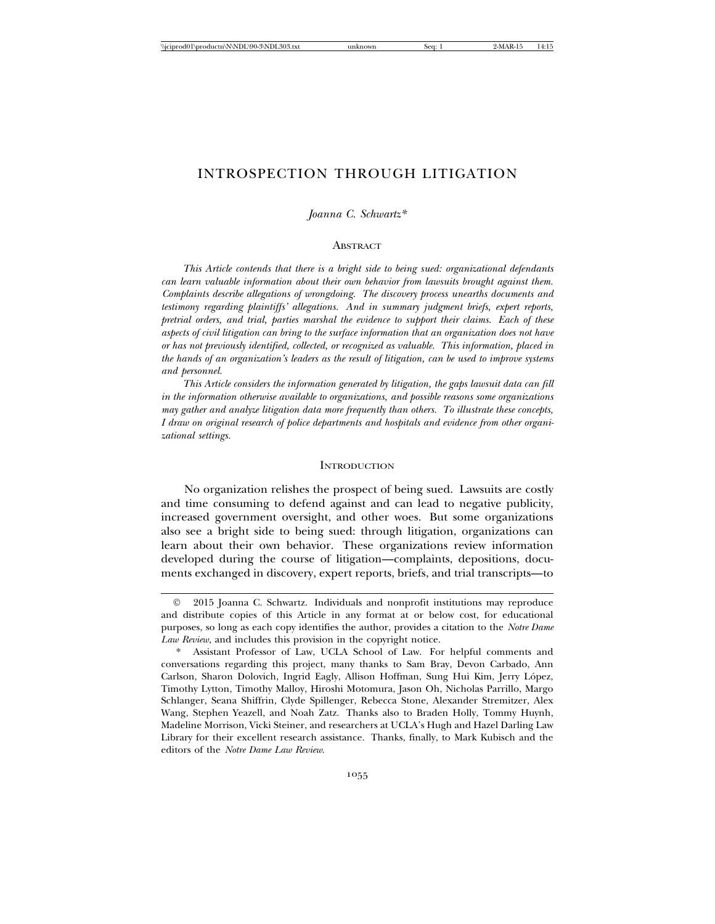# INTROSPECTION THROUGH LITIGATION

*Joanna C. Schwartz\**

#### ABSTRACT

*This Article contends that there is a bright side to being sued: organizational defendants can learn valuable information about their own behavior from lawsuits brought against them. Complaints describe allegations of wrongdoing. The discovery process unearths documents and testimony regarding plaintiffs' allegations. And in summary judgment briefs, expert reports, pretrial orders, and trial, parties marshal the evidence to support their claims. Each of these aspects of civil litigation can bring to the surface information that an organization does not have or has not previously identified, collected, or recognized as valuable. This information, placed in the hands of an organization's leaders as the result of litigation, can be used to improve systems and personnel.*

*This Article considers the information generated by litigation, the gaps lawsuit data can fill in the information otherwise available to organizations, and possible reasons some organizations may gather and analyze litigation data more frequently than others. To illustrate these concepts, I draw on original research of police departments and hospitals and evidence from other organizational settings.*

#### **INTRODUCTION**

No organization relishes the prospect of being sued. Lawsuits are costly and time consuming to defend against and can lead to negative publicity, increased government oversight, and other woes. But some organizations also see a bright side to being sued: through litigation, organizations can learn about their own behavior. These organizations review information developed during the course of litigation—complaints, depositions, documents exchanged in discovery, expert reports, briefs, and trial transcripts—to

<sup>©</sup> 2015 Joanna C. Schwartz. Individuals and nonprofit institutions may reproduce and distribute copies of this Article in any format at or below cost, for educational purposes, so long as each copy identifies the author, provides a citation to the *Notre Dame Law Review*, and includes this provision in the copyright notice.

Assistant Professor of Law, UCLA School of Law. For helpful comments and conversations regarding this project, many thanks to Sam Bray, Devon Carbado, Ann Carlson, Sharon Dolovich, Ingrid Eagly, Allison Hoffman, Sung Hui Kim, Jerry Lopez, ´ Timothy Lytton, Timothy Malloy, Hiroshi Motomura, Jason Oh, Nicholas Parrillo, Margo Schlanger, Seana Shiffrin, Clyde Spillenger, Rebecca Stone, Alexander Stremitzer, Alex Wang, Stephen Yeazell, and Noah Zatz. Thanks also to Braden Holly, Tommy Huynh, Madeline Morrison, Vicki Steiner, and researchers at UCLA's Hugh and Hazel Darling Law Library for their excellent research assistance. Thanks, finally, to Mark Kubisch and the editors of the *Notre Dame Law Review*.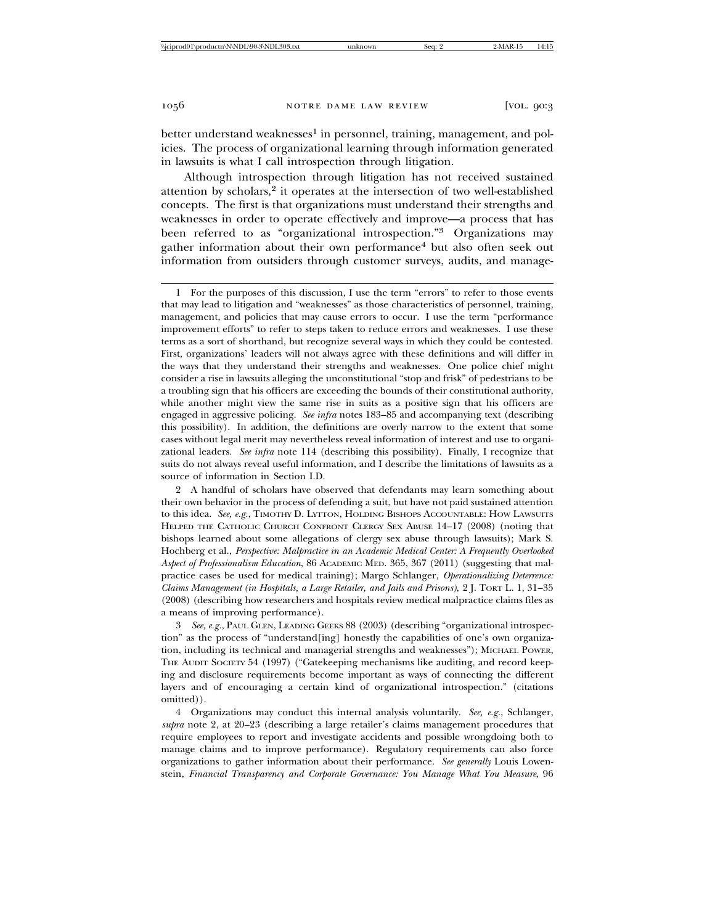better understand weaknesses<sup>1</sup> in personnel, training, management, and policies. The process of organizational learning through information generated in lawsuits is what I call introspection through litigation.

Although introspection through litigation has not received sustained attention by scholars,<sup>2</sup> it operates at the intersection of two well-established concepts. The first is that organizations must understand their strengths and weaknesses in order to operate effectively and improve—a process that has been referred to as "organizational introspection."3 Organizations may gather information about their own performance<sup>4</sup> but also often seek out information from outsiders through customer surveys, audits, and manage-

2 A handful of scholars have observed that defendants may learn something about their own behavior in the process of defending a suit, but have not paid sustained attention to this idea. *See, e.g.*, TIMOTHY D. LYTTON, HOLDING BISHOPS ACCOUNTABLE: HOW LAWSUITS HELPED THE CATHOLIC CHURCH CONFRONT CLERGY SEX ABUSE 14–17 (2008) (noting that bishops learned about some allegations of clergy sex abuse through lawsuits); Mark S. Hochberg et al., *Perspective: Malpractice in an Academic Medical Center: A Frequently Overlooked Aspect of Professionalism Education*, 86 ACADEMIC MED. 365, 367 (2011) (suggesting that malpractice cases be used for medical training); Margo Schlanger, *Operationalizing Deterrence: Claims Management (in Hospitals, a Large Retailer, and Jails and Prisons)*, 2 J. TORT L. 1, 31–35 (2008) (describing how researchers and hospitals review medical malpractice claims files as a means of improving performance).

See, e.g., PAUL GLEN, LEADING GEEKS 88 (2003) (describing "organizational introspection" as the process of "understand[ing] honestly the capabilities of one's own organization, including its technical and managerial strengths and weaknesses"); MICHAEL POWER, THE AUDIT SOCIETY 54 (1997) ("Gatekeeping mechanisms like auditing, and record keeping and disclosure requirements become important as ways of connecting the different layers and of encouraging a certain kind of organizational introspection." (citations omitted)).

4 Organizations may conduct this internal analysis voluntarily. *See, e.g.*, Schlanger, *supra* note 2, at 20–23 (describing a large retailer's claims management procedures that require employees to report and investigate accidents and possible wrongdoing both to manage claims and to improve performance). Regulatory requirements can also force organizations to gather information about their performance. *See generally* Louis Lowenstein, *Financial Transparency and Corporate Governance: You Manage What You Measure*, 96

<sup>1</sup> For the purposes of this discussion, I use the term "errors" to refer to those events that may lead to litigation and "weaknesses" as those characteristics of personnel, training, management, and policies that may cause errors to occur. I use the term "performance improvement efforts" to refer to steps taken to reduce errors and weaknesses. I use these terms as a sort of shorthand, but recognize several ways in which they could be contested. First, organizations' leaders will not always agree with these definitions and will differ in the ways that they understand their strengths and weaknesses. One police chief might consider a rise in lawsuits alleging the unconstitutional "stop and frisk" of pedestrians to be a troubling sign that his officers are exceeding the bounds of their constitutional authority, while another might view the same rise in suits as a positive sign that his officers are engaged in aggressive policing. *See infra* notes 183–85 and accompanying text (describing this possibility). In addition, the definitions are overly narrow to the extent that some cases without legal merit may nevertheless reveal information of interest and use to organizational leaders. *See infra* note 114 (describing this possibility). Finally, I recognize that suits do not always reveal useful information, and I describe the limitations of lawsuits as a source of information in Section I.D.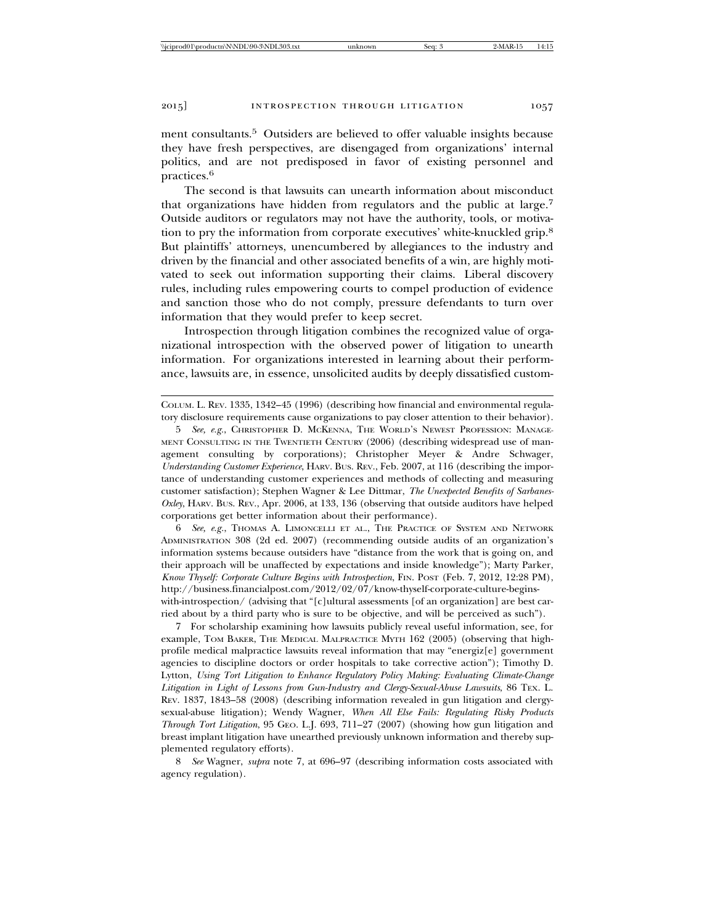ment consultants.<sup>5</sup> Outsiders are believed to offer valuable insights because they have fresh perspectives, are disengaged from organizations' internal politics, and are not predisposed in favor of existing personnel and practices.6

The second is that lawsuits can unearth information about misconduct that organizations have hidden from regulators and the public at large.<sup>7</sup> Outside auditors or regulators may not have the authority, tools, or motivation to pry the information from corporate executives' white-knuckled grip.<sup>8</sup> But plaintiffs' attorneys, unencumbered by allegiances to the industry and driven by the financial and other associated benefits of a win, are highly motivated to seek out information supporting their claims. Liberal discovery rules, including rules empowering courts to compel production of evidence and sanction those who do not comply, pressure defendants to turn over information that they would prefer to keep secret.

Introspection through litigation combines the recognized value of organizational introspection with the observed power of litigation to unearth information. For organizations interested in learning about their performance, lawsuits are, in essence, unsolicited audits by deeply dissatisfied custom-

COLUM. L. REV. 1335, 1342–45 (1996) (describing how financial and environmental regulatory disclosure requirements cause organizations to pay closer attention to their behavior).

5 *See, e.g.*, CHRISTOPHER D. MCKENNA, THE WORLD'S NEWEST PROFESSION: MANAGE-MENT CONSULTING IN THE TWENTIETH CENTURY (2006) (describing widespread use of management consulting by corporations); Christopher Meyer & Andre Schwager, *Understanding Customer Experience*, HARV. BUS. REV., Feb. 2007, at 116 (describing the importance of understanding customer experiences and methods of collecting and measuring customer satisfaction); Stephen Wagner & Lee Dittmar, *The Unexpected Benefits of Sarbanes-Oxley*, HARV. BUS. REV., Apr. 2006, at 133, 136 (observing that outside auditors have helped corporations get better information about their performance).

6 *See, e.g.*, THOMAS A. LIMONCELLI ET AL., THE PRACTICE OF SYSTEM AND NETWORK ADMINISTRATION 308 (2d ed. 2007) (recommending outside audits of an organization's information systems because outsiders have "distance from the work that is going on, and their approach will be unaffected by expectations and inside knowledge"); Marty Parker, *Know Thyself: Corporate Culture Begins with Introspection*, FIN. POST (Feb. 7, 2012, 12:28 PM), http://business.financialpost.com/2012/02/07/know-thyself-corporate-culture-beginswith-introspection/ (advising that "[c]ultural assessments [of an organization] are best carried about by a third party who is sure to be objective, and will be perceived as such").

7 For scholarship examining how lawsuits publicly reveal useful information, see, for example, TOM BAKER, THE MEDICAL MALPRACTICE MYTH 162 (2005) (observing that highprofile medical malpractice lawsuits reveal information that may "energiz[e] government agencies to discipline doctors or order hospitals to take corrective action"); Timothy D. Lytton, *Using Tort Litigation to Enhance Regulatory Policy Making: Evaluating Climate-Change Litigation in Light of Lessons from Gun-Industry and Clergy-Sexual-Abuse Lawsuits*, 86 TEX. L. REV. 1837, 1843–58 (2008) (describing information revealed in gun litigation and clergysexual-abuse litigation); Wendy Wagner, *When All Else Fails: Regulating Risky Products Through Tort Litigation*, 95 GEO. L.J. 693, 711–27 (2007) (showing how gun litigation and breast implant litigation have unearthed previously unknown information and thereby supplemented regulatory efforts).

8 *See* Wagner, *supra* note 7, at 696–97 (describing information costs associated with agency regulation).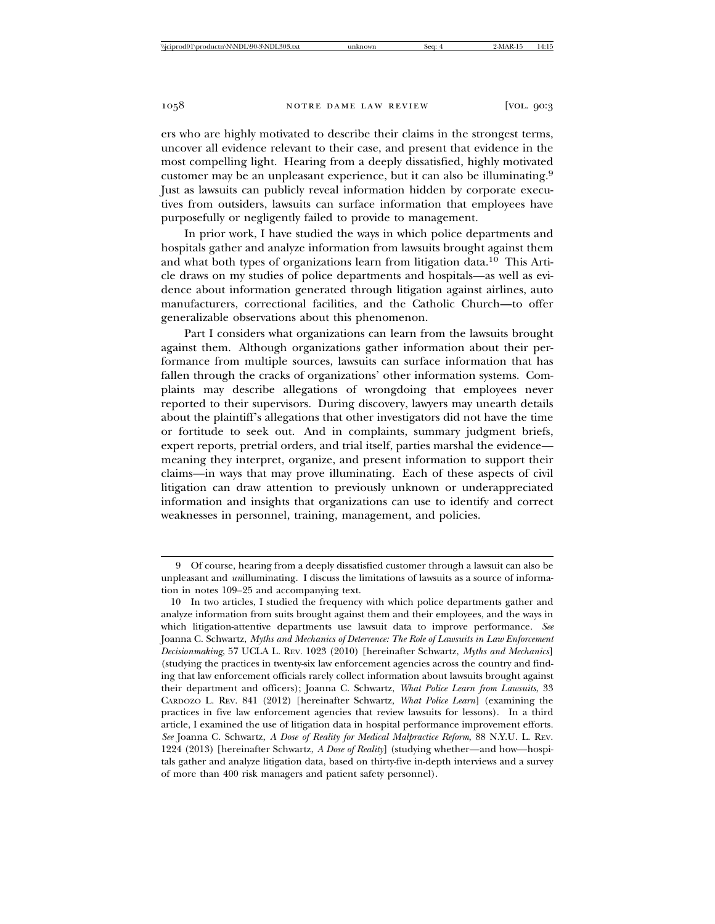ers who are highly motivated to describe their claims in the strongest terms, uncover all evidence relevant to their case, and present that evidence in the most compelling light. Hearing from a deeply dissatisfied, highly motivated customer may be an unpleasant experience, but it can also be illuminating.<sup>9</sup> Just as lawsuits can publicly reveal information hidden by corporate executives from outsiders, lawsuits can surface information that employees have purposefully or negligently failed to provide to management.

In prior work, I have studied the ways in which police departments and hospitals gather and analyze information from lawsuits brought against them and what both types of organizations learn from litigation data.10 This Article draws on my studies of police departments and hospitals—as well as evidence about information generated through litigation against airlines, auto manufacturers, correctional facilities, and the Catholic Church—to offer generalizable observations about this phenomenon.

Part I considers what organizations can learn from the lawsuits brought against them. Although organizations gather information about their performance from multiple sources, lawsuits can surface information that has fallen through the cracks of organizations' other information systems. Complaints may describe allegations of wrongdoing that employees never reported to their supervisors. During discovery, lawyers may unearth details about the plaintiff's allegations that other investigators did not have the time or fortitude to seek out. And in complaints, summary judgment briefs, expert reports, pretrial orders, and trial itself, parties marshal the evidence meaning they interpret, organize, and present information to support their claims—in ways that may prove illuminating. Each of these aspects of civil litigation can draw attention to previously unknown or underappreciated information and insights that organizations can use to identify and correct weaknesses in personnel, training, management, and policies.

<sup>9</sup> Of course, hearing from a deeply dissatisfied customer through a lawsuit can also be unpleasant and *un*illuminating. I discuss the limitations of lawsuits as a source of information in notes 109–25 and accompanying text.

<sup>10</sup> In two articles, I studied the frequency with which police departments gather and analyze information from suits brought against them and their employees, and the ways in which litigation-attentive departments use lawsuit data to improve performance. *See* Joanna C. Schwartz, *Myths and Mechanics of Deterrence: The Role of Lawsuits in Law Enforcement Decisionmaking*, 57 UCLA L. REV. 1023 (2010) [hereinafter Schwartz, *Myths and Mechanics*] (studying the practices in twenty-six law enforcement agencies across the country and finding that law enforcement officials rarely collect information about lawsuits brought against their department and officers); Joanna C. Schwartz, *What Police Learn from Lawsuits*, 33 CARDOZO L. REV. 841 (2012) [hereinafter Schwartz, *What Police Learn*] (examining the practices in five law enforcement agencies that review lawsuits for lessons). In a third article, I examined the use of litigation data in hospital performance improvement efforts. *See* Joanna C. Schwartz, *A Dose of Reality for Medical Malpractice Reform*, 88 N.Y.U. L. REV. 1224 (2013) [hereinafter Schwartz, *A Dose of Reality*] (studying whether—and how—hospitals gather and analyze litigation data, based on thirty-five in-depth interviews and a survey of more than 400 risk managers and patient safety personnel).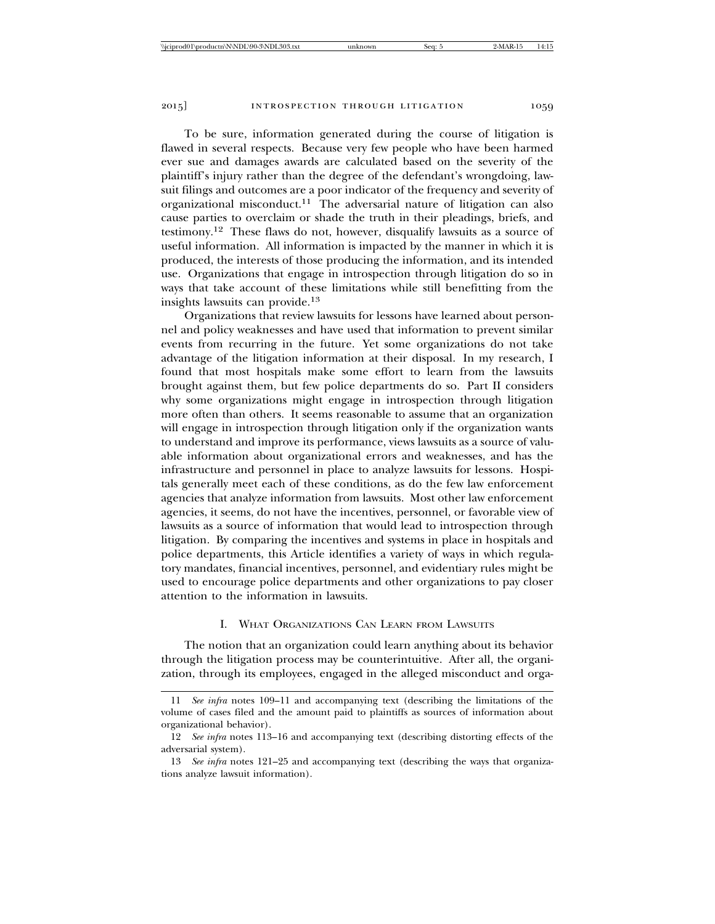To be sure, information generated during the course of litigation is flawed in several respects. Because very few people who have been harmed ever sue and damages awards are calculated based on the severity of the plaintiff's injury rather than the degree of the defendant's wrongdoing, lawsuit filings and outcomes are a poor indicator of the frequency and severity of organizational misconduct.11 The adversarial nature of litigation can also cause parties to overclaim or shade the truth in their pleadings, briefs, and testimony.12 These flaws do not, however, disqualify lawsuits as a source of useful information. All information is impacted by the manner in which it is produced, the interests of those producing the information, and its intended use. Organizations that engage in introspection through litigation do so in ways that take account of these limitations while still benefitting from the insights lawsuits can provide.<sup>13</sup>

Organizations that review lawsuits for lessons have learned about personnel and policy weaknesses and have used that information to prevent similar events from recurring in the future. Yet some organizations do not take advantage of the litigation information at their disposal. In my research, I found that most hospitals make some effort to learn from the lawsuits brought against them, but few police departments do so. Part II considers why some organizations might engage in introspection through litigation more often than others. It seems reasonable to assume that an organization will engage in introspection through litigation only if the organization wants to understand and improve its performance, views lawsuits as a source of valuable information about organizational errors and weaknesses, and has the infrastructure and personnel in place to analyze lawsuits for lessons. Hospitals generally meet each of these conditions, as do the few law enforcement agencies that analyze information from lawsuits. Most other law enforcement agencies, it seems, do not have the incentives, personnel, or favorable view of lawsuits as a source of information that would lead to introspection through litigation. By comparing the incentives and systems in place in hospitals and police departments, this Article identifies a variety of ways in which regulatory mandates, financial incentives, personnel, and evidentiary rules might be used to encourage police departments and other organizations to pay closer attention to the information in lawsuits.

## I. WHAT ORGANIZATIONS CAN LEARN FROM LAWSUITS

The notion that an organization could learn anything about its behavior through the litigation process may be counterintuitive. After all, the organization, through its employees, engaged in the alleged misconduct and orga-

<sup>11</sup> *See infra* notes 109–11 and accompanying text (describing the limitations of the volume of cases filed and the amount paid to plaintiffs as sources of information about organizational behavior).

<sup>12</sup> *See infra* notes 113–16 and accompanying text (describing distorting effects of the adversarial system).

<sup>13</sup> *See infra* notes 121–25 and accompanying text (describing the ways that organizations analyze lawsuit information).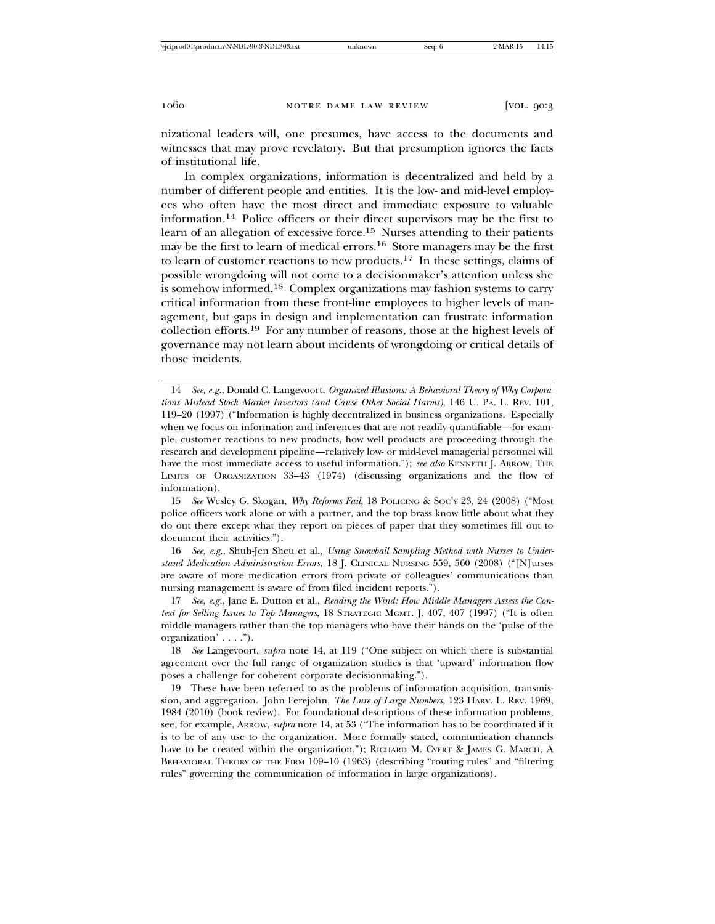nizational leaders will, one presumes, have access to the documents and witnesses that may prove revelatory. But that presumption ignores the facts of institutional life.

In complex organizations, information is decentralized and held by a number of different people and entities. It is the low- and mid-level employees who often have the most direct and immediate exposure to valuable information.14 Police officers or their direct supervisors may be the first to learn of an allegation of excessive force.15 Nurses attending to their patients may be the first to learn of medical errors.16 Store managers may be the first to learn of customer reactions to new products.17 In these settings, claims of possible wrongdoing will not come to a decisionmaker's attention unless she is somehow informed.18 Complex organizations may fashion systems to carry critical information from these front-line employees to higher levels of management, but gaps in design and implementation can frustrate information collection efforts.19 For any number of reasons, those at the highest levels of governance may not learn about incidents of wrongdoing or critical details of those incidents.

16 *See, e.g.*, Shuh-Jen Sheu et al., *Using Snowball Sampling Method with Nurses to Understand Medication Administration Errors*, 18 J. CLINICAL NURSING 559, 560 (2008) ("[N]urses are aware of more medication errors from private or colleagues' communications than nursing management is aware of from filed incident reports.").

17 *See, e.g.*, Jane E. Dutton et al., *Reading the Wind: How Middle Managers Assess the Context for Selling Issues to Top Managers*, 18 STRATEGIC MGMT. J. 407, 407 (1997) ("It is often middle managers rather than the top managers who have their hands on the 'pulse of the organization' . . . .").

18 *See* Langevoort, *supra* note 14, at 119 ("One subject on which there is substantial agreement over the full range of organization studies is that 'upward' information flow poses a challenge for coherent corporate decisionmaking.").

19 These have been referred to as the problems of information acquisition, transmission, and aggregation. John Ferejohn, *The Lure of Large Numbers*, 123 HARV. L. REV. 1969, 1984 (2010) (book review). For foundational descriptions of these information problems, see, for example, ARROW, *supra* note 14, at 53 ("The information has to be coordinated if it is to be of any use to the organization. More formally stated, communication channels have to be created within the organization."); RICHARD M. CYERT & JAMES G. MARCH, A BEHAVIORAL THEORY OF THE FIRM 109–10 (1963) (describing "routing rules" and "filtering rules" governing the communication of information in large organizations).

<sup>14</sup> *See, e.g.*, Donald C. Langevoort, *Organized Illusions: A Behavioral Theory of Why Corporations Mislead Stock Market Investors (and Cause Other Social Harms)*, 146 U. PA. L. REV. 101, 119–20 (1997) ("Information is highly decentralized in business organizations. Especially when we focus on information and inferences that are not readily quantifiable—for example, customer reactions to new products, how well products are proceeding through the research and development pipeline—relatively low- or mid-level managerial personnel will have the most immediate access to useful information."); *see also* KENNETH J. ARROW, THE LIMITS OF ORGANIZATION 33–43 (1974) (discussing organizations and the flow of information).

<sup>15</sup> *See* Wesley G. Skogan, *Why Reforms Fail*, 18 POLICING & SOC'Y 23, 24 (2008) ("Most police officers work alone or with a partner, and the top brass know little about what they do out there except what they report on pieces of paper that they sometimes fill out to document their activities.").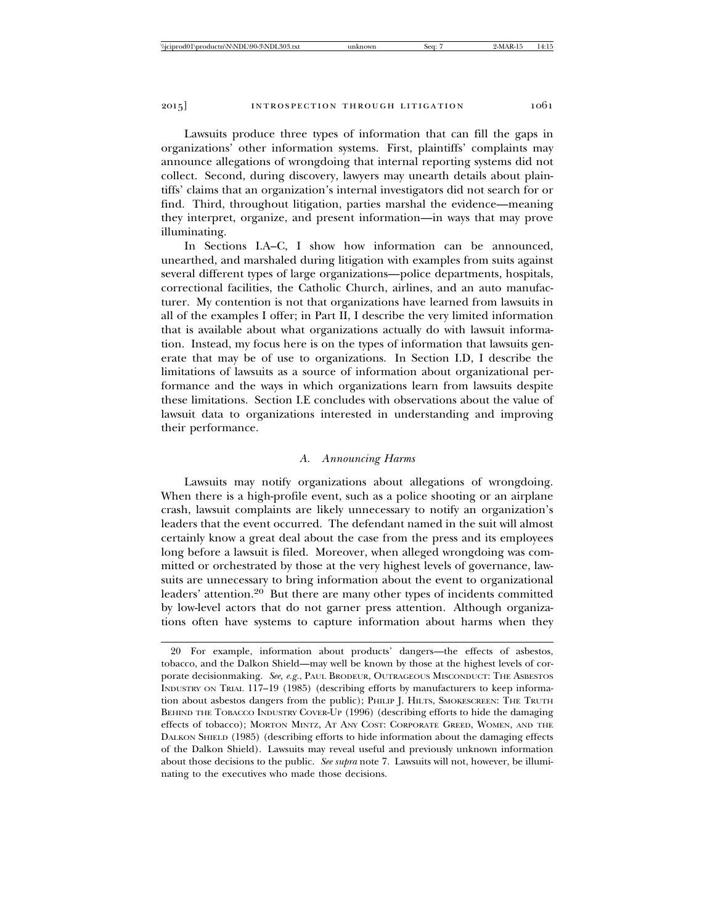Lawsuits produce three types of information that can fill the gaps in organizations' other information systems. First, plaintiffs' complaints may announce allegations of wrongdoing that internal reporting systems did not collect. Second, during discovery, lawyers may unearth details about plaintiffs' claims that an organization's internal investigators did not search for or find. Third, throughout litigation, parties marshal the evidence—meaning they interpret, organize, and present information—in ways that may prove illuminating.

In Sections I.A–C, I show how information can be announced, unearthed, and marshaled during litigation with examples from suits against several different types of large organizations—police departments, hospitals, correctional facilities, the Catholic Church, airlines, and an auto manufacturer. My contention is not that organizations have learned from lawsuits in all of the examples I offer; in Part II, I describe the very limited information that is available about what organizations actually do with lawsuit information. Instead, my focus here is on the types of information that lawsuits generate that may be of use to organizations. In Section I.D, I describe the limitations of lawsuits as a source of information about organizational performance and the ways in which organizations learn from lawsuits despite these limitations. Section I.E concludes with observations about the value of lawsuit data to organizations interested in understanding and improving their performance.

## *A. Announcing Harms*

Lawsuits may notify organizations about allegations of wrongdoing. When there is a high-profile event, such as a police shooting or an airplane crash, lawsuit complaints are likely unnecessary to notify an organization's leaders that the event occurred. The defendant named in the suit will almost certainly know a great deal about the case from the press and its employees long before a lawsuit is filed. Moreover, when alleged wrongdoing was committed or orchestrated by those at the very highest levels of governance, lawsuits are unnecessary to bring information about the event to organizational leaders' attention.20 But there are many other types of incidents committed by low-level actors that do not garner press attention. Although organizations often have systems to capture information about harms when they

<sup>20</sup> For example, information about products' dangers—the effects of asbestos, tobacco, and the Dalkon Shield—may well be known by those at the highest levels of corporate decisionmaking. *See, e.g.*, PAUL BRODEUR, OUTRAGEOUS MISCONDUCT: THE ASBESTOS INDUSTRY ON TRIAL 117–19 (1985) (describing efforts by manufacturers to keep information about asbestos dangers from the public); PHILIP J. HILTS, SMOKESCREEN: THE TRUTH BEHIND THE TOBACCO INDUSTRY COVER-UP (1996) (describing efforts to hide the damaging effects of tobacco); MORTON MINTZ, AT ANY COST: CORPORATE GREED, WOMEN, AND THE DALKON SHIELD (1985) (describing efforts to hide information about the damaging effects of the Dalkon Shield). Lawsuits may reveal useful and previously unknown information about those decisions to the public. *See supra* note 7. Lawsuits will not, however, be illuminating to the executives who made those decisions.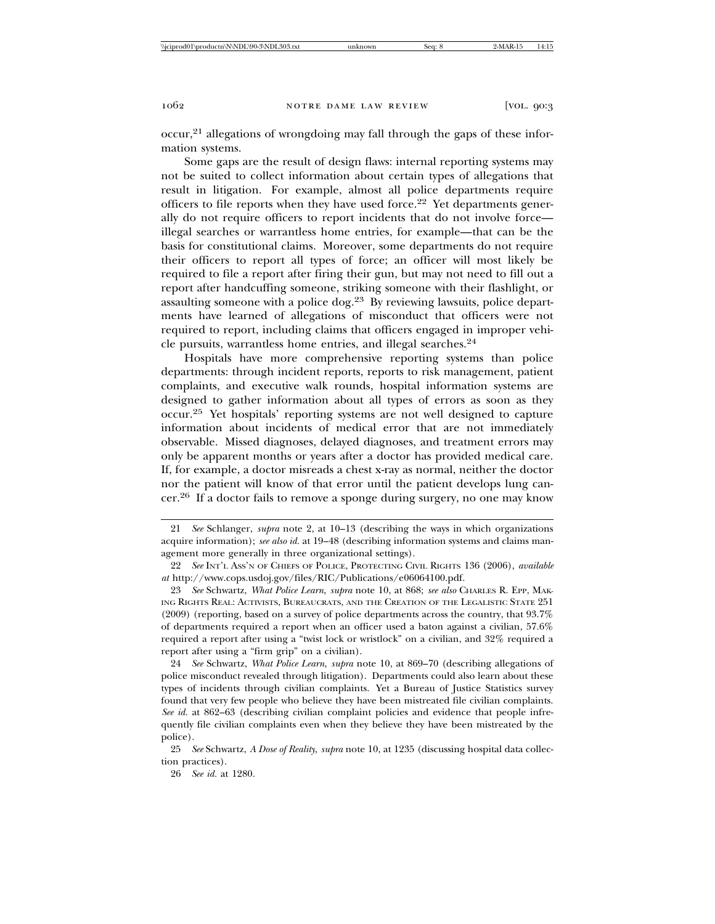$\mathrm{occur}$ <sup>21</sup> allegations of wrongdoing may fall through the gaps of these information systems.

Some gaps are the result of design flaws: internal reporting systems may not be suited to collect information about certain types of allegations that result in litigation. For example, almost all police departments require officers to file reports when they have used force.22 Yet departments generally do not require officers to report incidents that do not involve force illegal searches or warrantless home entries, for example—that can be the basis for constitutional claims. Moreover, some departments do not require their officers to report all types of force; an officer will most likely be required to file a report after firing their gun, but may not need to fill out a report after handcuffing someone, striking someone with their flashlight, or assaulting someone with a police dog.23 By reviewing lawsuits, police departments have learned of allegations of misconduct that officers were not required to report, including claims that officers engaged in improper vehicle pursuits, warrantless home entries, and illegal searches.<sup>24</sup>

Hospitals have more comprehensive reporting systems than police departments: through incident reports, reports to risk management, patient complaints, and executive walk rounds, hospital information systems are designed to gather information about all types of errors as soon as they occur.25 Yet hospitals' reporting systems are not well designed to capture information about incidents of medical error that are not immediately observable. Missed diagnoses, delayed diagnoses, and treatment errors may only be apparent months or years after a doctor has provided medical care. If, for example, a doctor misreads a chest x-ray as normal, neither the doctor nor the patient will know of that error until the patient develops lung cancer.26 If a doctor fails to remove a sponge during surgery, no one may know

24 *See* Schwartz, *What Police Learn*, *supra* note 10, at 869–70 (describing allegations of police misconduct revealed through litigation). Departments could also learn about these types of incidents through civilian complaints. Yet a Bureau of Justice Statistics survey found that very few people who believe they have been mistreated file civilian complaints. *See id.* at 862–63 (describing civilian complaint policies and evidence that people infrequently file civilian complaints even when they believe they have been mistreated by the police).

25 *See* Schwartz, *A Dose of Reality*, *supra* note 10, at 1235 (discussing hospital data collection practices).

26 *See id.* at 1280.

<sup>21</sup> *See* Schlanger, *supra* note 2, at 10–13 (describing the ways in which organizations acquire information); *see also id.* at 19–48 (describing information systems and claims management more generally in three organizational settings).

<sup>22</sup> *See* INT'L ASS'N OF CHIEFS OF POLICE, PROTECTING CIVIL RIGHTS 136 (2006), *available at* http://www.cops.usdoj.gov/files/RIC/Publications/e06064100.pdf.

<sup>23</sup> *See* Schwartz, *What Police Learn*, *supra* note 10, at 868; *see also* CHARLES R. EPP, MAK-ING RIGHTS REAL: ACTIVISTS, BUREAUCRATS, AND THE CREATION OF THE LEGALISTIC STATE 251 (2009) (reporting, based on a survey of police departments across the country, that 93.7% of departments required a report when an officer used a baton against a civilian, 57.6% required a report after using a "twist lock or wristlock" on a civilian, and 32% required a report after using a "firm grip" on a civilian).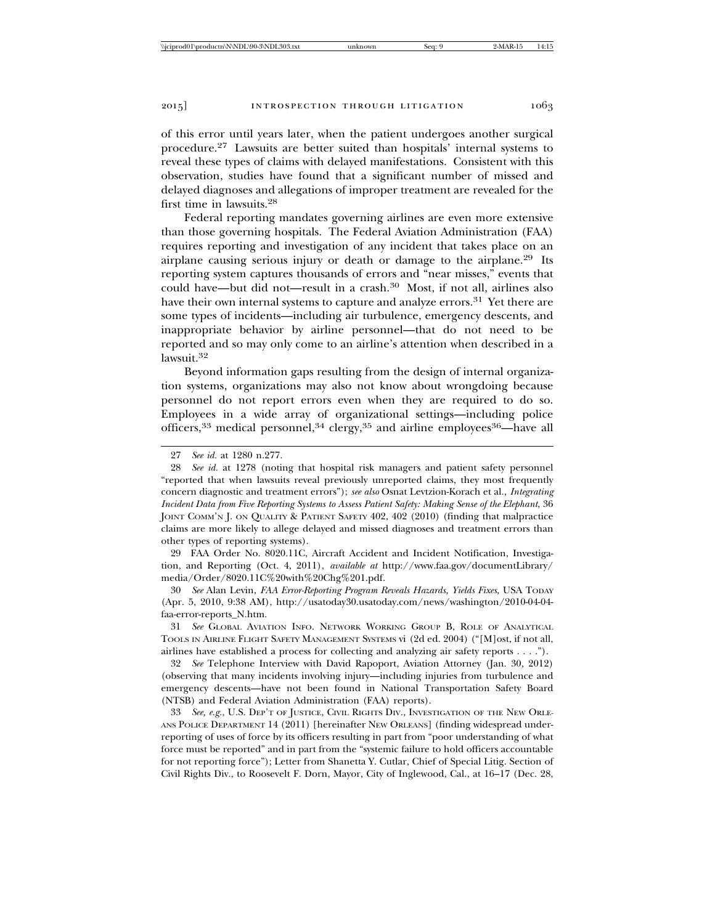of this error until years later, when the patient undergoes another surgical procedure.27 Lawsuits are better suited than hospitals' internal systems to reveal these types of claims with delayed manifestations. Consistent with this observation, studies have found that a significant number of missed and delayed diagnoses and allegations of improper treatment are revealed for the first time in lawsuits.<sup>28</sup>

Federal reporting mandates governing airlines are even more extensive than those governing hospitals. The Federal Aviation Administration (FAA) requires reporting and investigation of any incident that takes place on an airplane causing serious injury or death or damage to the airplane.29 Its reporting system captures thousands of errors and "near misses," events that could have—but did not—result in a crash.30 Most, if not all, airlines also have their own internal systems to capture and analyze errors.<sup>31</sup> Yet there are some types of incidents—including air turbulence, emergency descents, and inappropriate behavior by airline personnel—that do not need to be reported and so may only come to an airline's attention when described in a lawsuit.<sup>32</sup>

Beyond information gaps resulting from the design of internal organization systems, organizations may also not know about wrongdoing because personnel do not report errors even when they are required to do so. Employees in a wide array of organizational settings—including police officers,<sup>33</sup> medical personnel,<sup>34</sup> clergy,<sup>35</sup> and airline employees<sup>36</sup>—have all

29 FAA Order No. 8020.11C, Aircraft Accident and Incident Notification, Investigation, and Reporting (Oct. 4, 2011), *available at* http://www.faa.gov/documentLibrary/ media/Order/8020.11C%20with%20Chg%201.pdf.

30 *See* Alan Levin, *FAA Error-Reporting Program Reveals Hazards, Yields Fixes*, USA TODAY (Apr. 5, 2010, 9:38 AM), http://usatoday30.usatoday.com/news/washington/2010-04-04 faa-error-reports\_N.htm.

31 *See* GLOBAL AVIATION INFO. NETWORK WORKING GROUP B, ROLE OF ANALYTICAL TOOLS IN AIRLINE FLIGHT SAFETY MANAGEMENT SYSTEMS vi (2d ed. 2004) ("[M]ost, if not all, airlines have established a process for collecting and analyzing air safety reports . . . .").

32 *See* Telephone Interview with David Rapoport, Aviation Attorney (Jan. 30, 2012) (observing that many incidents involving injury—including injuries from turbulence and emergency descents—have not been found in National Transportation Safety Board (NTSB) and Federal Aviation Administration (FAA) reports).

33 *See, e.g.*, U.S. DEP'T OF JUSTICE, CIVIL RIGHTS DIV., INVESTIGATION OF THE NEW ORLE-ANS POLICE DEPARTMENT 14 (2011) [hereinafter NEW ORLEANS] (finding widespread underreporting of uses of force by its officers resulting in part from "poor understanding of what force must be reported" and in part from the "systemic failure to hold officers accountable for not reporting force"); Letter from Shanetta Y. Cutlar, Chief of Special Litig. Section of Civil Rights Div., to Roosevelt F. Dorn, Mayor, City of Inglewood, Cal., at 16–17 (Dec. 28,

<sup>27</sup> *See id.* at 1280 n.277.

<sup>28</sup> *See id.* at 1278 (noting that hospital risk managers and patient safety personnel "reported that when lawsuits reveal previously unreported claims, they most frequently concern diagnostic and treatment errors"); *see also* Osnat Levtzion-Korach et al., *Integrating Incident Data from Five Reporting Systems to Assess Patient Safety: Making Sense of the Elephant*, 36 JOINT COMM'N J. ON QUALITY & PATIENT SAFETY 402, 402 (2010) (finding that malpractice claims are more likely to allege delayed and missed diagnoses and treatment errors than other types of reporting systems).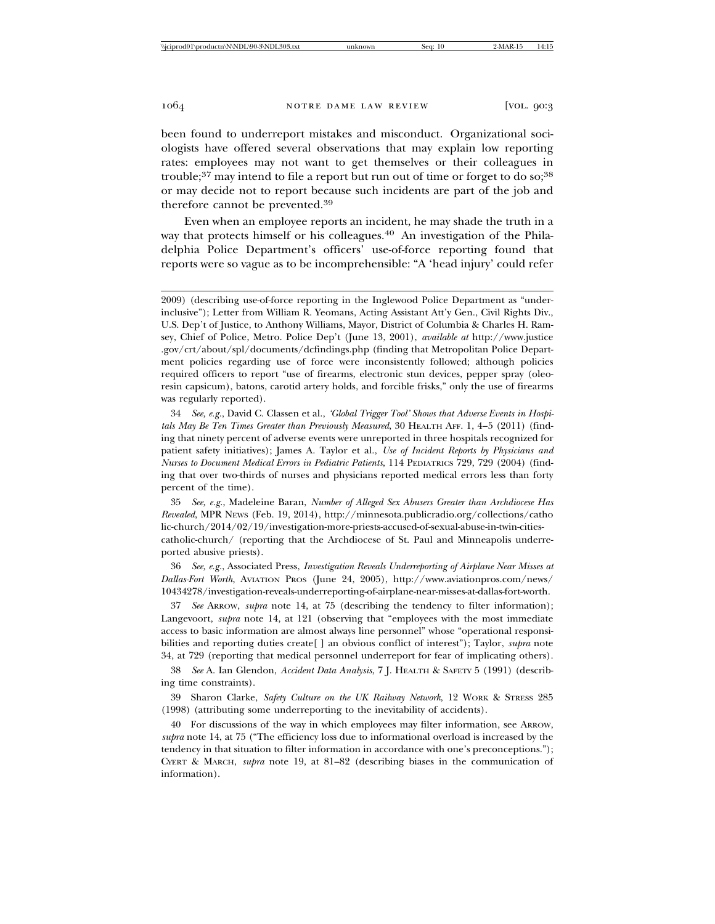been found to underreport mistakes and misconduct. Organizational sociologists have offered several observations that may explain low reporting rates: employees may not want to get themselves or their colleagues in trouble; $37$  may intend to file a report but run out of time or forget to do so; $38$ or may decide not to report because such incidents are part of the job and therefore cannot be prevented.<sup>39</sup>

Even when an employee reports an incident, he may shade the truth in a way that protects himself or his colleagues.<sup>40</sup> An investigation of the Philadelphia Police Department's officers' use-of-force reporting found that reports were so vague as to be incomprehensible: "A 'head injury' could refer

34 *See, e.g.*, David C. Classen et al., *'Global Trigger Tool' Shows that Adverse Events in Hospitals May Be Ten Times Greater than Previously Measured*, 30 HEALTH AFF. 1, 4–5 (2011) (finding that ninety percent of adverse events were unreported in three hospitals recognized for patient safety initiatives); James A. Taylor et al., *Use of Incident Reports by Physicians and Nurses to Document Medical Errors in Pediatric Patients*, 114 PEDIATRICS 729, 729 (2004) (finding that over two-thirds of nurses and physicians reported medical errors less than forty percent of the time).

35 *See, e.g.*, Madeleine Baran, *Number of Alleged Sex Abusers Greater than Archdiocese Has Revealed*, MPR NEWS (Feb. 19, 2014), http://minnesota.publicradio.org/collections/catho lic-church/2014/02/19/investigation-more-priests-accused-of-sexual-abuse-in-twin-citiescatholic-church/ (reporting that the Archdiocese of St. Paul and Minneapolis underreported abusive priests).

36 *See, e.g.*, Associated Press, *Investigation Reveals Underreporting of Airplane Near Misses at Dallas-Fort Worth*, AVIATION PROS (June 24, 2005), http://www.aviationpros.com/news/ 10434278/investigation-reveals-underreporting-of-airplane-near-misses-at-dallas-fort-worth.

37 *See* ARROW, *supra* note 14, at 75 (describing the tendency to filter information); Langevoort, *supra* note 14, at 121 (observing that "employees with the most immediate access to basic information are almost always line personnel" whose "operational responsibilities and reporting duties create[ ] an obvious conflict of interest"); Taylor, *supra* note 34, at 729 (reporting that medical personnel underreport for fear of implicating others).

38 *See* A. Ian Glendon, *Accident Data Analysis*, 7 J. HEALTH & SAFETY 5 (1991) (describing time constraints).

39 Sharon Clarke, *Safety Culture on the UK Railway Network*, 12 WORK & STRESS 285 (1998) (attributing some underreporting to the inevitability of accidents).

40 For discussions of the way in which employees may filter information, see ARROW, *supra* note 14, at 75 ("The efficiency loss due to informational overload is increased by the tendency in that situation to filter information in accordance with one's preconceptions."); CYERT & MARCH, *supra* note 19, at 81–82 (describing biases in the communication of information).

<sup>2009) (</sup>describing use-of-force reporting in the Inglewood Police Department as "underinclusive"); Letter from William R. Yeomans, Acting Assistant Att'y Gen., Civil Rights Div., U.S. Dep't of Justice, to Anthony Williams, Mayor, District of Columbia & Charles H. Ramsey, Chief of Police, Metro. Police Dep't (June 13, 2001), *available at* http://www.justice .gov/crt/about/spl/documents/dcfindings.php (finding that Metropolitan Police Department policies regarding use of force were inconsistently followed; although policies required officers to report "use of firearms, electronic stun devices, pepper spray (oleoresin capsicum), batons, carotid artery holds, and forcible frisks," only the use of firearms was regularly reported).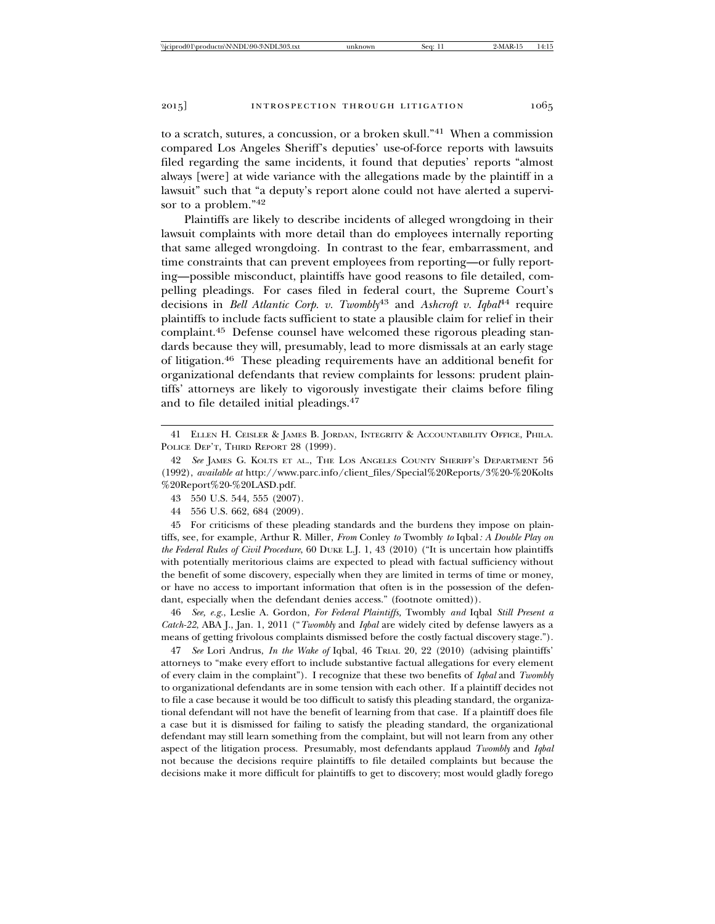to a scratch, sutures, a concussion, or a broken skull."41 When a commission compared Los Angeles Sheriff's deputies' use-of-force reports with lawsuits filed regarding the same incidents, it found that deputies' reports "almost always [were] at wide variance with the allegations made by the plaintiff in a lawsuit" such that "a deputy's report alone could not have alerted a supervisor to a problem."<sup>42</sup>

Plaintiffs are likely to describe incidents of alleged wrongdoing in their lawsuit complaints with more detail than do employees internally reporting that same alleged wrongdoing. In contrast to the fear, embarrassment, and time constraints that can prevent employees from reporting—or fully reporting—possible misconduct, plaintiffs have good reasons to file detailed, compelling pleadings. For cases filed in federal court, the Supreme Court's decisions in *Bell Atlantic Corp. v. Twombly*<sup>43</sup> and *Ashcroft v. Iqbal*<sup>44</sup> require plaintiffs to include facts sufficient to state a plausible claim for relief in their complaint.45 Defense counsel have welcomed these rigorous pleading standards because they will, presumably, lead to more dismissals at an early stage of litigation.46 These pleading requirements have an additional benefit for organizational defendants that review complaints for lessons: prudent plaintiffs' attorneys are likely to vigorously investigate their claims before filing and to file detailed initial pleadings.<sup>47</sup>

44 556 U.S. 662, 684 (2009).

45 For criticisms of these pleading standards and the burdens they impose on plaintiffs, see, for example, Arthur R. Miller, *From* Conley *to* Twombly *to* Iqbal*: A Double Play on the Federal Rules of Civil Procedure*, 60 DUKE L.J. 1, 43 (2010) ("It is uncertain how plaintiffs with potentially meritorious claims are expected to plead with factual sufficiency without the benefit of some discovery, especially when they are limited in terms of time or money, or have no access to important information that often is in the possession of the defendant, especially when the defendant denies access." (footnote omitted)).

46 *See, e.g.*, Leslie A. Gordon, *For Federal Plaintiffs,* Twombly *and* Iqbal *Still Present a Catch-22*, ABA J., Jan. 1, 2011 ("*Twombly* and *Iqbal* are widely cited by defense lawyers as a means of getting frivolous complaints dismissed before the costly factual discovery stage.").

47 *See* Lori Andrus, *In the Wake of* Iqbal, 46 TRIAL 20, 22 (2010) (advising plaintiffs' attorneys to "make every effort to include substantive factual allegations for every element of every claim in the complaint"). I recognize that these two benefits of *Iqbal* and *Twombly* to organizational defendants are in some tension with each other. If a plaintiff decides not to file a case because it would be too difficult to satisfy this pleading standard, the organizational defendant will not have the benefit of learning from that case. If a plaintiff does file a case but it is dismissed for failing to satisfy the pleading standard, the organizational defendant may still learn something from the complaint, but will not learn from any other aspect of the litigation process. Presumably, most defendants applaud *Twombly* and *Iqbal* not because the decisions require plaintiffs to file detailed complaints but because the decisions make it more difficult for plaintiffs to get to discovery; most would gladly forego

<sup>41</sup> ELLEN H. CEISLER & JAMES B. JORDAN, INTEGRITY & ACCOUNTABILITY OFFICE, PHILA. POLICE DEP'T, THIRD REPORT 28 (1999).

<sup>42</sup> *See* JAMES G. KOLTS ET AL., THE LOS ANGELES COUNTY SHERIFF'S DEPARTMENT 56 (1992), *available at* http://www.parc.info/client\_files/Special%20Reports/3%20-%20Kolts %20Report%20-%20LASD.pdf.

<sup>43 550</sup> U.S. 544, 555 (2007).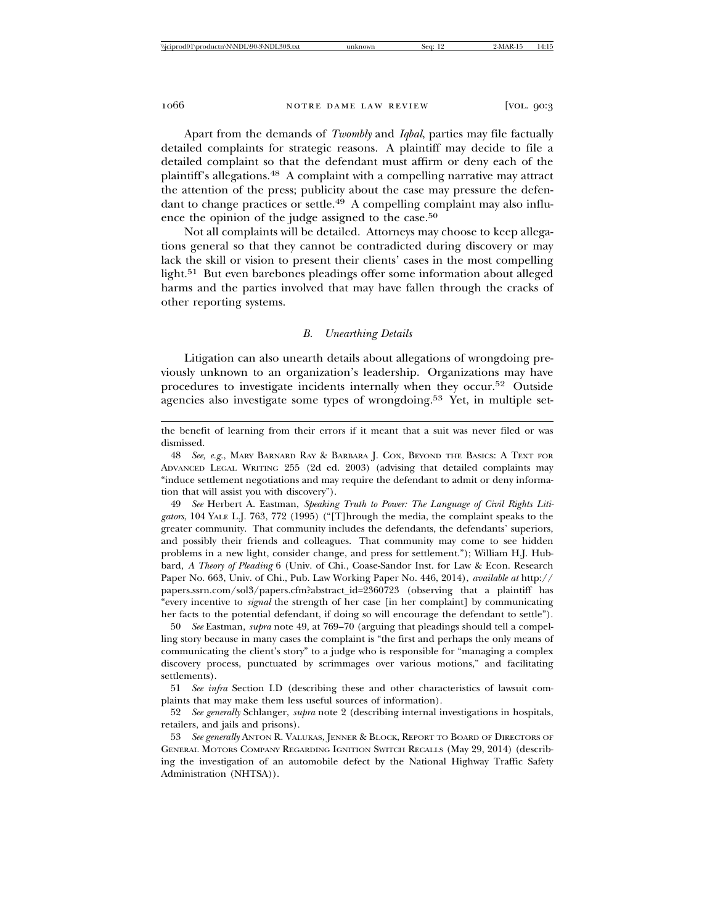Apart from the demands of *Twombly* and *Iqbal*, parties may file factually detailed complaints for strategic reasons. A plaintiff may decide to file a detailed complaint so that the defendant must affirm or deny each of the plaintiff's allegations.48 A complaint with a compelling narrative may attract the attention of the press; publicity about the case may pressure the defendant to change practices or settle.<sup>49</sup> A compelling complaint may also influence the opinion of the judge assigned to the case.<sup>50</sup>

Not all complaints will be detailed. Attorneys may choose to keep allegations general so that they cannot be contradicted during discovery or may lack the skill or vision to present their clients' cases in the most compelling light.51 But even barebones pleadings offer some information about alleged harms and the parties involved that may have fallen through the cracks of other reporting systems.

## *B. Unearthing Details*

Litigation can also unearth details about allegations of wrongdoing previously unknown to an organization's leadership. Organizations may have procedures to investigate incidents internally when they occur.52 Outside agencies also investigate some types of wrongdoing.53 Yet, in multiple set-

the benefit of learning from their errors if it meant that a suit was never filed or was dismissed.

48 *See, e.g.*, MARY BARNARD RAY & BARBARA J. COX, BEYOND THE BASICS: A TEXT FOR ADVANCED LEGAL WRITING 255 (2d ed. 2003) (advising that detailed complaints may "induce settlement negotiations and may require the defendant to admit or deny information that will assist you with discovery").

49 *See* Herbert A. Eastman, *Speaking Truth to Power: The Language of Civil Rights Litigators*, 104 YALE L.J. 763, 772 (1995) ("[T]hrough the media, the complaint speaks to the greater community. That community includes the defendants, the defendants' superiors, and possibly their friends and colleagues. That community may come to see hidden problems in a new light, consider change, and press for settlement."); William H.J. Hubbard, *A Theory of Pleading* 6 (Univ. of Chi., Coase-Sandor Inst. for Law & Econ. Research Paper No. 663, Univ. of Chi., Pub. Law Working Paper No. 446, 2014), *available at* http:// papers.ssrn.com/sol3/papers.cfm?abstract\_id=2360723 (observing that a plaintiff has "every incentive to *signal* the strength of her case [in her complaint] by communicating her facts to the potential defendant, if doing so will encourage the defendant to settle").

50 *See* Eastman, *supra* note 49, at 769–70 (arguing that pleadings should tell a compelling story because in many cases the complaint is "the first and perhaps the only means of communicating the client's story" to a judge who is responsible for "managing a complex discovery process, punctuated by scrimmages over various motions," and facilitating settlements).

51 *See infra* Section I.D (describing these and other characteristics of lawsuit complaints that may make them less useful sources of information).

52 *See generally* Schlanger, *supra* note 2 (describing internal investigations in hospitals, retailers, and jails and prisons).

53 *See generally* ANTON R. VALUKAS, JENNER & BLOCK, REPORT TO BOARD OF DIRECTORS OF GENERAL MOTORS COMPANY REGARDING IGNITION SWITCH RECALLS (May 29, 2014) (describing the investigation of an automobile defect by the National Highway Traffic Safety Administration (NHTSA)).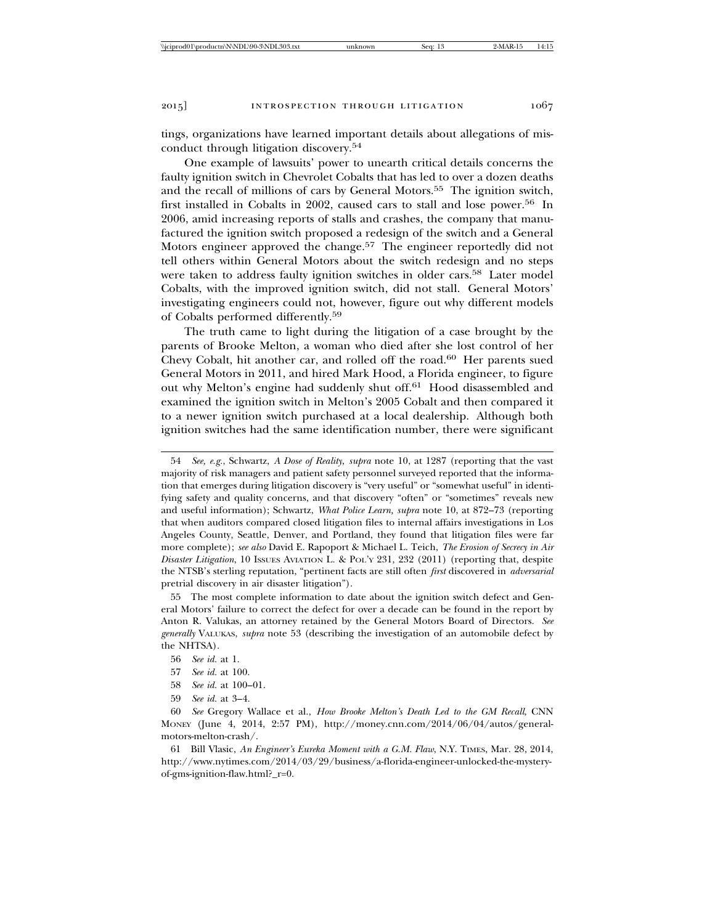tings, organizations have learned important details about allegations of misconduct through litigation discovery.<sup>54</sup>

One example of lawsuits' power to unearth critical details concerns the faulty ignition switch in Chevrolet Cobalts that has led to over a dozen deaths and the recall of millions of cars by General Motors.55 The ignition switch, first installed in Cobalts in 2002, caused cars to stall and lose power.56 In 2006, amid increasing reports of stalls and crashes, the company that manufactured the ignition switch proposed a redesign of the switch and a General Motors engineer approved the change.<sup>57</sup> The engineer reportedly did not tell others within General Motors about the switch redesign and no steps were taken to address faulty ignition switches in older cars.58 Later model Cobalts, with the improved ignition switch, did not stall. General Motors' investigating engineers could not, however, figure out why different models of Cobalts performed differently.<sup>59</sup>

The truth came to light during the litigation of a case brought by the parents of Brooke Melton, a woman who died after she lost control of her Chevy Cobalt, hit another car, and rolled off the road.60 Her parents sued General Motors in 2011, and hired Mark Hood, a Florida engineer, to figure out why Melton's engine had suddenly shut off.61 Hood disassembled and examined the ignition switch in Melton's 2005 Cobalt and then compared it to a newer ignition switch purchased at a local dealership. Although both ignition switches had the same identification number, there were significant

55 The most complete information to date about the ignition switch defect and General Motors' failure to correct the defect for over a decade can be found in the report by Anton R. Valukas, an attorney retained by the General Motors Board of Directors. *See generally* VALUKAS, *supra* note 53 (describing the investigation of an automobile defect by the NHTSA).

- 58 *See id.* at 100–01.
- 59 *See id.* at 3–4.

61 Bill Vlasic, *An Engineer's Eureka Moment with a G.M. Flaw*, N.Y. TIMES, Mar. 28, 2014, http://www.nytimes.com/2014/03/29/business/a-florida-engineer-unlocked-the-mysteryof-gms-ignition-flaw.html?\_r=0.

<sup>54</sup> *See, e.g.*, Schwartz, *A Dose of Reality*, *supra* note 10, at 1287 (reporting that the vast majority of risk managers and patient safety personnel surveyed reported that the information that emerges during litigation discovery is "very useful" or "somewhat useful" in identifying safety and quality concerns, and that discovery "often" or "sometimes" reveals new and useful information); Schwartz, *What Police Learn, supra* note 10, at 872–73 (reporting that when auditors compared closed litigation files to internal affairs investigations in Los Angeles County, Seattle, Denver, and Portland, they found that litigation files were far more complete); *see also* David E. Rapoport & Michael L. Teich, *The Erosion of Secrecy in Air Disaster Litigation*, 10 ISSUES AVIATION L. & POL'Y 231, 232 (2011) (reporting that, despite the NTSB's sterling reputation, "pertinent facts are still often *first* discovered in *adversarial* pretrial discovery in air disaster litigation").

<sup>56</sup> *See id.* at 1.

<sup>57</sup> *See id.* at 100.

<sup>60</sup> *See* Gregory Wallace et al., *How Brooke Melton's Death Led to the GM Recall*, CNN MONEY (June 4, 2014, 2:57 PM), http://money.cnn.com/2014/06/04/autos/generalmotors-melton-crash/.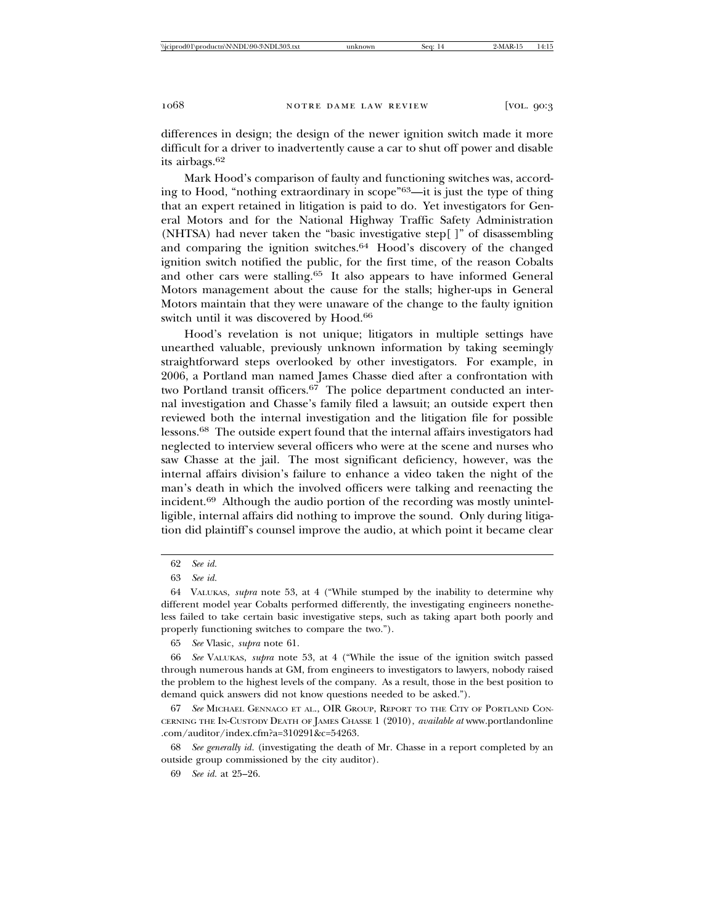differences in design; the design of the newer ignition switch made it more difficult for a driver to inadvertently cause a car to shut off power and disable its airbags.<sup>62</sup>

Mark Hood's comparison of faulty and functioning switches was, according to Hood, "nothing extraordinary in scope"63—it is just the type of thing that an expert retained in litigation is paid to do. Yet investigators for General Motors and for the National Highway Traffic Safety Administration (NHTSA) had never taken the "basic investigative step[ ]" of disassembling and comparing the ignition switches.64 Hood's discovery of the changed ignition switch notified the public, for the first time, of the reason Cobalts and other cars were stalling.65 It also appears to have informed General Motors management about the cause for the stalls; higher-ups in General Motors maintain that they were unaware of the change to the faulty ignition switch until it was discovered by Hood.<sup>66</sup>

Hood's revelation is not unique; litigators in multiple settings have unearthed valuable, previously unknown information by taking seemingly straightforward steps overlooked by other investigators. For example, in 2006, a Portland man named James Chasse died after a confrontation with two Portland transit officers.<sup>67</sup> The police department conducted an internal investigation and Chasse's family filed a lawsuit; an outside expert then reviewed both the internal investigation and the litigation file for possible lessons.68 The outside expert found that the internal affairs investigators had neglected to interview several officers who were at the scene and nurses who saw Chasse at the jail. The most significant deficiency, however, was the internal affairs division's failure to enhance a video taken the night of the man's death in which the involved officers were talking and reenacting the incident.69 Although the audio portion of the recording was mostly unintelligible, internal affairs did nothing to improve the sound. Only during litigation did plaintiff's counsel improve the audio, at which point it became clear

65 *See* Vlasic, *supra* note 61.

67 *See* MICHAEL GENNACO ET AL., OIR GROUP, REPORT TO THE CITY OF PORTLAND CON-CERNING THE IN-CUSTODY DEATH OF JAMES CHASSE 1 (2010), *available at* www.portlandonline .com/auditor/index.cfm?a=310291&c=54263.

68 *See generally id.* (investigating the death of Mr. Chasse in a report completed by an outside group commissioned by the city auditor).

<sup>62</sup> *See id.*

<sup>63</sup> *See id.*

<sup>64</sup> VALUKAS, *supra* note 53, at 4 ("While stumped by the inability to determine why different model year Cobalts performed differently, the investigating engineers nonetheless failed to take certain basic investigative steps, such as taking apart both poorly and properly functioning switches to compare the two.").

<sup>66</sup> *See* VALUKAS, *supra* note 53, at 4 ("While the issue of the ignition switch passed through numerous hands at GM, from engineers to investigators to lawyers, nobody raised the problem to the highest levels of the company. As a result, those in the best position to demand quick answers did not know questions needed to be asked.").

<sup>69</sup> *See id.* at 25–26.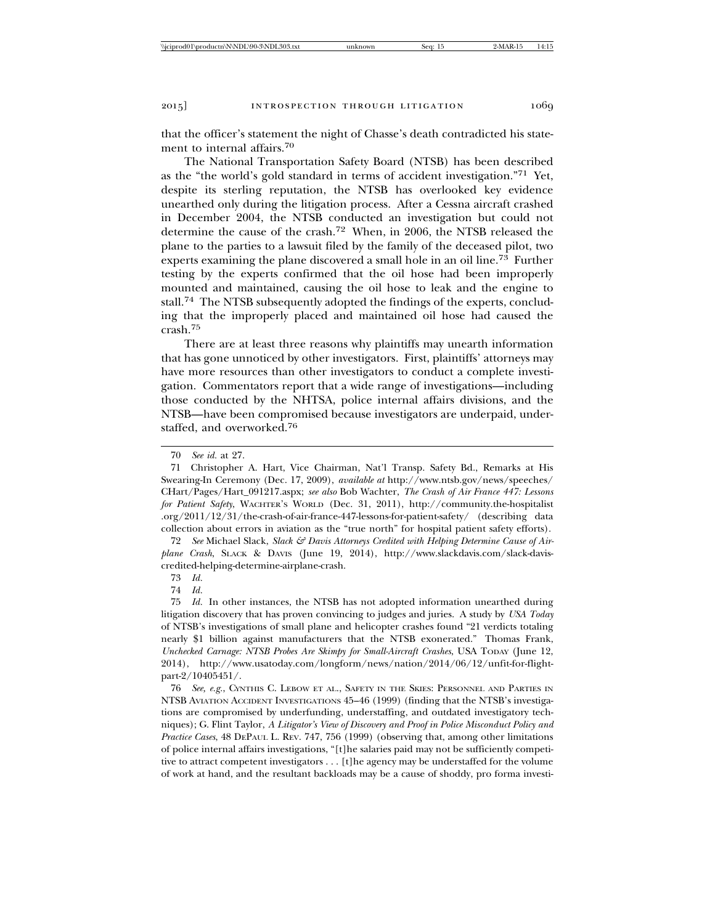that the officer's statement the night of Chasse's death contradicted his statement to internal affairs.<sup>70</sup>

The National Transportation Safety Board (NTSB) has been described as the "the world's gold standard in terms of accident investigation."71 Yet, despite its sterling reputation, the NTSB has overlooked key evidence unearthed only during the litigation process. After a Cessna aircraft crashed in December 2004, the NTSB conducted an investigation but could not determine the cause of the crash.72 When, in 2006, the NTSB released the plane to the parties to a lawsuit filed by the family of the deceased pilot, two experts examining the plane discovered a small hole in an oil line.73 Further testing by the experts confirmed that the oil hose had been improperly mounted and maintained, causing the oil hose to leak and the engine to stall.74 The NTSB subsequently adopted the findings of the experts, concluding that the improperly placed and maintained oil hose had caused the crash.<sup>75</sup>

There are at least three reasons why plaintiffs may unearth information that has gone unnoticed by other investigators. First, plaintiffs' attorneys may have more resources than other investigators to conduct a complete investigation. Commentators report that a wide range of investigations—including those conducted by the NHTSA, police internal affairs divisions, and the NTSB—have been compromised because investigators are underpaid, understaffed, and overworked.<sup>76</sup>

72 *See* Michael Slack, *Slack & Davis Attorneys Credited with Helping Determine Cause of Airplane Crash*, SLACK & DAVIS (June 19, 2014), http://www.slackdavis.com/slack-daviscredited-helping-determine-airplane-crash.

73 *Id.*

74 *Id.*

75 *Id.* In other instances, the NTSB has not adopted information unearthed during litigation discovery that has proven convincing to judges and juries. A study by *USA Today* of NTSB's investigations of small plane and helicopter crashes found "21 verdicts totaling nearly \$1 billion against manufacturers that the NTSB exonerated." Thomas Frank, *Unchecked Carnage: NTSB Probes Are Skimpy for Small-Aircraft Crashes*, USA TODAY (June 12, 2014), http://www.usatoday.com/longform/news/nation/2014/06/12/unfit-for-flightpart-2/10405451/.

76 *See, e.g.*, CYNTHIS C. LEBOW ET AL., SAFETY IN THE SKIES: PERSONNEL AND PARTIES IN NTSB AVIATION ACCIDENT INVESTIGATIONS 45–46 (1999) (finding that the NTSB's investigations are compromised by underfunding, understaffing, and outdated investigatory techniques); G. Flint Taylor, *A Litigator's View of Discovery and Proof in Police Misconduct Policy and Practice Cases*, 48 DEPAUL L. REV. 747, 756 (1999) (observing that, among other limitations of police internal affairs investigations, "[t]he salaries paid may not be sufficiently competitive to attract competent investigators . . . [t]he agency may be understaffed for the volume of work at hand, and the resultant backloads may be a cause of shoddy, pro forma investi-

<sup>70</sup> *See id.* at 27.

<sup>71</sup> Christopher A. Hart, Vice Chairman, Nat'l Transp. Safety Bd., Remarks at His Swearing-In Ceremony (Dec. 17, 2009), *available at* http://www.ntsb.gov/news/speeches/ CHart/Pages/Hart\_091217.aspx; *see also* Bob Wachter, *The Crash of Air France 447: Lessons for Patient Safety*, WACHTER'S WORLD (Dec. 31, 2011), http://community.the-hospitalist .org/2011/12/31/the-crash-of-air-france-447-lessons-for-patient-safety/ (describing data collection about errors in aviation as the "true north" for hospital patient safety efforts).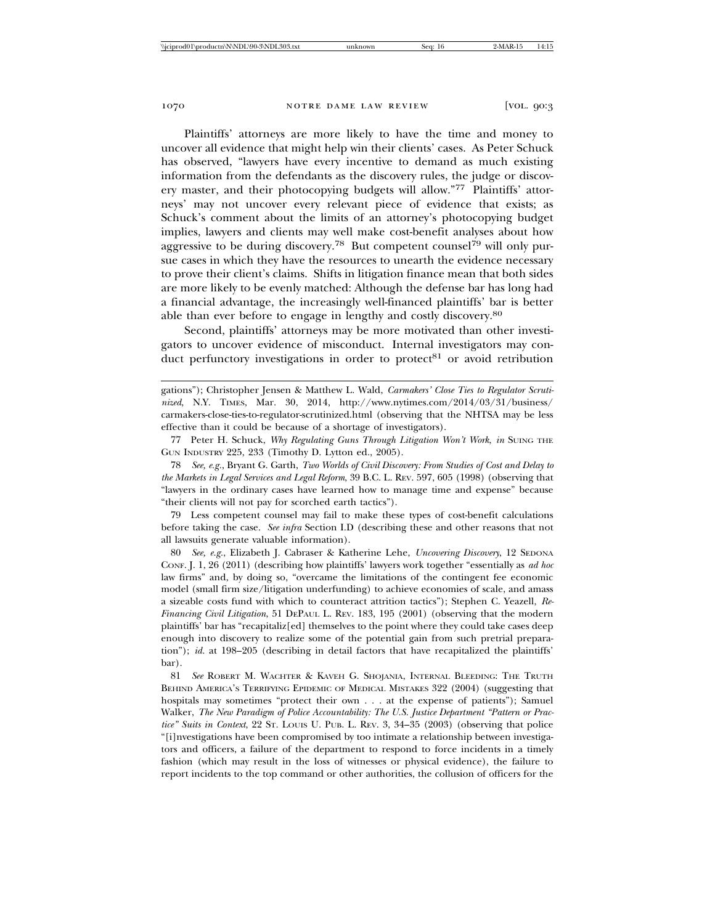Plaintiffs' attorneys are more likely to have the time and money to uncover all evidence that might help win their clients' cases. As Peter Schuck has observed, "lawyers have every incentive to demand as much existing information from the defendants as the discovery rules, the judge or discovery master, and their photocopying budgets will allow."77 Plaintiffs' attorneys' may not uncover every relevant piece of evidence that exists; as Schuck's comment about the limits of an attorney's photocopying budget implies, lawyers and clients may well make cost-benefit analyses about how aggressive to be during discovery.<sup>78</sup> But competent counsel<sup>79</sup> will only pursue cases in which they have the resources to unearth the evidence necessary to prove their client's claims. Shifts in litigation finance mean that both sides are more likely to be evenly matched: Although the defense bar has long had a financial advantage, the increasingly well-financed plaintiffs' bar is better able than ever before to engage in lengthy and costly discovery.<sup>80</sup>

Second, plaintiffs' attorneys may be more motivated than other investigators to uncover evidence of misconduct. Internal investigators may conduct perfunctory investigations in order to protect<sup>81</sup> or avoid retribution

77 Peter H. Schuck, *Why Regulating Guns Through Litigation Won't Work*, *in* SUING THE GUN INDUSTRY 225, 233 (Timothy D. Lytton ed., 2005).

78 *See, e.g.*, Bryant G. Garth, *Two Worlds of Civil Discovery: From Studies of Cost and Delay to the Markets in Legal Services and Legal Reform*, 39 B.C. L. REV. 597, 605 (1998) (observing that "lawyers in the ordinary cases have learned how to manage time and expense" because "their clients will not pay for scorched earth tactics").

79 Less competent counsel may fail to make these types of cost-benefit calculations before taking the case. *See infra* Section I.D (describing these and other reasons that not all lawsuits generate valuable information).

80 *See, e.g.*, Elizabeth J. Cabraser & Katherine Lehe, *Uncovering Discovery*, 12 SEDONA CONF. J. 1, 26 (2011) (describing how plaintiffs' lawyers work together "essentially as *ad hoc* law firms" and, by doing so, "overcame the limitations of the contingent fee economic model (small firm size/litigation underfunding) to achieve economies of scale, and amass a sizeable costs fund with which to counteract attrition tactics"); Stephen C. Yeazell, *Re-Financing Civil Litigation*, 51 DEPAUL L. REV. 183, 195 (2001) (observing that the modern plaintiffs' bar has "recapitaliz[ed] themselves to the point where they could take cases deep enough into discovery to realize some of the potential gain from such pretrial preparation"); *id.* at 198–205 (describing in detail factors that have recapitalized the plaintiffs' bar).

81 *See* ROBERT M. WACHTER & KAVEH G. SHOJANIA, INTERNAL BLEEDING: THE TRUTH BEHIND AMERICA'S TERRIFYING EPIDEMIC OF MEDICAL MISTAKES 322 (2004) (suggesting that hospitals may sometimes "protect their own . . . at the expense of patients"); Samuel Walker, *The New Paradigm of Police Accountability: The U.S. Justice Department "Pattern or Practice" Suits in Context*, 22 ST. LOUIS U. PUB. L. REV. 3, 34–35 (2003) (observing that police "[i]nvestigations have been compromised by too intimate a relationship between investigators and officers, a failure of the department to respond to force incidents in a timely fashion (which may result in the loss of witnesses or physical evidence), the failure to report incidents to the top command or other authorities, the collusion of officers for the

gations"); Christopher Jensen & Matthew L. Wald, *Carmakers' Close Ties to Regulator Scrutinized*, N.Y. TIMES, Mar. 30, 2014, http://www.nytimes.com/2014/03/31/business/ carmakers-close-ties-to-regulator-scrutinized.html (observing that the NHTSA may be less effective than it could be because of a shortage of investigators).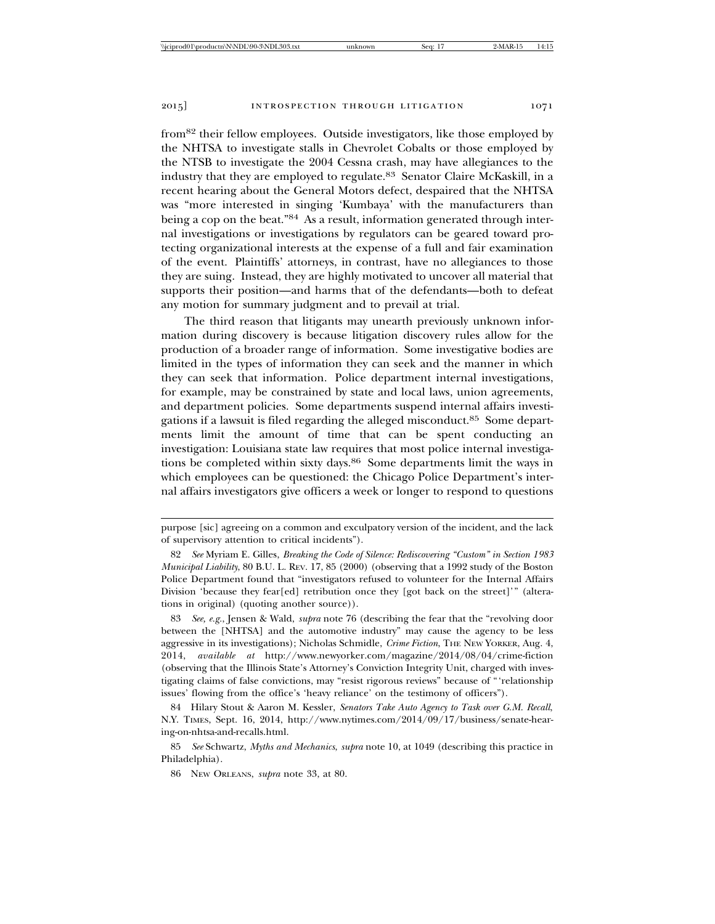from82 their fellow employees. Outside investigators, like those employed by the NHTSA to investigate stalls in Chevrolet Cobalts or those employed by the NTSB to investigate the 2004 Cessna crash, may have allegiances to the industry that they are employed to regulate.83 Senator Claire McKaskill, in a recent hearing about the General Motors defect, despaired that the NHTSA was "more interested in singing 'Kumbaya' with the manufacturers than being a cop on the beat."<sup>84</sup> As a result, information generated through internal investigations or investigations by regulators can be geared toward protecting organizational interests at the expense of a full and fair examination of the event. Plaintiffs' attorneys, in contrast, have no allegiances to those they are suing. Instead, they are highly motivated to uncover all material that supports their position—and harms that of the defendants—both to defeat any motion for summary judgment and to prevail at trial.

The third reason that litigants may unearth previously unknown information during discovery is because litigation discovery rules allow for the production of a broader range of information. Some investigative bodies are limited in the types of information they can seek and the manner in which they can seek that information. Police department internal investigations, for example, may be constrained by state and local laws, union agreements, and department policies. Some departments suspend internal affairs investigations if a lawsuit is filed regarding the alleged misconduct.85 Some departments limit the amount of time that can be spent conducting an investigation: Louisiana state law requires that most police internal investigations be completed within sixty days.<sup>86</sup> Some departments limit the ways in which employees can be questioned: the Chicago Police Department's internal affairs investigators give officers a week or longer to respond to questions

purpose [sic] agreeing on a common and exculpatory version of the incident, and the lack of supervisory attention to critical incidents").

<sup>82</sup> *See* Myriam E. Gilles, *Breaking the Code of Silence: Rediscovering "Custom" in Section 1983 Municipal Liability*, 80 B.U. L. REV. 17, 85 (2000) (observing that a 1992 study of the Boston Police Department found that "investigators refused to volunteer for the Internal Affairs Division 'because they fear[ed] retribution once they [got back on the street]'" (alterations in original) (quoting another source)).

<sup>83</sup> *See, e.g.*, Jensen & Wald, *supra* note 76 (describing the fear that the "revolving door between the [NHTSA] and the automotive industry" may cause the agency to be less aggressive in its investigations); Nicholas Schmidle, *Crime Fiction*, THE NEW YORKER, Aug. 4, 2014, *available at* http://www.newyorker.com/magazine/2014/08/04/crime-fiction (observing that the Illinois State's Attorney's Conviction Integrity Unit, charged with investigating claims of false convictions, may "resist rigorous reviews" because of "'relationship issues' flowing from the office's 'heavy reliance' on the testimony of officers").

<sup>84</sup> Hilary Stout & Aaron M. Kessler, *Senators Take Auto Agency to Task over G.M. Recall*, N.Y. TIMES, Sept. 16, 2014, http://www.nytimes.com/2014/09/17/business/senate-hearing-on-nhtsa-and-recalls.html.

<sup>85</sup> *See* Schwartz, *Myths and Mechanics*, *supra* note 10, at 1049 (describing this practice in Philadelphia).

<sup>86</sup> NEW ORLEANS, *supra* note 33, at 80.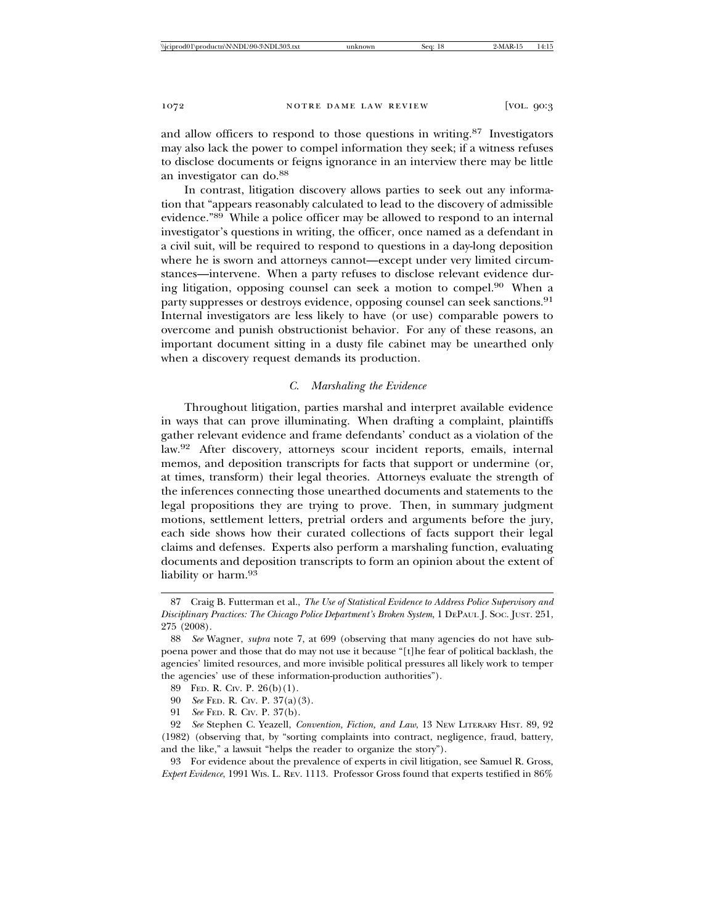and allow officers to respond to those questions in writing.87 Investigators may also lack the power to compel information they seek; if a witness refuses to disclose documents or feigns ignorance in an interview there may be little an investigator can do.<sup>88</sup>

In contrast, litigation discovery allows parties to seek out any information that "appears reasonably calculated to lead to the discovery of admissible evidence."89 While a police officer may be allowed to respond to an internal investigator's questions in writing, the officer, once named as a defendant in a civil suit, will be required to respond to questions in a day-long deposition where he is sworn and attorneys cannot—except under very limited circumstances—intervene. When a party refuses to disclose relevant evidence during litigation, opposing counsel can seek a motion to compel.90 When a party suppresses or destroys evidence, opposing counsel can seek sanctions.<sup>91</sup> Internal investigators are less likely to have (or use) comparable powers to overcome and punish obstructionist behavior. For any of these reasons, an important document sitting in a dusty file cabinet may be unearthed only when a discovery request demands its production.

## *C. Marshaling the Evidence*

Throughout litigation, parties marshal and interpret available evidence in ways that can prove illuminating. When drafting a complaint, plaintiffs gather relevant evidence and frame defendants' conduct as a violation of the law.92 After discovery, attorneys scour incident reports, emails, internal memos, and deposition transcripts for facts that support or undermine (or, at times, transform) their legal theories. Attorneys evaluate the strength of the inferences connecting those unearthed documents and statements to the legal propositions they are trying to prove. Then, in summary judgment motions, settlement letters, pretrial orders and arguments before the jury, each side shows how their curated collections of facts support their legal claims and defenses. Experts also perform a marshaling function, evaluating documents and deposition transcripts to form an opinion about the extent of liability or harm.<sup>93</sup>

<sup>87</sup> Craig B. Futterman et al., *The Use of Statistical Evidence to Address Police Supervisory and Disciplinary Practices: The Chicago Police Department's Broken System*, 1 DEPAUL J. SOC. JUST. 251, 275 (2008).

<sup>88</sup> *See* Wagner, *supra* note 7, at 699 (observing that many agencies do not have subpoena power and those that do may not use it because "[t]he fear of political backlash, the agencies' limited resources, and more invisible political pressures all likely work to temper the agencies' use of these information-production authorities").

<sup>89</sup> FED. R. CIV. P. 26(b)(1).

<sup>90</sup> *See* FED. R. CIV. P. 37(a)(3).

<sup>91</sup> *See* FED. R. CIV. P. 37(b).

<sup>92</sup> *See* Stephen C. Yeazell, *Convention, Fiction, and Law*, 13 NEW LITERARY HIST. 89, 92 (1982) (observing that, by "sorting complaints into contract, negligence, fraud, battery, and the like," a lawsuit "helps the reader to organize the story").

<sup>93</sup> For evidence about the prevalence of experts in civil litigation, see Samuel R. Gross, *Expert Evidence*, 1991 WIS. L. REV. 1113. Professor Gross found that experts testified in 86%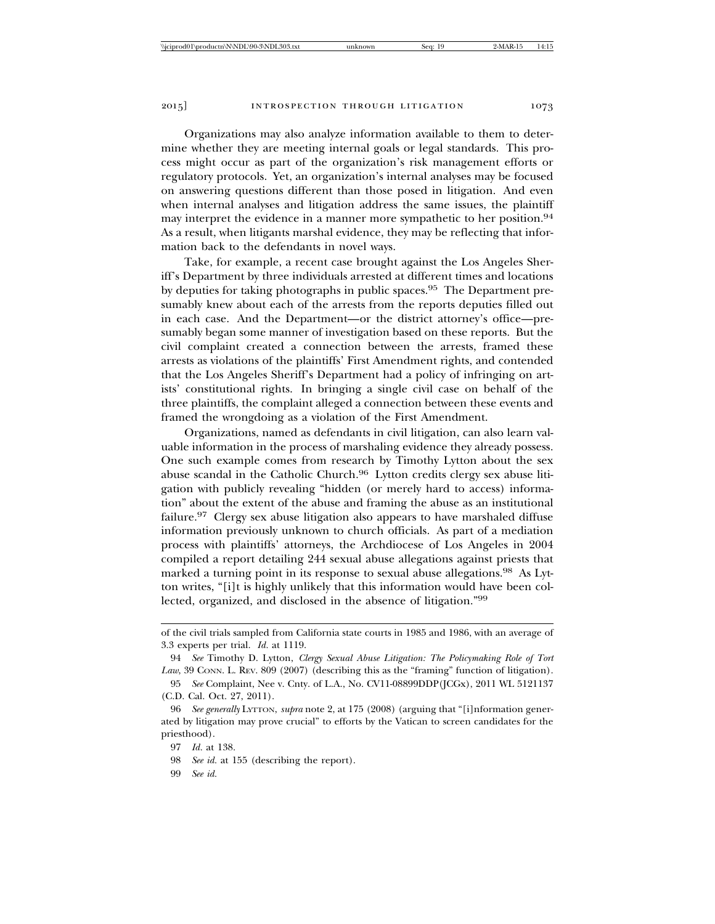Organizations may also analyze information available to them to determine whether they are meeting internal goals or legal standards. This process might occur as part of the organization's risk management efforts or regulatory protocols. Yet, an organization's internal analyses may be focused on answering questions different than those posed in litigation. And even when internal analyses and litigation address the same issues, the plaintiff may interpret the evidence in a manner more sympathetic to her position.<sup>94</sup> As a result, when litigants marshal evidence, they may be reflecting that information back to the defendants in novel ways.

Take, for example, a recent case brought against the Los Angeles Sheriff's Department by three individuals arrested at different times and locations by deputies for taking photographs in public spaces.95 The Department presumably knew about each of the arrests from the reports deputies filled out in each case. And the Department—or the district attorney's office—presumably began some manner of investigation based on these reports. But the civil complaint created a connection between the arrests, framed these arrests as violations of the plaintiffs' First Amendment rights, and contended that the Los Angeles Sheriff's Department had a policy of infringing on artists' constitutional rights. In bringing a single civil case on behalf of the three plaintiffs, the complaint alleged a connection between these events and framed the wrongdoing as a violation of the First Amendment.

Organizations, named as defendants in civil litigation, can also learn valuable information in the process of marshaling evidence they already possess. One such example comes from research by Timothy Lytton about the sex abuse scandal in the Catholic Church.<sup>96</sup> Lytton credits clergy sex abuse litigation with publicly revealing "hidden (or merely hard to access) information" about the extent of the abuse and framing the abuse as an institutional failure.97 Clergy sex abuse litigation also appears to have marshaled diffuse information previously unknown to church officials. As part of a mediation process with plaintiffs' attorneys, the Archdiocese of Los Angeles in 2004 compiled a report detailing 244 sexual abuse allegations against priests that marked a turning point in its response to sexual abuse allegations.<sup>98</sup> As Lytton writes, "[i]t is highly unlikely that this information would have been collected, organized, and disclosed in the absence of litigation."<sup>99</sup>

99 *See id.*

of the civil trials sampled from California state courts in 1985 and 1986, with an average of 3.3 experts per trial. *Id.* at 1119.

<sup>94</sup> *See* Timothy D. Lytton, *Clergy Sexual Abuse Litigation: The Policymaking Role of Tort* Law, 39 CONN. L. REV. 809 (2007) (describing this as the "framing" function of litigation).

<sup>95</sup> *See* Complaint, Nee v. Cnty. of L.A., No. CV11-08899DDP(JCGx), 2011 WL 5121137 (C.D. Cal. Oct. 27, 2011).

<sup>96</sup> *See generally* LYTTON, *supra* note 2, at 175 (2008) (arguing that "[i]nformation generated by litigation may prove crucial" to efforts by the Vatican to screen candidates for the priesthood).

<sup>97</sup> *Id.* at 138.

<sup>98</sup> *See id.* at 155 (describing the report).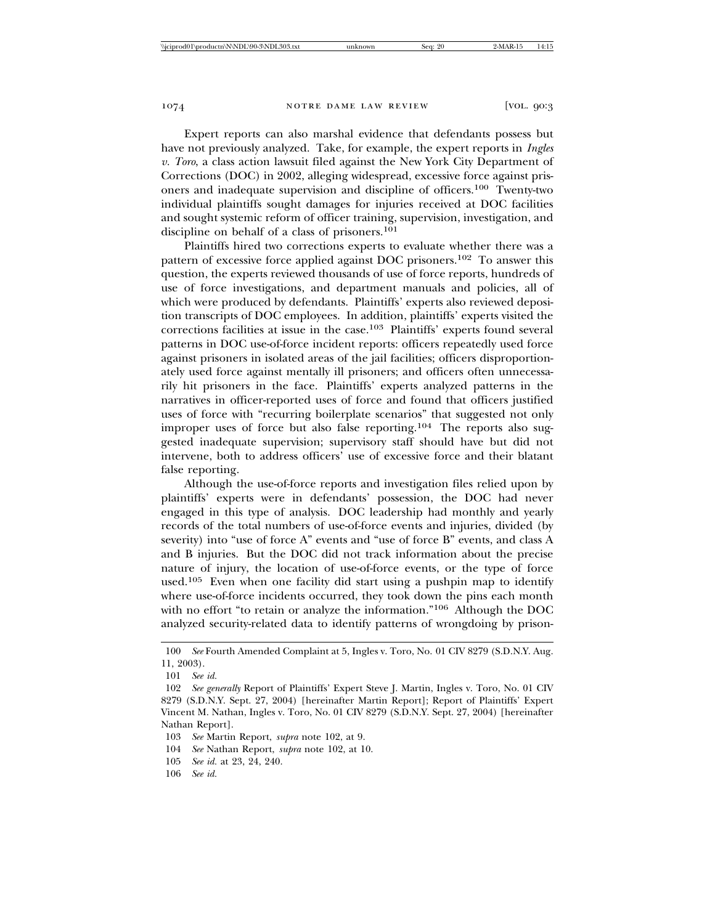Expert reports can also marshal evidence that defendants possess but have not previously analyzed. Take, for example, the expert reports in *Ingles v. Toro*, a class action lawsuit filed against the New York City Department of Corrections (DOC) in 2002, alleging widespread, excessive force against prisoners and inadequate supervision and discipline of officers.100 Twenty-two individual plaintiffs sought damages for injuries received at DOC facilities and sought systemic reform of officer training, supervision, investigation, and discipline on behalf of a class of prisoners.<sup>101</sup>

Plaintiffs hired two corrections experts to evaluate whether there was a pattern of excessive force applied against DOC prisoners.102 To answer this question, the experts reviewed thousands of use of force reports, hundreds of use of force investigations, and department manuals and policies, all of which were produced by defendants. Plaintiffs' experts also reviewed deposition transcripts of DOC employees. In addition, plaintiffs' experts visited the corrections facilities at issue in the case.103 Plaintiffs' experts found several patterns in DOC use-of-force incident reports: officers repeatedly used force against prisoners in isolated areas of the jail facilities; officers disproportionately used force against mentally ill prisoners; and officers often unnecessarily hit prisoners in the face. Plaintiffs' experts analyzed patterns in the narratives in officer-reported uses of force and found that officers justified uses of force with "recurring boilerplate scenarios" that suggested not only improper uses of force but also false reporting.104 The reports also suggested inadequate supervision; supervisory staff should have but did not intervene, both to address officers' use of excessive force and their blatant false reporting.

Although the use-of-force reports and investigation files relied upon by plaintiffs' experts were in defendants' possession, the DOC had never engaged in this type of analysis. DOC leadership had monthly and yearly records of the total numbers of use-of-force events and injuries, divided (by severity) into "use of force A" events and "use of force B" events, and class A and B injuries. But the DOC did not track information about the precise nature of injury, the location of use-of-force events, or the type of force used.105 Even when one facility did start using a pushpin map to identify where use-of-force incidents occurred, they took down the pins each month with no effort "to retain or analyze the information."<sup>106</sup> Although the DOC analyzed security-related data to identify patterns of wrongdoing by prison-

104 *See* Nathan Report, *supra* note 102, at 10.

106 *See id.*

<sup>100</sup> *See* Fourth Amended Complaint at 5, Ingles v. Toro, No. 01 CIV 8279 (S.D.N.Y. Aug. 11, 2003).

<sup>101</sup> *See id.*

<sup>102</sup> *See generally* Report of Plaintiffs' Expert Steve J. Martin, Ingles v. Toro, No. 01 CIV 8279 (S.D.N.Y. Sept. 27, 2004) [hereinafter Martin Report]; Report of Plaintiffs' Expert Vincent M. Nathan, Ingles v. Toro, No. 01 CIV 8279 (S.D.N.Y. Sept. 27, 2004) [hereinafter Nathan Report].

<sup>103</sup> *See* Martin Report, *supra* note 102, at 9.

<sup>105</sup> *See id.* at 23, 24, 240.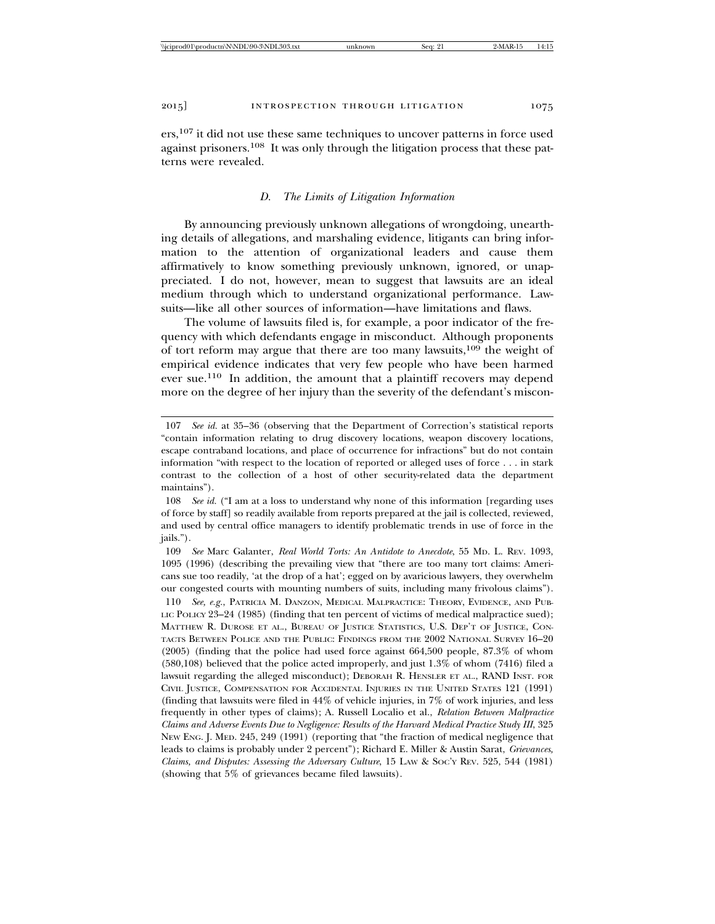ers,107 it did not use these same techniques to uncover patterns in force used against prisoners.108 It was only through the litigation process that these patterns were revealed.

### *D. The Limits of Litigation Information*

By announcing previously unknown allegations of wrongdoing, unearthing details of allegations, and marshaling evidence, litigants can bring information to the attention of organizational leaders and cause them affirmatively to know something previously unknown, ignored, or unappreciated. I do not, however, mean to suggest that lawsuits are an ideal medium through which to understand organizational performance. Lawsuits—like all other sources of information—have limitations and flaws.

The volume of lawsuits filed is, for example, a poor indicator of the frequency with which defendants engage in misconduct. Although proponents of tort reform may argue that there are too many lawsuits,109 the weight of empirical evidence indicates that very few people who have been harmed ever sue.110 In addition, the amount that a plaintiff recovers may depend more on the degree of her injury than the severity of the defendant's miscon-

109 *See* Marc Galanter, *Real World Torts: An Antidote to Anecdote*, 55 MD. L. REV. 1093, 1095 (1996) (describing the prevailing view that "there are too many tort claims: Americans sue too readily, 'at the drop of a hat'; egged on by avaricious lawyers, they overwhelm our congested courts with mounting numbers of suits, including many frivolous claims").

110 *See, e.g.*, PATRICIA M. DANZON, MEDICAL MALPRACTICE: THEORY, EVIDENCE, AND PUB-LIC POLICY 23-24 (1985) (finding that ten percent of victims of medical malpractice sued); MATTHEW R. DUROSE ET AL., BUREAU OF JUSTICE STATISTICS, U.S. DEP'T OF JUSTICE, CON-TACTS BETWEEN POLICE AND THE PUBLIC: FINDINGS FROM THE 2002 NATIONAL SURVEY 16–20 (2005) (finding that the police had used force against 664,500 people, 87.3% of whom (580,108) believed that the police acted improperly, and just 1.3% of whom (7416) filed a lawsuit regarding the alleged misconduct); DEBORAH R. HENSLER ET AL., RAND INST. FOR CIVIL JUSTICE, COMPENSATION FOR ACCIDENTAL INJURIES IN THE UNITED STATES 121 (1991) (finding that lawsuits were filed in 44% of vehicle injuries, in 7% of work injuries, and less frequently in other types of claims); A. Russell Localio et al., *Relation Between Malpractice Claims and Adverse Events Due to Negligence: Results of the Harvard Medical Practice Study III*, 325 NEW ENG. J. MED. 245, 249 (1991) (reporting that "the fraction of medical negligence that leads to claims is probably under 2 percent"); Richard E. Miller & Austin Sarat, *Grievances, Claims, and Disputes: Assessing the Adversary Culture*, 15 LAW & SOC'Y REV. 525, 544 (1981) (showing that 5% of grievances became filed lawsuits).

<sup>107</sup> *See id.* at 35–36 (observing that the Department of Correction's statistical reports "contain information relating to drug discovery locations, weapon discovery locations, escape contraband locations, and place of occurrence for infractions" but do not contain information "with respect to the location of reported or alleged uses of force . . . in stark contrast to the collection of a host of other security-related data the department maintains").

<sup>108</sup> *See id.* ("I am at a loss to understand why none of this information [regarding uses of force by staff] so readily available from reports prepared at the jail is collected, reviewed, and used by central office managers to identify problematic trends in use of force in the jails.").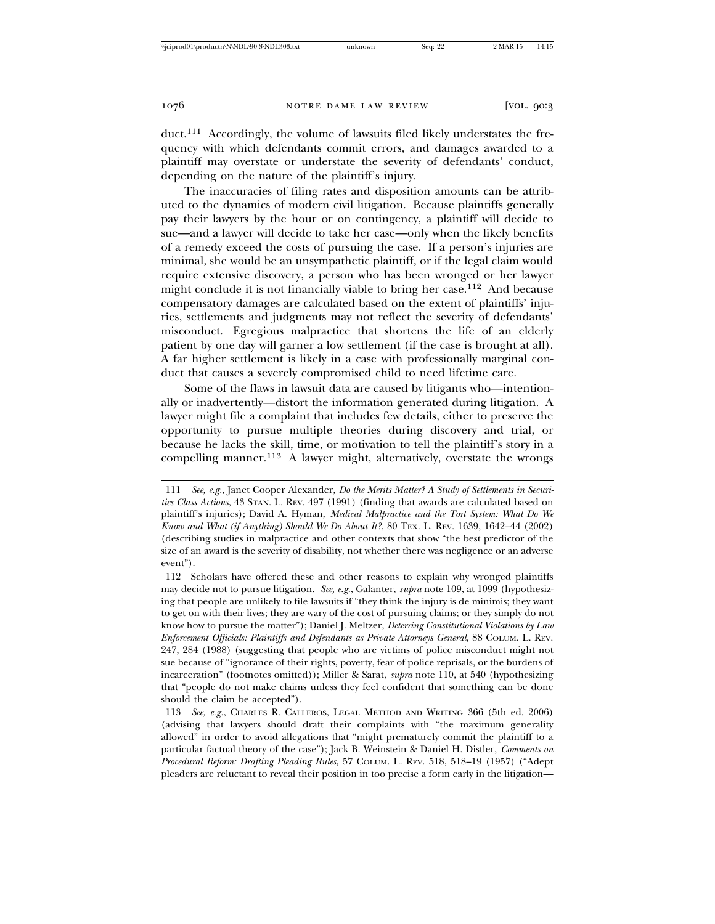duct.111 Accordingly, the volume of lawsuits filed likely understates the frequency with which defendants commit errors, and damages awarded to a plaintiff may overstate or understate the severity of defendants' conduct, depending on the nature of the plaintiff's injury.

The inaccuracies of filing rates and disposition amounts can be attributed to the dynamics of modern civil litigation. Because plaintiffs generally pay their lawyers by the hour or on contingency, a plaintiff will decide to sue—and a lawyer will decide to take her case—only when the likely benefits of a remedy exceed the costs of pursuing the case. If a person's injuries are minimal, she would be an unsympathetic plaintiff, or if the legal claim would require extensive discovery, a person who has been wronged or her lawyer might conclude it is not financially viable to bring her case.<sup>112</sup> And because compensatory damages are calculated based on the extent of plaintiffs' injuries, settlements and judgments may not reflect the severity of defendants' misconduct. Egregious malpractice that shortens the life of an elderly patient by one day will garner a low settlement (if the case is brought at all). A far higher settlement is likely in a case with professionally marginal conduct that causes a severely compromised child to need lifetime care.

Some of the flaws in lawsuit data are caused by litigants who—intentionally or inadvertently—distort the information generated during litigation. A lawyer might file a complaint that includes few details, either to preserve the opportunity to pursue multiple theories during discovery and trial, or because he lacks the skill, time, or motivation to tell the plaintiff's story in a compelling manner.<sup>113</sup> A lawyer might, alternatively, overstate the wrongs

<sup>111</sup> *See, e.g.*, Janet Cooper Alexander, *Do the Merits Matter? A Study of Settlements in Securities Class Actions*, 43 STAN. L. REV. 497 (1991) (finding that awards are calculated based on plaintiff's injuries); David A. Hyman, *Medical Malpractice and the Tort System: What Do We Know and What (if Anything) Should We Do About It?*, 80 TEX. L. REV. 1639, 1642–44 (2002) (describing studies in malpractice and other contexts that show "the best predictor of the size of an award is the severity of disability, not whether there was negligence or an adverse event").

<sup>112</sup> Scholars have offered these and other reasons to explain why wronged plaintiffs may decide not to pursue litigation. *See, e.g.*, Galanter, *supra* note 109, at 1099 (hypothesizing that people are unlikely to file lawsuits if "they think the injury is de minimis; they want to get on with their lives; they are wary of the cost of pursuing claims; or they simply do not know how to pursue the matter"); Daniel J. Meltzer, *Deterring Constitutional Violations by Law Enforcement Officials: Plaintiffs and Defendants as Private Attorneys General*, 88 COLUM. L. REV. 247, 284 (1988) (suggesting that people who are victims of police misconduct might not sue because of "ignorance of their rights, poverty, fear of police reprisals, or the burdens of incarceration" (footnotes omitted)); Miller & Sarat, *supra* note 110, at 540 (hypothesizing that "people do not make claims unless they feel confident that something can be done should the claim be accepted").

<sup>113</sup> *See, e.g.*, CHARLES R. CALLEROS, LEGAL METHOD AND WRITING 366 (5th ed. 2006) (advising that lawyers should draft their complaints with "the maximum generality allowed" in order to avoid allegations that "might prematurely commit the plaintiff to a particular factual theory of the case"); Jack B. Weinstein & Daniel H. Distler, *Comments on Procedural Reform: Drafting Pleading Rules*, 57 COLUM. L. REV. 518, 518–19 (1957) ("Adept pleaders are reluctant to reveal their position in too precise a form early in the litigation—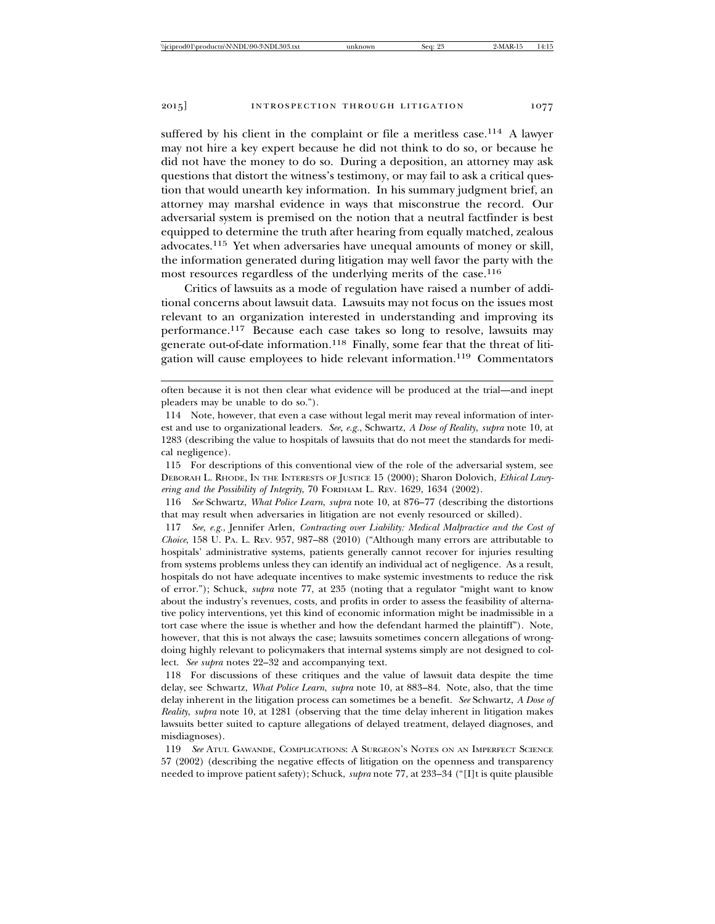suffered by his client in the complaint or file a meritless case.<sup>114</sup> A lawyer may not hire a key expert because he did not think to do so, or because he did not have the money to do so. During a deposition, an attorney may ask questions that distort the witness's testimony, or may fail to ask a critical question that would unearth key information. In his summary judgment brief, an attorney may marshal evidence in ways that misconstrue the record. Our adversarial system is premised on the notion that a neutral factfinder is best equipped to determine the truth after hearing from equally matched, zealous advocates.115 Yet when adversaries have unequal amounts of money or skill, the information generated during litigation may well favor the party with the most resources regardless of the underlying merits of the case.<sup>116</sup>

Critics of lawsuits as a mode of regulation have raised a number of additional concerns about lawsuit data. Lawsuits may not focus on the issues most relevant to an organization interested in understanding and improving its performance.117 Because each case takes so long to resolve, lawsuits may generate out-of-date information.118 Finally, some fear that the threat of litigation will cause employees to hide relevant information.119 Commentators

often because it is not then clear what evidence will be produced at the trial—and inept pleaders may be unable to do so.").

<sup>114</sup> Note, however, that even a case without legal merit may reveal information of interest and use to organizational leaders. *See, e.g.*, Schwartz, *A Dose of Reality*, *supra* note 10, at 1283 (describing the value to hospitals of lawsuits that do not meet the standards for medical negligence).

<sup>115</sup> For descriptions of this conventional view of the role of the adversarial system, see DEBORAH L. RHODE, IN THE INTERESTS OF JUSTICE 15 (2000); Sharon Dolovich, *Ethical Lawyering and the Possibility of Integrity*, 70 FORDHAM L. REV. 1629, 1634 (2002).

<sup>116</sup> *See* Schwartz, *What Police Learn*, *supra* note 10, at 876–77 (describing the distortions that may result when adversaries in litigation are not evenly resourced or skilled).

<sup>117</sup> *See, e.g.*, Jennifer Arlen, *Contracting over Liability: Medical Malpractice and the Cost of Choice*, 158 U. PA. L. REV. 957, 987–88 (2010) ("Although many errors are attributable to hospitals' administrative systems, patients generally cannot recover for injuries resulting from systems problems unless they can identify an individual act of negligence. As a result, hospitals do not have adequate incentives to make systemic investments to reduce the risk of error."); Schuck, *supra* note 77, at 235 (noting that a regulator "might want to know about the industry's revenues, costs, and profits in order to assess the feasibility of alternative policy interventions, yet this kind of economic information might be inadmissible in a tort case where the issue is whether and how the defendant harmed the plaintiff"). Note, however, that this is not always the case; lawsuits sometimes concern allegations of wrongdoing highly relevant to policymakers that internal systems simply are not designed to collect. *See supra* notes 22–32 and accompanying text.

<sup>118</sup> For discussions of these critiques and the value of lawsuit data despite the time delay, see Schwartz, *What Police Learn*, *supra* note 10, at 883–84. Note, also, that the time delay inherent in the litigation process can sometimes be a benefit. *See* Schwartz, *A Dose of Reality*, *supra* note 10, at 1281 (observing that the time delay inherent in litigation makes lawsuits better suited to capture allegations of delayed treatment, delayed diagnoses, and misdiagnoses).

<sup>119</sup> *See* ATUL GAWANDE, COMPLICATIONS: A SURGEON'S NOTES ON AN IMPERFECT SCIENCE 57 (2002) (describing the negative effects of litigation on the openness and transparency needed to improve patient safety); Schuck, *supra* note 77, at 233–34 ("[I]t is quite plausible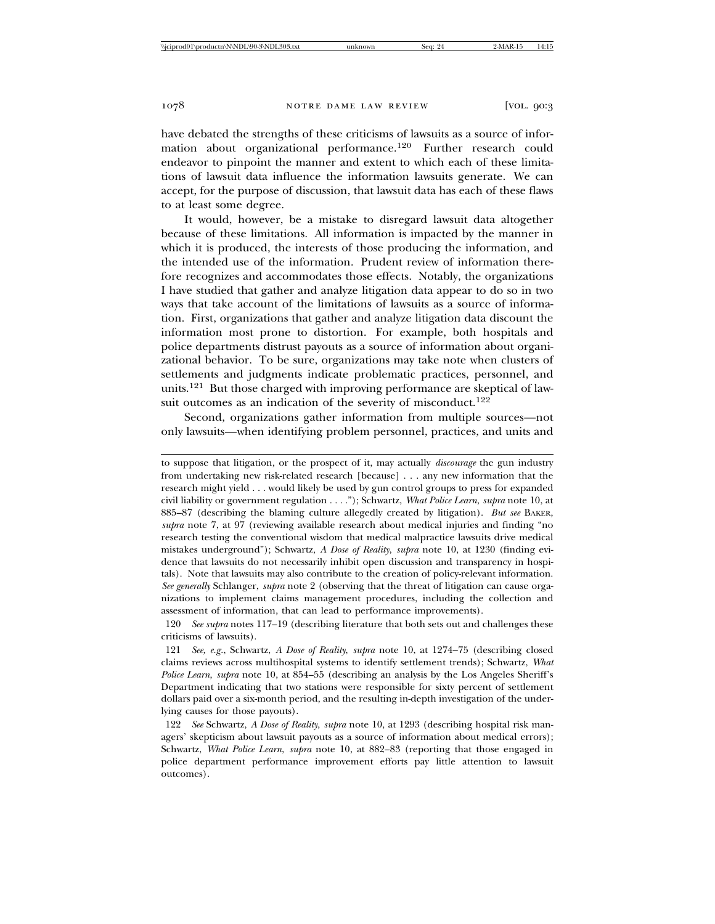have debated the strengths of these criticisms of lawsuits as a source of information about organizational performance.120 Further research could endeavor to pinpoint the manner and extent to which each of these limitations of lawsuit data influence the information lawsuits generate. We can accept, for the purpose of discussion, that lawsuit data has each of these flaws to at least some degree.

It would, however, be a mistake to disregard lawsuit data altogether because of these limitations. All information is impacted by the manner in which it is produced, the interests of those producing the information, and the intended use of the information. Prudent review of information therefore recognizes and accommodates those effects. Notably, the organizations I have studied that gather and analyze litigation data appear to do so in two ways that take account of the limitations of lawsuits as a source of information. First, organizations that gather and analyze litigation data discount the information most prone to distortion. For example, both hospitals and police departments distrust payouts as a source of information about organizational behavior. To be sure, organizations may take note when clusters of settlements and judgments indicate problematic practices, personnel, and units.121 But those charged with improving performance are skeptical of lawsuit outcomes as an indication of the severity of misconduct.<sup>122</sup>

Second, organizations gather information from multiple sources—not only lawsuits—when identifying problem personnel, practices, and units and

120 *See supra* notes 117–19 (describing literature that both sets out and challenges these criticisms of lawsuits).

121 *See, e.g.*, Schwartz, *A Dose of Reality*, *supra* note 10, at 1274–75 (describing closed claims reviews across multihospital systems to identify settlement trends); Schwartz, *What Police Learn*, *supra* note 10, at 854–55 (describing an analysis by the Los Angeles Sheriff's Department indicating that two stations were responsible for sixty percent of settlement dollars paid over a six-month period, and the resulting in-depth investigation of the underlying causes for those payouts).

122 *See* Schwartz, *A Dose of Reality*, *supra* note 10, at 1293 (describing hospital risk managers' skepticism about lawsuit payouts as a source of information about medical errors); Schwartz, *What Police Learn*, *supra* note 10, at 882–83 (reporting that those engaged in police department performance improvement efforts pay little attention to lawsuit outcomes).

to suppose that litigation, or the prospect of it, may actually *discourage* the gun industry from undertaking new risk-related research [because] . . . any new information that the research might yield . . . would likely be used by gun control groups to press for expanded civil liability or government regulation . . . ."); Schwartz, *What Police Learn*, *supra* note 10, at 885–87 (describing the blaming culture allegedly created by litigation). *But see* BAKER, *supra* note 7, at 97 (reviewing available research about medical injuries and finding "no research testing the conventional wisdom that medical malpractice lawsuits drive medical mistakes underground"); Schwartz, *A Dose of Reality*, *supra* note 10, at 1230 (finding evidence that lawsuits do not necessarily inhibit open discussion and transparency in hospitals). Note that lawsuits may also contribute to the creation of policy-relevant information. *See generally* Schlanger, *supra* note 2 (observing that the threat of litigation can cause organizations to implement claims management procedures, including the collection and assessment of information, that can lead to performance improvements).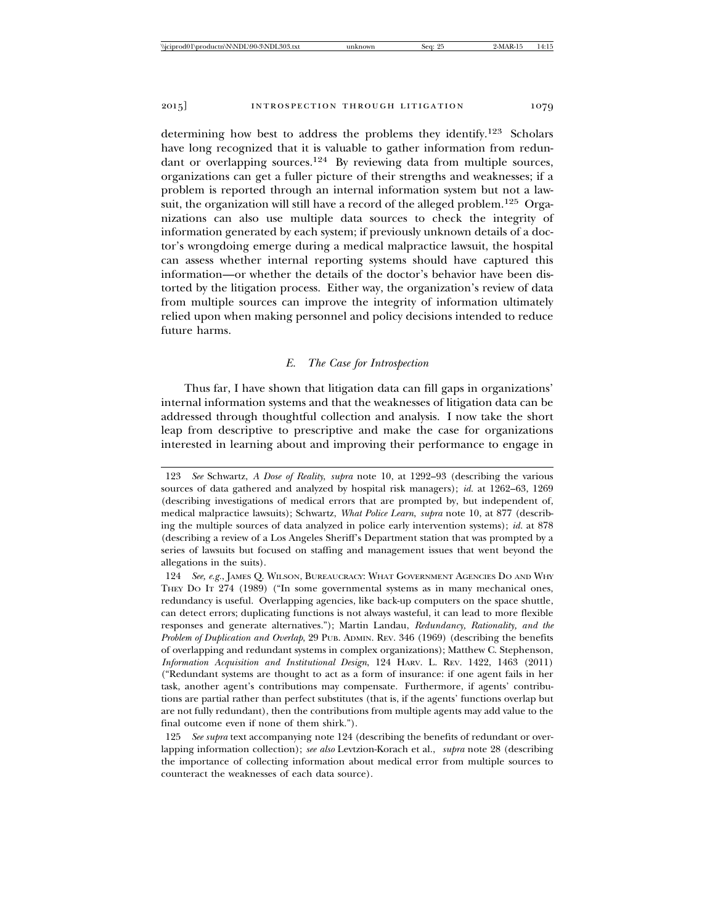determining how best to address the problems they identify.123 Scholars have long recognized that it is valuable to gather information from redundant or overlapping sources.124 By reviewing data from multiple sources, organizations can get a fuller picture of their strengths and weaknesses; if a problem is reported through an internal information system but not a lawsuit, the organization will still have a record of the alleged problem.<sup>125</sup> Organizations can also use multiple data sources to check the integrity of information generated by each system; if previously unknown details of a doctor's wrongdoing emerge during a medical malpractice lawsuit, the hospital can assess whether internal reporting systems should have captured this information—or whether the details of the doctor's behavior have been distorted by the litigation process. Either way, the organization's review of data from multiple sources can improve the integrity of information ultimately relied upon when making personnel and policy decisions intended to reduce future harms.

## *E. The Case for Introspection*

Thus far, I have shown that litigation data can fill gaps in organizations' internal information systems and that the weaknesses of litigation data can be addressed through thoughtful collection and analysis. I now take the short leap from descriptive to prescriptive and make the case for organizations interested in learning about and improving their performance to engage in

125 *See supra* text accompanying note 124 (describing the benefits of redundant or overlapping information collection); *see also* Levtzion-Korach et al., *supra* note 28 (describing the importance of collecting information about medical error from multiple sources to counteract the weaknesses of each data source).

<sup>123</sup> *See* Schwartz, *A Dose of Reality*, *supra* note 10, at 1292–93 (describing the various sources of data gathered and analyzed by hospital risk managers); *id.* at 1262–63, 1269 (describing investigations of medical errors that are prompted by, but independent of, medical malpractice lawsuits); Schwartz, *What Police Learn*, *supra* note 10, at 877 (describing the multiple sources of data analyzed in police early intervention systems); *id.* at 878 (describing a review of a Los Angeles Sheriff's Department station that was prompted by a series of lawsuits but focused on staffing and management issues that went beyond the allegations in the suits).

<sup>124</sup> *See, e.g.*, JAMES Q. WILSON, BUREAUCRACY: WHAT GOVERNMENT AGENCIES DO AND WHY THEY DO IT 274 (1989) ("In some governmental systems as in many mechanical ones, redundancy is useful. Overlapping agencies, like back-up computers on the space shuttle, can detect errors; duplicating functions is not always wasteful, it can lead to more flexible responses and generate alternatives."); Martin Landau, *Redundancy, Rationality, and the Problem of Duplication and Overlap*, 29 PUB. ADMIN. REV. 346 (1969) (describing the benefits of overlapping and redundant systems in complex organizations); Matthew C. Stephenson, *Information Acquisition and Institutional Design*, 124 HARV. L. REV. 1422, 1463 (2011) ("Redundant systems are thought to act as a form of insurance: if one agent fails in her task, another agent's contributions may compensate. Furthermore, if agents' contributions are partial rather than perfect substitutes (that is, if the agents' functions overlap but are not fully redundant), then the contributions from multiple agents may add value to the final outcome even if none of them shirk.").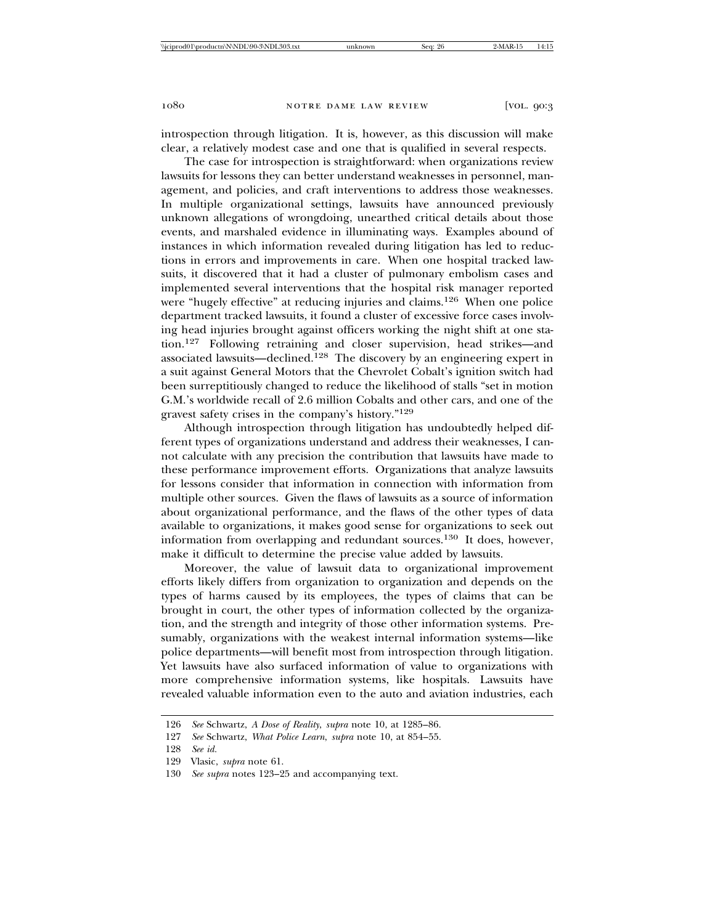introspection through litigation. It is, however, as this discussion will make clear, a relatively modest case and one that is qualified in several respects.

The case for introspection is straightforward: when organizations review lawsuits for lessons they can better understand weaknesses in personnel, management, and policies, and craft interventions to address those weaknesses. In multiple organizational settings, lawsuits have announced previously unknown allegations of wrongdoing, unearthed critical details about those events, and marshaled evidence in illuminating ways. Examples abound of instances in which information revealed during litigation has led to reductions in errors and improvements in care. When one hospital tracked lawsuits, it discovered that it had a cluster of pulmonary embolism cases and implemented several interventions that the hospital risk manager reported were "hugely effective" at reducing injuries and claims.126 When one police department tracked lawsuits, it found a cluster of excessive force cases involving head injuries brought against officers working the night shift at one station.127 Following retraining and closer supervision, head strikes—and associated lawsuits—declined.128 The discovery by an engineering expert in a suit against General Motors that the Chevrolet Cobalt's ignition switch had been surreptitiously changed to reduce the likelihood of stalls "set in motion G.M.'s worldwide recall of 2.6 million Cobalts and other cars, and one of the gravest safety crises in the company's history."<sup>129</sup>

Although introspection through litigation has undoubtedly helped different types of organizations understand and address their weaknesses, I cannot calculate with any precision the contribution that lawsuits have made to these performance improvement efforts. Organizations that analyze lawsuits for lessons consider that information in connection with information from multiple other sources. Given the flaws of lawsuits as a source of information about organizational performance, and the flaws of the other types of data available to organizations, it makes good sense for organizations to seek out information from overlapping and redundant sources.130 It does, however, make it difficult to determine the precise value added by lawsuits.

Moreover, the value of lawsuit data to organizational improvement efforts likely differs from organization to organization and depends on the types of harms caused by its employees, the types of claims that can be brought in court, the other types of information collected by the organization, and the strength and integrity of those other information systems. Presumably, organizations with the weakest internal information systems—like police departments—will benefit most from introspection through litigation. Yet lawsuits have also surfaced information of value to organizations with more comprehensive information systems, like hospitals. Lawsuits have revealed valuable information even to the auto and aviation industries, each

<sup>126</sup> *See* Schwartz, *A Dose of Reality*, *supra* note 10, at 1285–86.

<sup>127</sup> *See* Schwartz, *What Police Learn*, *supra* note 10, at 854–55.

<sup>128</sup> *See id.*

<sup>129</sup> Vlasic, *supra* note 61.

<sup>130</sup> *See supra* notes 123–25 and accompanying text.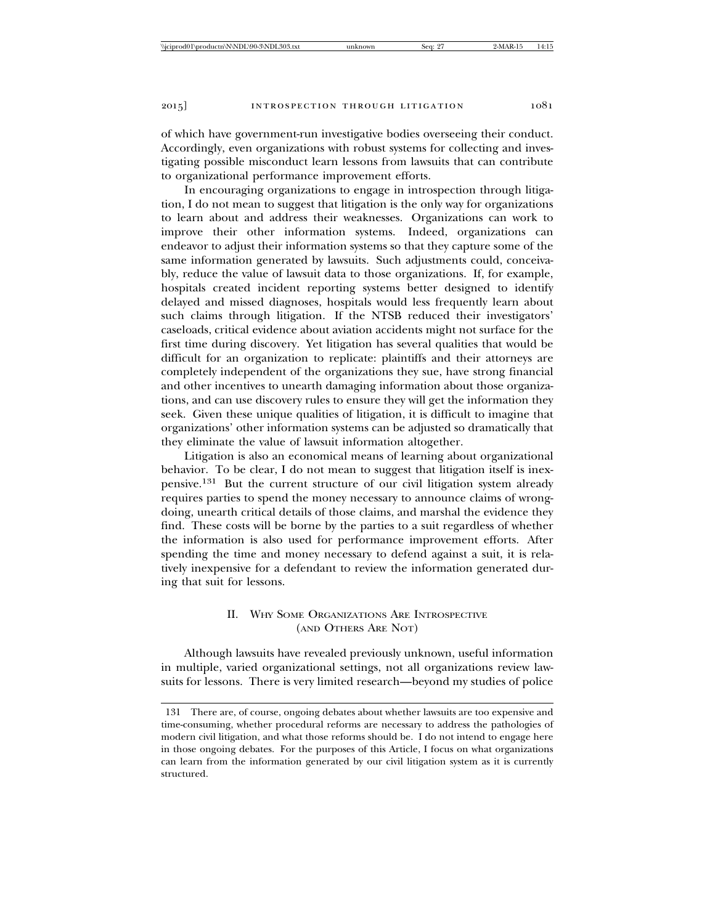of which have government-run investigative bodies overseeing their conduct. Accordingly, even organizations with robust systems for collecting and investigating possible misconduct learn lessons from lawsuits that can contribute to organizational performance improvement efforts.

In encouraging organizations to engage in introspection through litigation, I do not mean to suggest that litigation is the only way for organizations to learn about and address their weaknesses. Organizations can work to improve their other information systems. Indeed, organizations can endeavor to adjust their information systems so that they capture some of the same information generated by lawsuits. Such adjustments could, conceivably, reduce the value of lawsuit data to those organizations. If, for example, hospitals created incident reporting systems better designed to identify delayed and missed diagnoses, hospitals would less frequently learn about such claims through litigation. If the NTSB reduced their investigators' caseloads, critical evidence about aviation accidents might not surface for the first time during discovery. Yet litigation has several qualities that would be difficult for an organization to replicate: plaintiffs and their attorneys are completely independent of the organizations they sue, have strong financial and other incentives to unearth damaging information about those organizations, and can use discovery rules to ensure they will get the information they seek. Given these unique qualities of litigation, it is difficult to imagine that organizations' other information systems can be adjusted so dramatically that they eliminate the value of lawsuit information altogether.

Litigation is also an economical means of learning about organizational behavior. To be clear, I do not mean to suggest that litigation itself is inexpensive.131 But the current structure of our civil litigation system already requires parties to spend the money necessary to announce claims of wrongdoing, unearth critical details of those claims, and marshal the evidence they find. These costs will be borne by the parties to a suit regardless of whether the information is also used for performance improvement efforts. After spending the time and money necessary to defend against a suit, it is relatively inexpensive for a defendant to review the information generated during that suit for lessons.

## II. WHY SOME ORGANIZATIONS ARE INTROSPECTIVE (AND OTHERS ARE NOT)

Although lawsuits have revealed previously unknown, useful information in multiple, varied organizational settings, not all organizations review lawsuits for lessons. There is very limited research—beyond my studies of police

<sup>131</sup> There are, of course, ongoing debates about whether lawsuits are too expensive and time-consuming, whether procedural reforms are necessary to address the pathologies of modern civil litigation, and what those reforms should be. I do not intend to engage here in those ongoing debates. For the purposes of this Article, I focus on what organizations can learn from the information generated by our civil litigation system as it is currently structured.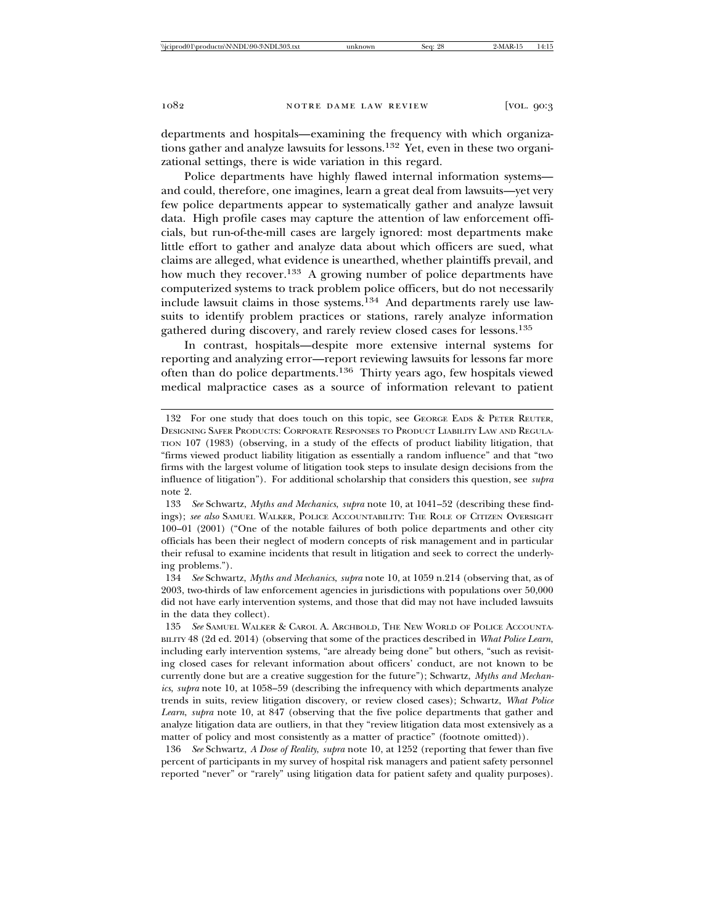departments and hospitals—examining the frequency with which organizations gather and analyze lawsuits for lessons.132 Yet, even in these two organizational settings, there is wide variation in this regard.

Police departments have highly flawed internal information systems and could, therefore, one imagines, learn a great deal from lawsuits—yet very few police departments appear to systematically gather and analyze lawsuit data. High profile cases may capture the attention of law enforcement officials, but run-of-the-mill cases are largely ignored: most departments make little effort to gather and analyze data about which officers are sued, what claims are alleged, what evidence is unearthed, whether plaintiffs prevail, and how much they recover.<sup>133</sup> A growing number of police departments have computerized systems to track problem police officers, but do not necessarily include lawsuit claims in those systems.<sup>134</sup> And departments rarely use lawsuits to identify problem practices or stations, rarely analyze information gathered during discovery, and rarely review closed cases for lessons.<sup>135</sup>

In contrast, hospitals—despite more extensive internal systems for reporting and analyzing error—report reviewing lawsuits for lessons far more often than do police departments.136 Thirty years ago, few hospitals viewed medical malpractice cases as a source of information relevant to patient

<sup>132</sup> For one study that does touch on this topic, see GEORGE EADS & PETER REUTER, DESIGNING SAFER PRODUCTS: CORPORATE RESPONSES TO PRODUCT LIABILITY LAW AND REGULA-TION 107 (1983) (observing, in a study of the effects of product liability litigation, that "firms viewed product liability litigation as essentially a random influence" and that "two firms with the largest volume of litigation took steps to insulate design decisions from the influence of litigation"). For additional scholarship that considers this question, see *supra* note 2.

<sup>133</sup> *See* Schwartz, *Myths and Mechanics*, *supra* note 10, at 1041–52 (describing these findings); *see also* SAMUEL WALKER, POLICE ACCOUNTABILITY: THE ROLE OF CITIZEN OVERSIGHT 100–01 (2001) ("One of the notable failures of both police departments and other city officials has been their neglect of modern concepts of risk management and in particular their refusal to examine incidents that result in litigation and seek to correct the underlying problems.").

<sup>134</sup> *See* Schwartz, *Myths and Mechanics*, *supra* note 10, at 1059 n.214 (observing that, as of 2003, two-thirds of law enforcement agencies in jurisdictions with populations over 50,000 did not have early intervention systems, and those that did may not have included lawsuits in the data they collect).

<sup>135</sup> *See* SAMUEL WALKER & CAROL A. ARCHBOLD, THE NEW WORLD OF POLICE ACCOUNTA-BILITY 48 (2d ed. 2014) (observing that some of the practices described in *What Police Learn*, including early intervention systems, "are already being done" but others, "such as revisiting closed cases for relevant information about officers' conduct, are not known to be currently done but are a creative suggestion for the future"); Schwartz, *Myths and Mechanics*, *supra* note 10, at 1058–59 (describing the infrequency with which departments analyze trends in suits, review litigation discovery, or review closed cases); Schwartz, *What Police Learn*, *supra* note 10, at 847 (observing that the five police departments that gather and analyze litigation data are outliers, in that they "review litigation data most extensively as a matter of policy and most consistently as a matter of practice" (footnote omitted)).

<sup>136</sup> *See* Schwartz, *A Dose of Reality*, *supra* note 10, at 1252 (reporting that fewer than five percent of participants in my survey of hospital risk managers and patient safety personnel reported "never" or "rarely" using litigation data for patient safety and quality purposes).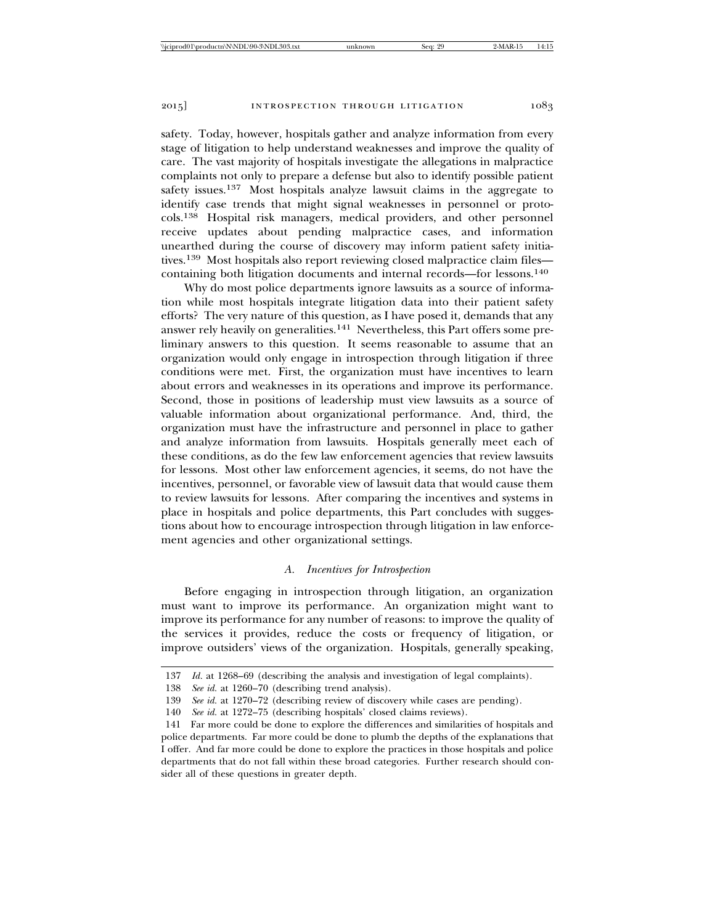safety. Today, however, hospitals gather and analyze information from every stage of litigation to help understand weaknesses and improve the quality of care. The vast majority of hospitals investigate the allegations in malpractice complaints not only to prepare a defense but also to identify possible patient safety issues.<sup>137</sup> Most hospitals analyze lawsuit claims in the aggregate to identify case trends that might signal weaknesses in personnel or protocols.138 Hospital risk managers, medical providers, and other personnel receive updates about pending malpractice cases, and information unearthed during the course of discovery may inform patient safety initiatives.139 Most hospitals also report reviewing closed malpractice claim files containing both litigation documents and internal records—for lessons.<sup>140</sup>

Why do most police departments ignore lawsuits as a source of information while most hospitals integrate litigation data into their patient safety efforts? The very nature of this question, as I have posed it, demands that any answer rely heavily on generalities.141 Nevertheless, this Part offers some preliminary answers to this question. It seems reasonable to assume that an organization would only engage in introspection through litigation if three conditions were met. First, the organization must have incentives to learn about errors and weaknesses in its operations and improve its performance. Second, those in positions of leadership must view lawsuits as a source of valuable information about organizational performance. And, third, the organization must have the infrastructure and personnel in place to gather and analyze information from lawsuits. Hospitals generally meet each of these conditions, as do the few law enforcement agencies that review lawsuits for lessons. Most other law enforcement agencies, it seems, do not have the incentives, personnel, or favorable view of lawsuit data that would cause them to review lawsuits for lessons. After comparing the incentives and systems in place in hospitals and police departments, this Part concludes with suggestions about how to encourage introspection through litigation in law enforcement agencies and other organizational settings.

## *A. Incentives for Introspection*

Before engaging in introspection through litigation, an organization must want to improve its performance. An organization might want to improve its performance for any number of reasons: to improve the quality of the services it provides, reduce the costs or frequency of litigation, or improve outsiders' views of the organization. Hospitals, generally speaking,

<sup>137</sup> *Id.* at 1268–69 (describing the analysis and investigation of legal complaints).

<sup>138</sup> *See id.* at 1260–70 (describing trend analysis).

<sup>139</sup> *See id.* at 1270–72 (describing review of discovery while cases are pending).

<sup>140</sup> *See id.* at 1272–75 (describing hospitals' closed claims reviews).

<sup>141</sup> Far more could be done to explore the differences and similarities of hospitals and police departments. Far more could be done to plumb the depths of the explanations that I offer. And far more could be done to explore the practices in those hospitals and police departments that do not fall within these broad categories. Further research should consider all of these questions in greater depth.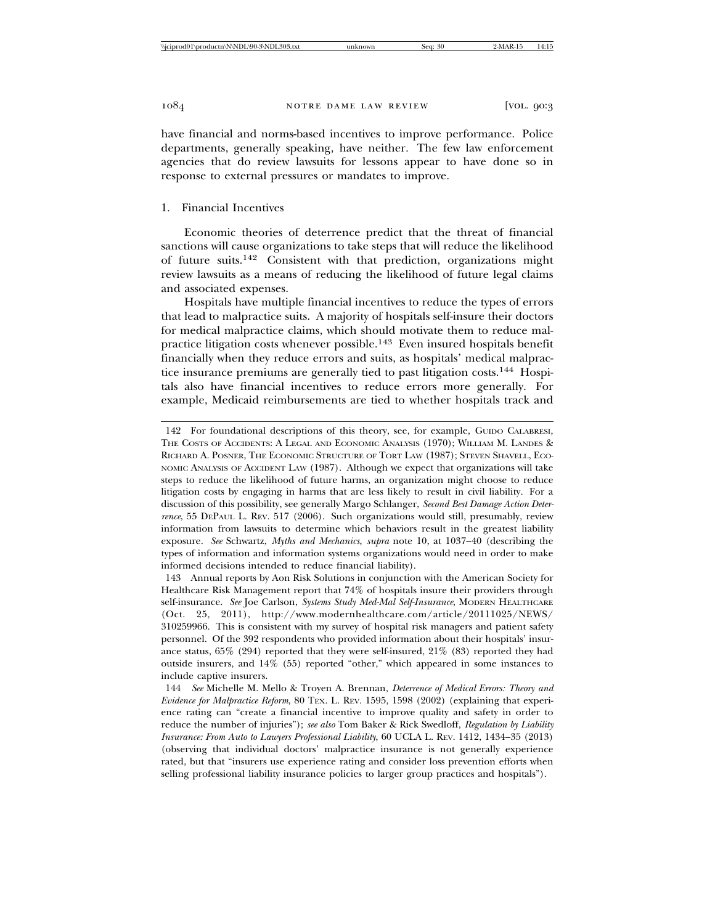have financial and norms-based incentives to improve performance. Police departments, generally speaking, have neither. The few law enforcement agencies that do review lawsuits for lessons appear to have done so in response to external pressures or mandates to improve.

## 1. Financial Incentives

Economic theories of deterrence predict that the threat of financial sanctions will cause organizations to take steps that will reduce the likelihood of future suits.142 Consistent with that prediction, organizations might review lawsuits as a means of reducing the likelihood of future legal claims and associated expenses.

Hospitals have multiple financial incentives to reduce the types of errors that lead to malpractice suits. A majority of hospitals self-insure their doctors for medical malpractice claims, which should motivate them to reduce malpractice litigation costs whenever possible.143 Even insured hospitals benefit financially when they reduce errors and suits, as hospitals' medical malpractice insurance premiums are generally tied to past litigation costs.144 Hospitals also have financial incentives to reduce errors more generally. For example, Medicaid reimbursements are tied to whether hospitals track and

<sup>142</sup> For foundational descriptions of this theory, see, for example, GUIDO CALABRESI, THE COSTS OF ACCIDENTS: A LEGAL AND ECONOMIC ANALYSIS (1970); WILLIAM M. LANDES & RICHARD A. POSNER, THE ECONOMIC STRUCTURE OF TORT LAW (1987); STEVEN SHAVELL, ECO-NOMIC ANALYSIS OF ACCIDENT LAW (1987). Although we expect that organizations will take steps to reduce the likelihood of future harms, an organization might choose to reduce litigation costs by engaging in harms that are less likely to result in civil liability. For a discussion of this possibility, see generally Margo Schlanger, *Second Best Damage Action Deterrence*, 55 DEPAUL L. REV. 517 (2006). Such organizations would still, presumably, review information from lawsuits to determine which behaviors result in the greatest liability exposure. *See* Schwartz, *Myths and Mechanics*, *supra* note 10, at 1037–40 (describing the types of information and information systems organizations would need in order to make informed decisions intended to reduce financial liability).

<sup>143</sup> Annual reports by Aon Risk Solutions in conjunction with the American Society for Healthcare Risk Management report that 74% of hospitals insure their providers through self-insurance. *See* Joe Carlson, *Systems Study Med-Mal Self-Insurance*, MODERN HEALTHCARE (Oct. 25, 2011), http://www.modernhealthcare.com/article/20111025/NEWS/ 310259966. This is consistent with my survey of hospital risk managers and patient safety personnel. Of the 392 respondents who provided information about their hospitals' insurance status, 65% (294) reported that they were self-insured, 21% (83) reported they had outside insurers, and 14% (55) reported "other," which appeared in some instances to include captive insurers.

<sup>144</sup> *See* Michelle M. Mello & Troyen A. Brennan, *Deterrence of Medical Errors: Theory and Evidence for Malpractice Reform*, 80 TEX. L. REV. 1595, 1598 (2002) (explaining that experience rating can "create a financial incentive to improve quality and safety in order to reduce the number of injuries"); *see also* Tom Baker & Rick Swedloff, *Regulation by Liability Insurance: From Auto to Lawyers Professional Liability*, 60 UCLA L. REV. 1412, 1434–35 (2013) (observing that individual doctors' malpractice insurance is not generally experience rated, but that "insurers use experience rating and consider loss prevention efforts when selling professional liability insurance policies to larger group practices and hospitals").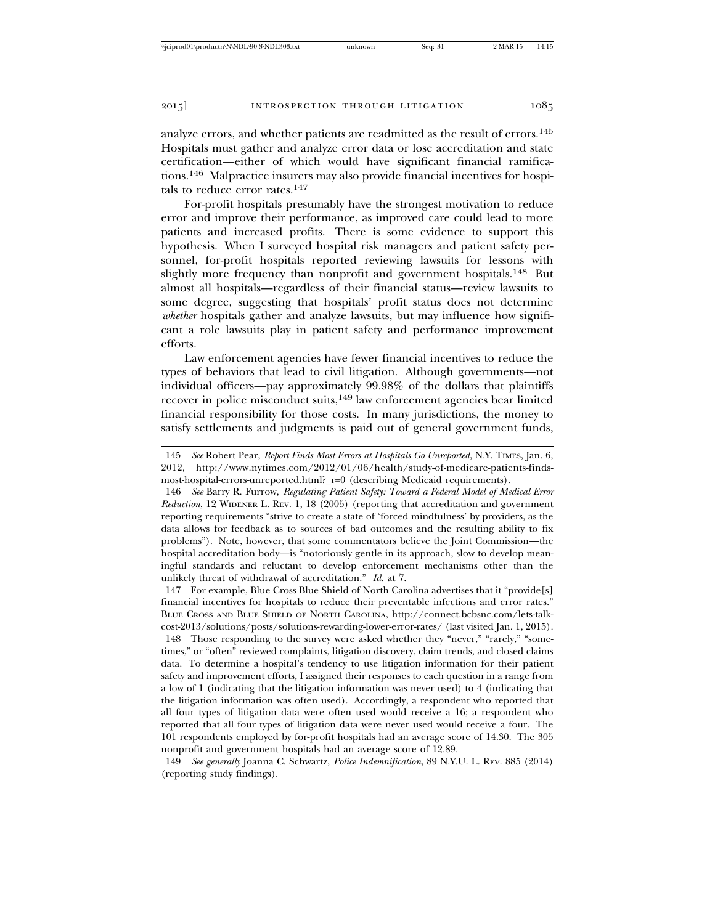analyze errors, and whether patients are readmitted as the result of errors.<sup>145</sup> Hospitals must gather and analyze error data or lose accreditation and state certification—either of which would have significant financial ramifications.146 Malpractice insurers may also provide financial incentives for hospitals to reduce error rates.<sup>147</sup>

For-profit hospitals presumably have the strongest motivation to reduce error and improve their performance, as improved care could lead to more patients and increased profits. There is some evidence to support this hypothesis. When I surveyed hospital risk managers and patient safety personnel, for-profit hospitals reported reviewing lawsuits for lessons with slightly more frequency than nonprofit and government hospitals.<sup>148</sup> But almost all hospitals—regardless of their financial status—review lawsuits to some degree, suggesting that hospitals' profit status does not determine *whether* hospitals gather and analyze lawsuits, but may influence how significant a role lawsuits play in patient safety and performance improvement efforts.

Law enforcement agencies have fewer financial incentives to reduce the types of behaviors that lead to civil litigation. Although governments—not individual officers—pay approximately 99.98% of the dollars that plaintiffs recover in police misconduct suits,<sup>149</sup> law enforcement agencies bear limited financial responsibility for those costs. In many jurisdictions, the money to satisfy settlements and judgments is paid out of general government funds,

146 *See* Barry R. Furrow, *Regulating Patient Safety: Toward a Federal Model of Medical Error Reduction*, 12 WIDENER L. REV. 1, 18 (2005) (reporting that accreditation and government reporting requirements "strive to create a state of 'forced mindfulness' by providers, as the data allows for feedback as to sources of bad outcomes and the resulting ability to fix problems"). Note, however, that some commentators believe the Joint Commission—the hospital accreditation body—is "notoriously gentle in its approach, slow to develop meaningful standards and reluctant to develop enforcement mechanisms other than the unlikely threat of withdrawal of accreditation." *Id.* at 7.

147 For example, Blue Cross Blue Shield of North Carolina advertises that it "provide[s] financial incentives for hospitals to reduce their preventable infections and error rates." BLUE CROSS AND BLUE SHIELD OF NORTH CAROLINA, http://connect.bcbsnc.com/lets-talkcost-2013/solutions/posts/solutions-rewarding-lower-error-rates/ (last visited Jan. 1, 2015).

148 Those responding to the survey were asked whether they "never," "rarely," "sometimes," or "often" reviewed complaints, litigation discovery, claim trends, and closed claims data. To determine a hospital's tendency to use litigation information for their patient safety and improvement efforts, I assigned their responses to each question in a range from a low of 1 (indicating that the litigation information was never used) to 4 (indicating that the litigation information was often used). Accordingly, a respondent who reported that all four types of litigation data were often used would receive a 16; a respondent who reported that all four types of litigation data were never used would receive a four. The 101 respondents employed by for-profit hospitals had an average score of 14.30. The 305 nonprofit and government hospitals had an average score of 12.89.

149 *See generally* Joanna C. Schwartz, *Police Indemnification*, 89 N.Y.U. L. REV. 885 (2014) (reporting study findings).

<sup>145</sup> *See* Robert Pear, *Report Finds Most Errors at Hospitals Go Unreported*, N.Y. TIMES, Jan. 6, 2012, http://www.nytimes.com/2012/01/06/health/study-of-medicare-patients-findsmost-hospital-errors-unreported.html?\_r=0 (describing Medicaid requirements).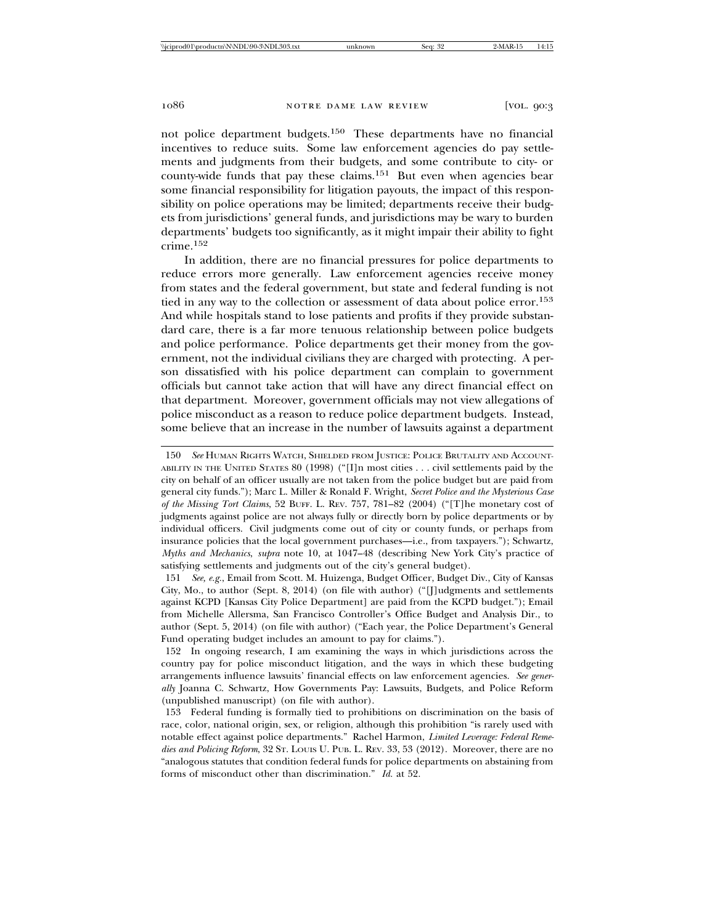not police department budgets.150 These departments have no financial incentives to reduce suits. Some law enforcement agencies do pay settlements and judgments from their budgets, and some contribute to city- or county-wide funds that pay these claims.151 But even when agencies bear some financial responsibility for litigation payouts, the impact of this responsibility on police operations may be limited; departments receive their budgets from jurisdictions' general funds, and jurisdictions may be wary to burden departments' budgets too significantly, as it might impair their ability to fight crime.<sup>152</sup>

In addition, there are no financial pressures for police departments to reduce errors more generally. Law enforcement agencies receive money from states and the federal government, but state and federal funding is not tied in any way to the collection or assessment of data about police error.<sup>153</sup> And while hospitals stand to lose patients and profits if they provide substandard care, there is a far more tenuous relationship between police budgets and police performance. Police departments get their money from the government, not the individual civilians they are charged with protecting. A person dissatisfied with his police department can complain to government officials but cannot take action that will have any direct financial effect on that department. Moreover, government officials may not view allegations of police misconduct as a reason to reduce police department budgets. Instead, some believe that an increase in the number of lawsuits against a department

151 *See, e.g.*, Email from Scott. M. Huizenga, Budget Officer, Budget Div., City of Kansas City, Mo., to author (Sept. 8, 2014) (on file with author) ("[J]udgments and settlements against KCPD [Kansas City Police Department] are paid from the KCPD budget."); Email from Michelle Allersma, San Francisco Controller's Office Budget and Analysis Dir., to author (Sept. 5, 2014) (on file with author) ("Each year, the Police Department's General Fund operating budget includes an amount to pay for claims.").

152 In ongoing research, I am examining the ways in which jurisdictions across the country pay for police misconduct litigation, and the ways in which these budgeting arrangements influence lawsuits' financial effects on law enforcement agencies. *See generally* Joanna C. Schwartz, How Governments Pay: Lawsuits, Budgets, and Police Reform (unpublished manuscript) (on file with author).

153 Federal funding is formally tied to prohibitions on discrimination on the basis of race, color, national origin, sex, or religion, although this prohibition "is rarely used with notable effect against police departments." Rachel Harmon, *Limited Leverage: Federal Remedies and Policing Reform*, 32 ST. LOUIS U. PUB. L. REV. 33, 53 (2012). Moreover, there are no "analogous statutes that condition federal funds for police departments on abstaining from forms of misconduct other than discrimination." *Id.* at 52.

<sup>150</sup> *See* HUMAN RIGHTS WATCH, SHIELDED FROM JUSTICE: POLICE BRUTALITY AND ACCOUNT-ABILITY IN THE UNITED STATES 80 (1998) ("[I]n most cities . . . civil settlements paid by the city on behalf of an officer usually are not taken from the police budget but are paid from general city funds."); Marc L. Miller & Ronald F. Wright, *Secret Police and the Mysterious Case of the Missing Tort Claims*, 52 BUFF. L. REV. 757, 781–82 (2004) ("[T]he monetary cost of judgments against police are not always fully or directly born by police departments or by individual officers. Civil judgments come out of city or county funds, or perhaps from insurance policies that the local government purchases—i.e., from taxpayers."); Schwartz, *Myths and Mechanics*, *supra* note 10, at 1047–48 (describing New York City's practice of satisfying settlements and judgments out of the city's general budget).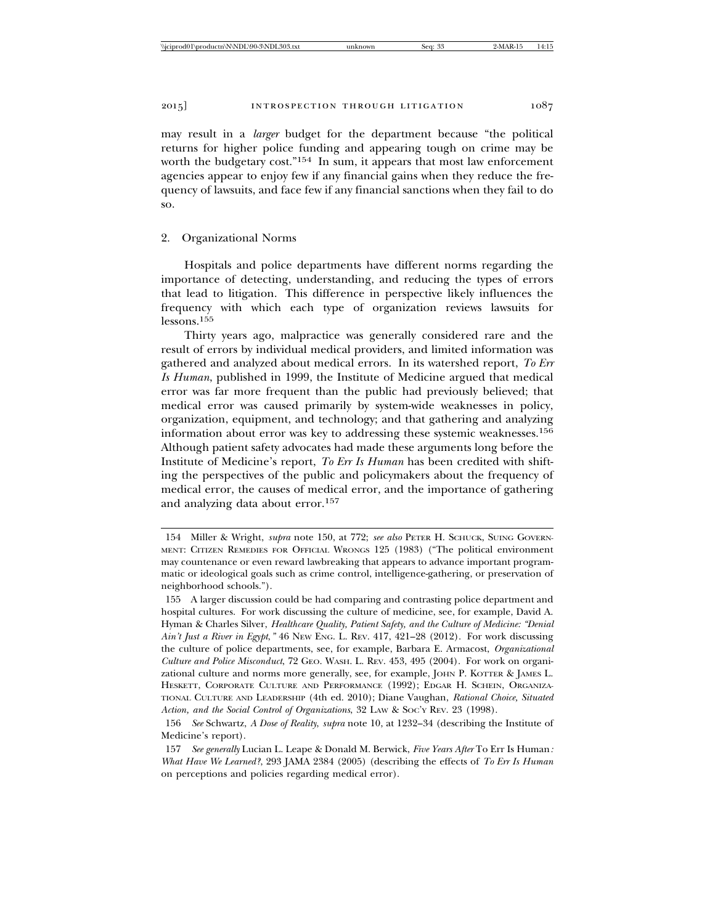may result in a *larger* budget for the department because "the political returns for higher police funding and appearing tough on crime may be worth the budgetary cost."<sup>154</sup> In sum, it appears that most law enforcement agencies appear to enjoy few if any financial gains when they reduce the frequency of lawsuits, and face few if any financial sanctions when they fail to do so.

### 2. Organizational Norms

Hospitals and police departments have different norms regarding the importance of detecting, understanding, and reducing the types of errors that lead to litigation. This difference in perspective likely influences the frequency with which each type of organization reviews lawsuits for lessons.155

Thirty years ago, malpractice was generally considered rare and the result of errors by individual medical providers, and limited information was gathered and analyzed about medical errors. In its watershed report, *To Err Is Human*, published in 1999, the Institute of Medicine argued that medical error was far more frequent than the public had previously believed; that medical error was caused primarily by system-wide weaknesses in policy, organization, equipment, and technology; and that gathering and analyzing information about error was key to addressing these systemic weaknesses.<sup>156</sup> Although patient safety advocates had made these arguments long before the Institute of Medicine's report, *To Err Is Human* has been credited with shifting the perspectives of the public and policymakers about the frequency of medical error, the causes of medical error, and the importance of gathering and analyzing data about error.<sup>157</sup>

<sup>154</sup> Miller & Wright, *supra* note 150, at 772; *see also* PETER H. SCHUCK, SUING GOVERN-MENT: CITIZEN REMEDIES FOR OFFICIAL WRONGS 125 (1983) ("The political environment may countenance or even reward lawbreaking that appears to advance important programmatic or ideological goals such as crime control, intelligence-gathering, or preservation of neighborhood schools.").

<sup>155</sup> A larger discussion could be had comparing and contrasting police department and hospital cultures. For work discussing the culture of medicine, see, for example, David A. Hyman & Charles Silver, *Healthcare Quality, Patient Safety, and the Culture of Medicine: "Denial Ain't Just a River in Egypt*,*"* 46 NEW ENG. L. REV. 417, 421–28 (2012). For work discussing the culture of police departments, see, for example, Barbara E. Armacost, *Organizational Culture and Police Misconduct*, 72 GEO. WASH. L. REV. 453, 495 (2004). For work on organizational culture and norms more generally, see, for example, JOHN P. KOTTER & JAMES L. HESKETT, CORPORATE CULTURE AND PERFORMANCE (1992); EDGAR H. SCHEIN, ORGANIZA-TIONAL CULTURE AND LEADERSHIP (4th ed. 2010); Diane Vaughan, *Rational Choice, Situated Action, and the Social Control of Organizations*, 32 LAW & SOC'Y REV. 23 (1998).

<sup>156</sup> *See* Schwartz, *A Dose of Reality*, *supra* note 10, at 1232–34 (describing the Institute of Medicine's report).

<sup>157</sup> *See generally* Lucian L. Leape & Donald M. Berwick, *Five Years After* To Err Is Human*: What Have We Learned?*, 293 JAMA 2384 (2005) (describing the effects of *To Err Is Human* on perceptions and policies regarding medical error).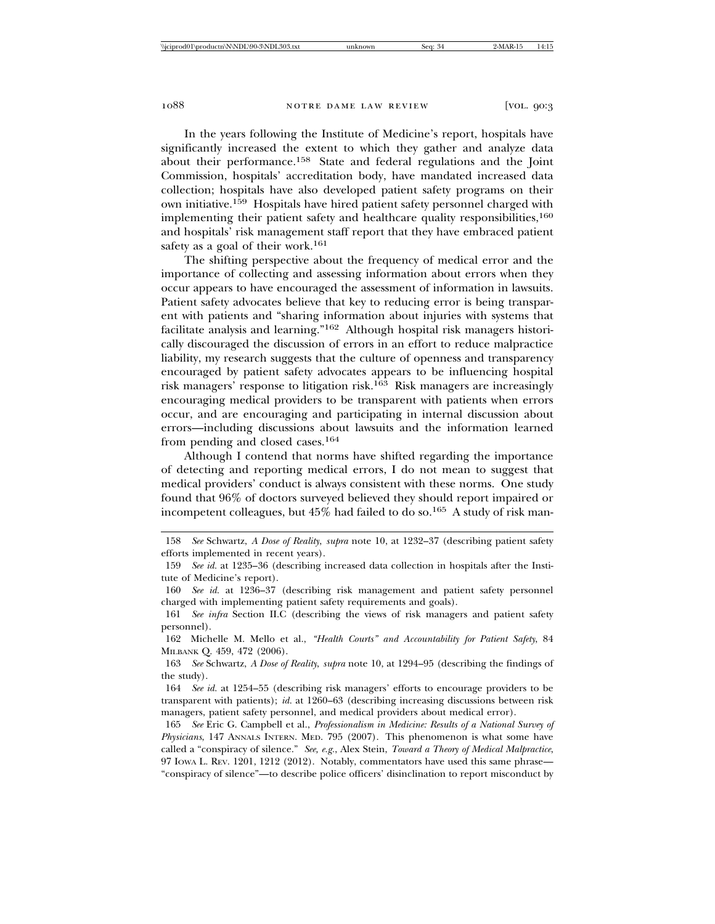In the years following the Institute of Medicine's report, hospitals have significantly increased the extent to which they gather and analyze data about their performance.158 State and federal regulations and the Joint Commission, hospitals' accreditation body, have mandated increased data collection; hospitals have also developed patient safety programs on their own initiative.159 Hospitals have hired patient safety personnel charged with implementing their patient safety and healthcare quality responsibilities,<sup>160</sup> and hospitals' risk management staff report that they have embraced patient safety as a goal of their work.<sup>161</sup>

The shifting perspective about the frequency of medical error and the importance of collecting and assessing information about errors when they occur appears to have encouraged the assessment of information in lawsuits. Patient safety advocates believe that key to reducing error is being transparent with patients and "sharing information about injuries with systems that facilitate analysis and learning."162 Although hospital risk managers historically discouraged the discussion of errors in an effort to reduce malpractice liability, my research suggests that the culture of openness and transparency encouraged by patient safety advocates appears to be influencing hospital risk managers' response to litigation risk.163 Risk managers are increasingly encouraging medical providers to be transparent with patients when errors occur, and are encouraging and participating in internal discussion about errors—including discussions about lawsuits and the information learned from pending and closed cases.<sup>164</sup>

Although I contend that norms have shifted regarding the importance of detecting and reporting medical errors, I do not mean to suggest that medical providers' conduct is always consistent with these norms. One study found that 96% of doctors surveyed believed they should report impaired or incompetent colleagues, but  $45\%$  had failed to do so.<sup>165</sup> A study of risk man-

163 *See* Schwartz, *A Dose of Reality*, *supra* note 10, at 1294–95 (describing the findings of the study).

164 *See id.* at 1254–55 (describing risk managers' efforts to encourage providers to be transparent with patients); *id.* at 1260–63 (describing increasing discussions between risk managers, patient safety personnel, and medical providers about medical error).

<sup>158</sup> *See* Schwartz, *A Dose of Reality*, *supra* note 10, at 1232–37 (describing patient safety efforts implemented in recent years).

<sup>159</sup> *See id.* at 1235–36 (describing increased data collection in hospitals after the Institute of Medicine's report).

<sup>160</sup> *See id.* at 1236–37 (describing risk management and patient safety personnel charged with implementing patient safety requirements and goals).

<sup>161</sup> *See infra* Section II.C (describing the views of risk managers and patient safety personnel).

<sup>162</sup> Michelle M. Mello et al., *"Health Courts" and Accountability for Patient Safety*, 84 MILBANK Q. 459, 472 (2006).

<sup>165</sup> *See* Eric G. Campbell et al., *Professionalism in Medicine: Results of a National Survey of Physicians*, 147 ANNALS INTERN. MED. 795 (2007). This phenomenon is what some have called a "conspiracy of silence." *See, e.g.*, Alex Stein, *Toward a Theory of Medical Malpractice*, 97 IOWA L. REV. 1201, 1212 (2012). Notably, commentators have used this same phrase— "conspiracy of silence"—to describe police officers' disinclination to report misconduct by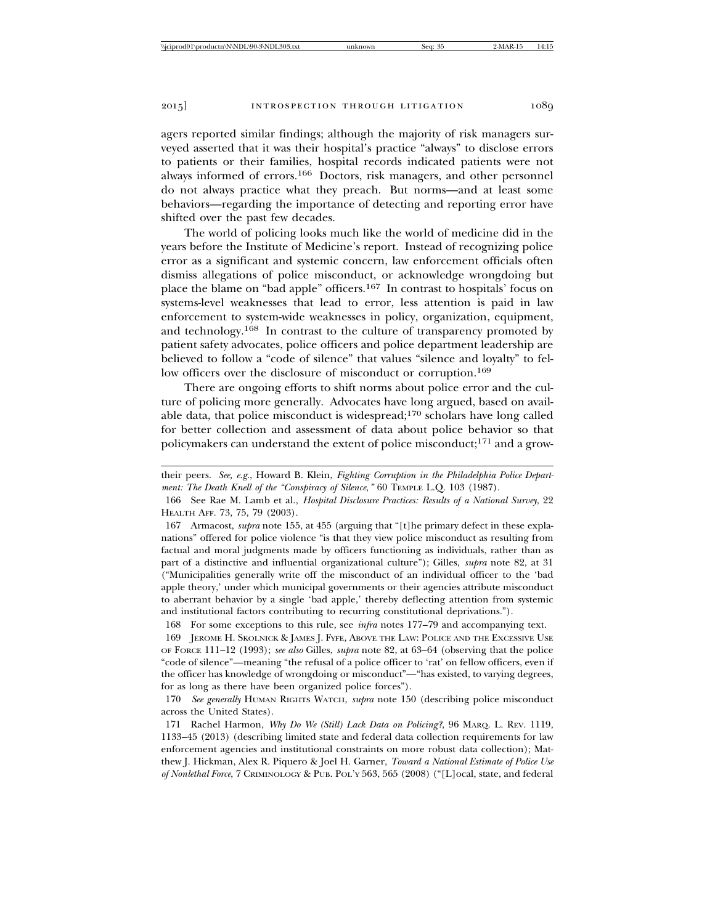agers reported similar findings; although the majority of risk managers surveyed asserted that it was their hospital's practice "always" to disclose errors to patients or their families, hospital records indicated patients were not always informed of errors.166 Doctors, risk managers, and other personnel do not always practice what they preach. But norms—and at least some behaviors—regarding the importance of detecting and reporting error have shifted over the past few decades.

The world of policing looks much like the world of medicine did in the years before the Institute of Medicine's report. Instead of recognizing police error as a significant and systemic concern, law enforcement officials often dismiss allegations of police misconduct, or acknowledge wrongdoing but place the blame on "bad apple" officers.167 In contrast to hospitals' focus on systems-level weaknesses that lead to error, less attention is paid in law enforcement to system-wide weaknesses in policy, organization, equipment, and technology.168 In contrast to the culture of transparency promoted by patient safety advocates, police officers and police department leadership are believed to follow a "code of silence" that values "silence and loyalty" to fellow officers over the disclosure of misconduct or corruption.<sup>169</sup>

There are ongoing efforts to shift norms about police error and the culture of policing more generally. Advocates have long argued, based on available data, that police misconduct is widespread;170 scholars have long called for better collection and assessment of data about police behavior so that policymakers can understand the extent of police misconduct;171 and a grow-

167 Armacost, *supra* note 155, at 455 (arguing that "[t]he primary defect in these explanations" offered for police violence "is that they view police misconduct as resulting from factual and moral judgments made by officers functioning as individuals, rather than as part of a distinctive and influential organizational culture"); Gilles, *supra* note 82, at 31 ("Municipalities generally write off the misconduct of an individual officer to the 'bad apple theory,' under which municipal governments or their agencies attribute misconduct to aberrant behavior by a single 'bad apple,' thereby deflecting attention from systemic and institutional factors contributing to recurring constitutional deprivations.").

168 For some exceptions to this rule, see *infra* notes 177–79 and accompanying text. 169 JEROME H. SKOLNICK & JAMES J. FYFE, ABOVE THE LAW: POLICE AND THE EXCESSIVE USE OF FORCE 111–12 (1993); *see also* Gilles, *supra* note 82, at 63–64 (observing that the police "code of silence"—meaning "the refusal of a police officer to 'rat' on fellow officers, even if the officer has knowledge of wrongdoing or misconduct"—"has existed, to varying degrees, for as long as there have been organized police forces").

170 *See generally* HUMAN RIGHTS WATCH, *supra* note 150 (describing police misconduct across the United States).

171 Rachel Harmon, *Why Do We (Still) Lack Data on Policing?*, 96 MARQ. L. REV. 1119, 1133–45 (2013) (describing limited state and federal data collection requirements for law enforcement agencies and institutional constraints on more robust data collection); Matthew J. Hickman, Alex R. Piquero & Joel H. Garner, *Toward a National Estimate of Police Use of Nonlethal Force*, 7 CRIMINOLOGY & PUB. POL'Y 563, 565 (2008) ("[L]ocal, state, and federal

their peers. *See, e.g.*, Howard B. Klein, *Fighting Corruption in the Philadelphia Police Department: The Death Knell of the "Conspiracy of Silence*,*"* 60 TEMPLE L.Q. 103 (1987).

<sup>166</sup> See Rae M. Lamb et al., *Hospital Disclosure Practices: Results of a National Survey*, 22 HEALTH AFF. 73, 75, 79 (2003).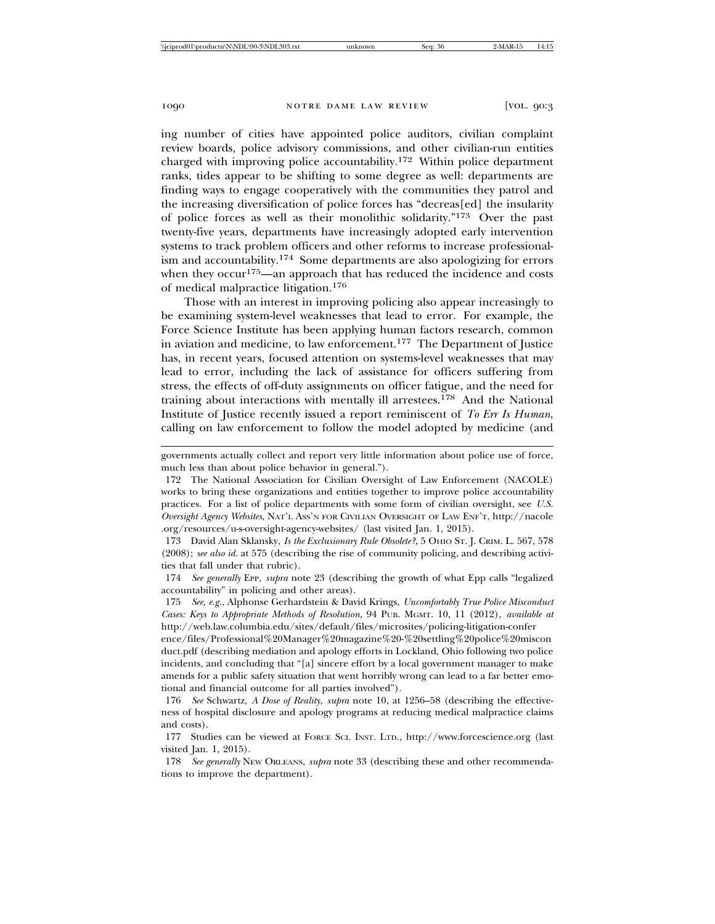ing number of cities have appointed police auditors, civilian complaint review boards, police advisory commissions, and other civilian-run entities charged with improving police accountability.172 Within police department ranks, tides appear to be shifting to some degree as well: departments are finding ways to engage cooperatively with the communities they patrol and the increasing diversification of police forces has "decreas[ed] the insularity of police forces as well as their monolithic solidarity."173 Over the past twenty-five years, departments have increasingly adopted early intervention systems to track problem officers and other reforms to increase professionalism and accountability.174 Some departments are also apologizing for errors when they occur<sup>175</sup>—an approach that has reduced the incidence and costs of medical malpractice litigation.<sup>176</sup>

Those with an interest in improving policing also appear increasingly to be examining system-level weaknesses that lead to error. For example, the Force Science Institute has been applying human factors research, common in aviation and medicine, to law enforcement.177 The Department of Justice has, in recent years, focused attention on systems-level weaknesses that may lead to error, including the lack of assistance for officers suffering from stress, the effects of off-duty assignments on officer fatigue, and the need for training about interactions with mentally ill arrestees.<sup>178</sup> And the National Institute of Justice recently issued a report reminiscent of *To Err Is Human*, calling on law enforcement to follow the model adopted by medicine (and

governments actually collect and report very little information about police use of force, much less than about police behavior in general.").

172 The National Association for Civilian Oversight of Law Enforcement (NACOLE) works to bring these organizations and entities together to improve police accountability practices. For a list of police departments with some form of civilian oversight, see *U.S. Oversight Agency Websites*, NAT'L ASS'N FOR CIVILIAN OVERSIGHT OF LAW ENF'T, http://nacole .org/resources/u-s-oversight-agency-websites/ (last visited Jan. 1, 2015).

173 David Alan Sklansky, *Is the Exclusionary Rule Obsolete?*, 5 OHIO ST. J. CRIM. L. 567, 578 (2008); *see also id.* at 575 (describing the rise of community policing, and describing activities that fall under that rubric).

174 *See generally* EPP, *supra* note 23 (describing the growth of what Epp calls "legalized accountability" in policing and other areas).

175 *See, e.g.*, Alphonse Gerhardstein & David Krings, *Uncomfortably True Police Misconduct Cases: Keys to Appropriate Methods of Resolution*, 94 PUB. MGMT. 10, 11 (2012), *available at* http://web.law.columbia.edu/sites/default/files/microsites/policing-litigation-confer

ence/files/Professional%20Manager%20magazine%20-%20settling%20police%20miscon duct.pdf (describing mediation and apology efforts in Lockland, Ohio following two police incidents, and concluding that "[a] sincere effort by a local government manager to make amends for a public safety situation that went horribly wrong can lead to a far better emotional and financial outcome for all parties involved").

176 *See* Schwartz, *A Dose of Reality*, *supra* note 10, at 1256–58 (describing the effectiveness of hospital disclosure and apology programs at reducing medical malpractice claims and costs).

177 Studies can be viewed at FORCE SCI. INST. LTD., http://www.forcescience.org (last visited Jan. 1, 2015).

178 *See generally* NEW ORLEANS, *supra* note 33 (describing these and other recommendations to improve the department).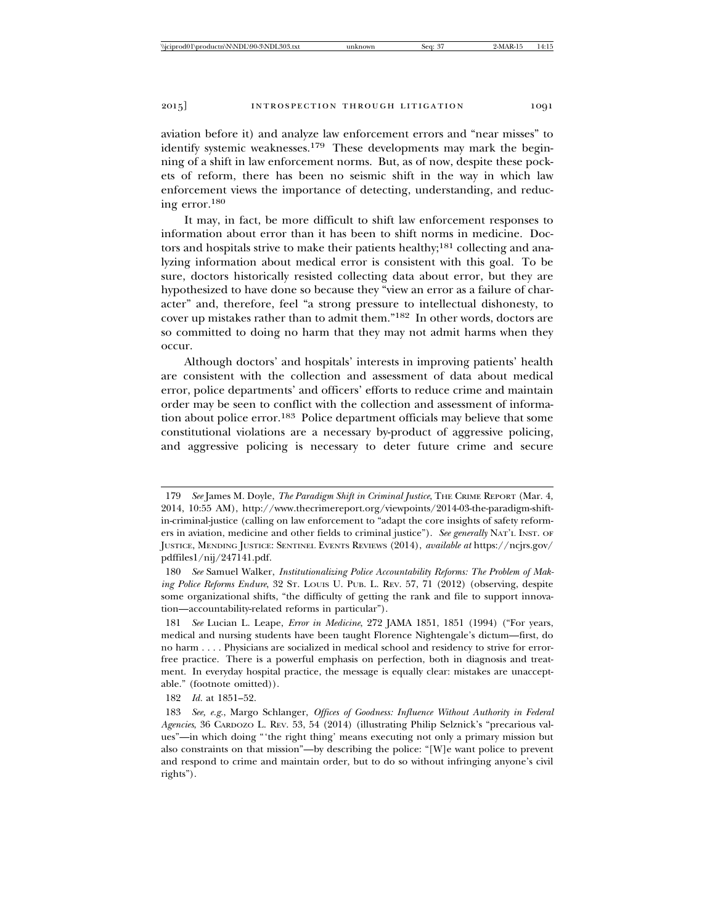aviation before it) and analyze law enforcement errors and "near misses" to identify systemic weaknesses.<sup>179</sup> These developments may mark the beginning of a shift in law enforcement norms. But, as of now, despite these pockets of reform, there has been no seismic shift in the way in which law enforcement views the importance of detecting, understanding, and reducing error.<sup>180</sup>

It may, in fact, be more difficult to shift law enforcement responses to information about error than it has been to shift norms in medicine. Doctors and hospitals strive to make their patients healthy;<sup>181</sup> collecting and analyzing information about medical error is consistent with this goal. To be sure, doctors historically resisted collecting data about error, but they are hypothesized to have done so because they "view an error as a failure of character" and, therefore, feel "a strong pressure to intellectual dishonesty, to cover up mistakes rather than to admit them."182 In other words, doctors are so committed to doing no harm that they may not admit harms when they occur.

Although doctors' and hospitals' interests in improving patients' health are consistent with the collection and assessment of data about medical error, police departments' and officers' efforts to reduce crime and maintain order may be seen to conflict with the collection and assessment of information about police error.183 Police department officials may believe that some constitutional violations are a necessary by-product of aggressive policing, and aggressive policing is necessary to deter future crime and secure

<sup>179</sup> *See* James M. Doyle, *The Paradigm Shift in Criminal Justice*, THE CRIME REPORT (Mar. 4, 2014, 10:55 AM), http://www.thecrimereport.org/viewpoints/2014-03-the-paradigm-shiftin-criminal-justice (calling on law enforcement to "adapt the core insights of safety reformers in aviation, medicine and other fields to criminal justice"). *See generally* NAT'L INST. OF JUSTICE, MENDING JUSTICE: SENTINEL EVENTS REVIEWS (2014), *available at* https://ncjrs.gov/ pdffiles1/nij/247141.pdf.

<sup>180</sup> *See* Samuel Walker, *Institutionalizing Police Accountability Reforms: The Problem of Making Police Reforms Endure*, 32 Sr. LOUIS U. PUB. L. REV. 57, 71 (2012) (observing, despite some organizational shifts, "the difficulty of getting the rank and file to support innovation—accountability-related reforms in particular").

<sup>181</sup> *See* Lucian L. Leape, *Error in Medicine*, 272 JAMA 1851, 1851 (1994) ("For years, medical and nursing students have been taught Florence Nightengale's dictum—first, do no harm . . . . Physicians are socialized in medical school and residency to strive for errorfree practice. There is a powerful emphasis on perfection, both in diagnosis and treatment. In everyday hospital practice, the message is equally clear: mistakes are unacceptable." (footnote omitted)).

<sup>182</sup> *Id.* at 1851–52.

<sup>183</sup> *See, e.g.*, Margo Schlanger, *Offices of Goodness: Influence Without Authority in Federal Agencies*, 36 CARDOZO L. REV. 53, 54 (2014) (illustrating Philip Selznick's "precarious values"—in which doing "'the right thing' means executing not only a primary mission but also constraints on that mission"—by describing the police: "[W]e want police to prevent and respond to crime and maintain order, but to do so without infringing anyone's civil rights").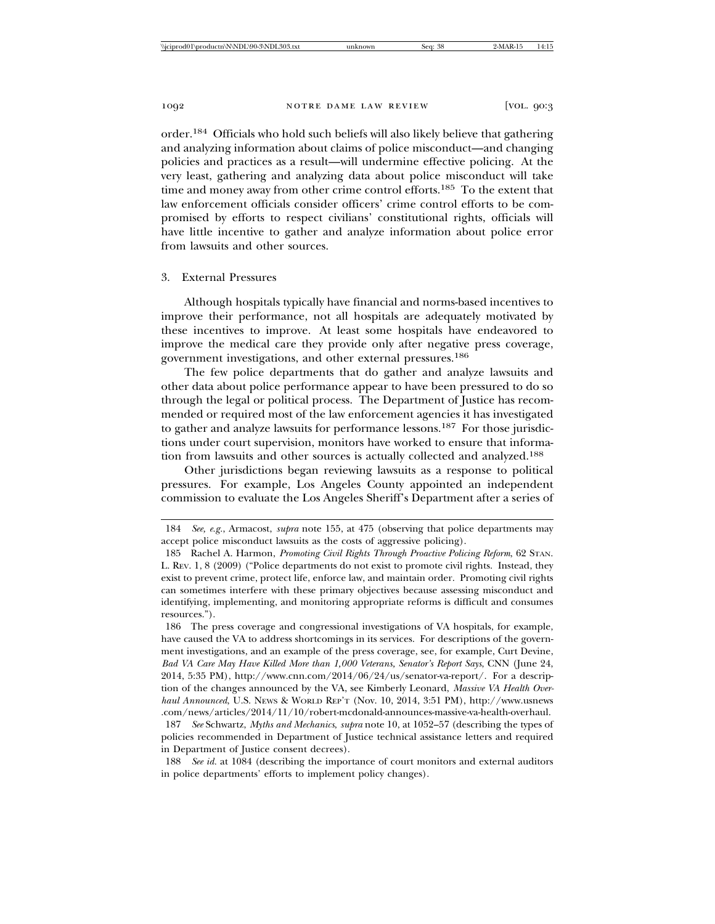order.184 Officials who hold such beliefs will also likely believe that gathering and analyzing information about claims of police misconduct—and changing policies and practices as a result—will undermine effective policing. At the very least, gathering and analyzing data about police misconduct will take time and money away from other crime control efforts.185 To the extent that law enforcement officials consider officers' crime control efforts to be compromised by efforts to respect civilians' constitutional rights, officials will have little incentive to gather and analyze information about police error from lawsuits and other sources.

### 3. External Pressures

Although hospitals typically have financial and norms-based incentives to improve their performance, not all hospitals are adequately motivated by these incentives to improve. At least some hospitals have endeavored to improve the medical care they provide only after negative press coverage, government investigations, and other external pressures.<sup>186</sup>

The few police departments that do gather and analyze lawsuits and other data about police performance appear to have been pressured to do so through the legal or political process. The Department of Justice has recommended or required most of the law enforcement agencies it has investigated to gather and analyze lawsuits for performance lessons.187 For those jurisdictions under court supervision, monitors have worked to ensure that information from lawsuits and other sources is actually collected and analyzed.<sup>188</sup>

Other jurisdictions began reviewing lawsuits as a response to political pressures. For example, Los Angeles County appointed an independent commission to evaluate the Los Angeles Sheriff's Department after a series of

187 *See* Schwartz, *Myths and Mechanics*, *supra* note 10, at 1052–57 (describing the types of policies recommended in Department of Justice technical assistance letters and required in Department of Justice consent decrees).

188 *See id.* at 1084 (describing the importance of court monitors and external auditors in police departments' efforts to implement policy changes).

<sup>184</sup> *See, e.g.*, Armacost, *supra* note 155, at 475 (observing that police departments may accept police misconduct lawsuits as the costs of aggressive policing).

<sup>185</sup> Rachel A. Harmon, *Promoting Civil Rights Through Proactive Policing Reform*, 62 STAN. L. REV. 1, 8 (2009) ("Police departments do not exist to promote civil rights. Instead, they exist to prevent crime, protect life, enforce law, and maintain order. Promoting civil rights can sometimes interfere with these primary objectives because assessing misconduct and identifying, implementing, and monitoring appropriate reforms is difficult and consumes resources.").

<sup>186</sup> The press coverage and congressional investigations of VA hospitals, for example, have caused the VA to address shortcomings in its services. For descriptions of the government investigations, and an example of the press coverage, see, for example, Curt Devine, *Bad VA Care May Have Killed More than 1,000 Veterans, Senator's Report Says*, CNN (June 24, 2014, 5:35 PM), http://www.cnn.com/2014/06/24/us/senator-va-report/. For a description of the changes announced by the VA, see Kimberly Leonard, *Massive VA Health Overhaul Announced*, U.S. NEWS & WORLD REP'T (Nov. 10, 2014, 3:51 PM), http://www.usnews .com/news/articles/2014/11/10/robert-mcdonald-announces-massive-va-health-overhaul.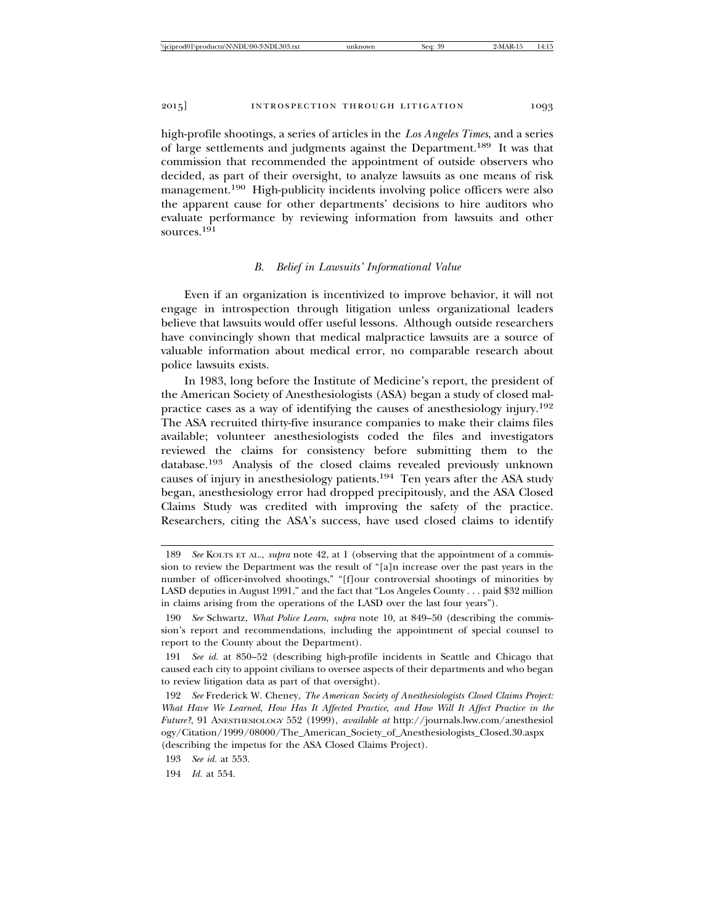high-profile shootings, a series of articles in the *Los Angeles Times*, and a series of large settlements and judgments against the Department.189 It was that commission that recommended the appointment of outside observers who decided, as part of their oversight, to analyze lawsuits as one means of risk management.<sup>190</sup> High-publicity incidents involving police officers were also the apparent cause for other departments' decisions to hire auditors who evaluate performance by reviewing information from lawsuits and other sources.191

### *B. Belief in Lawsuits' Informational Value*

Even if an organization is incentivized to improve behavior, it will not engage in introspection through litigation unless organizational leaders believe that lawsuits would offer useful lessons. Although outside researchers have convincingly shown that medical malpractice lawsuits are a source of valuable information about medical error, no comparable research about police lawsuits exists.

In 1983, long before the Institute of Medicine's report, the president of the American Society of Anesthesiologists (ASA) began a study of closed malpractice cases as a way of identifying the causes of anesthesiology injury.<sup>192</sup> The ASA recruited thirty-five insurance companies to make their claims files available; volunteer anesthesiologists coded the files and investigators reviewed the claims for consistency before submitting them to the database.193 Analysis of the closed claims revealed previously unknown causes of injury in anesthesiology patients.194 Ten years after the ASA study began, anesthesiology error had dropped precipitously, and the ASA Closed Claims Study was credited with improving the safety of the practice. Researchers, citing the ASA's success, have used closed claims to identify

<sup>189</sup> *See* KOLTS ET AL., *supra* note 42, at 1 (observing that the appointment of a commission to review the Department was the result of "[a]n increase over the past years in the number of officer-involved shootings," "[f]our controversial shootings of minorities by LASD deputies in August 1991," and the fact that "Los Angeles County . . . paid \$32 million in claims arising from the operations of the LASD over the last four years").

<sup>190</sup> *See* Schwartz, *What Police Learn*, *supra* note 10, at 849–50 (describing the commission's report and recommendations, including the appointment of special counsel to report to the County about the Department).

<sup>191</sup> *See id.* at 850–52 (describing high-profile incidents in Seattle and Chicago that caused each city to appoint civilians to oversee aspects of their departments and who began to review litigation data as part of that oversight).

<sup>192</sup> *See* Frederick W. Cheney, *The American Society of Anesthesiologists Closed Claims Project: What Have We Learned, How Has It Affected Practice, and How Will It Affect Practice in the Future?*, 91 ANESTHESIOLOGY 552 (1999), *available at* http://journals.lww.com/anesthesiol ogy/Citation/1999/08000/The\_American\_Society\_of\_Anesthesiologists\_Closed.30.aspx (describing the impetus for the ASA Closed Claims Project).

<sup>193</sup> *See id.* at 553.

<sup>194</sup> *Id.* at 554.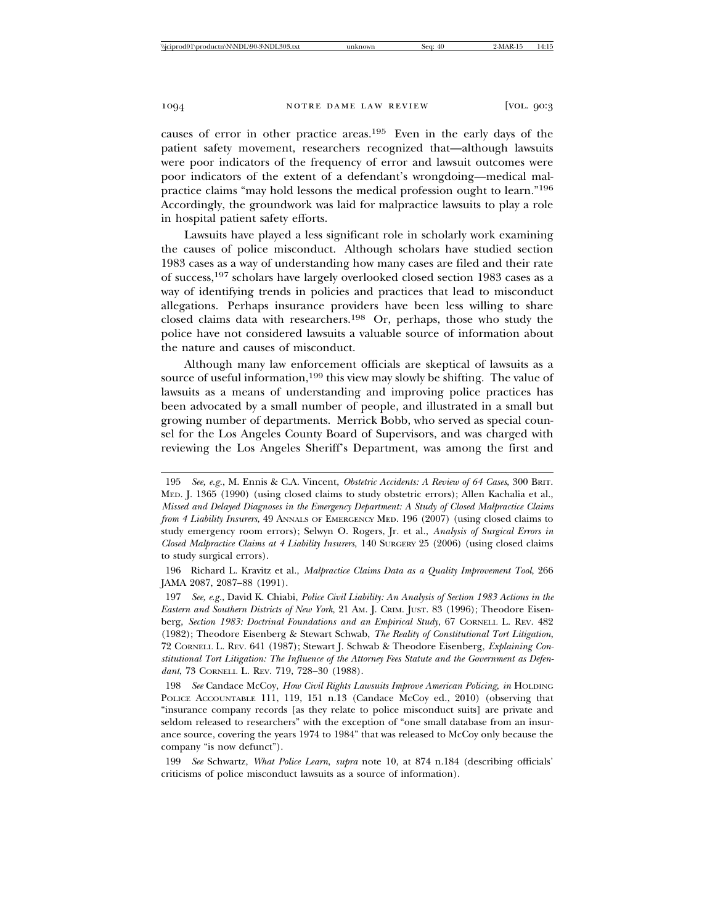causes of error in other practice areas.195 Even in the early days of the patient safety movement, researchers recognized that—although lawsuits were poor indicators of the frequency of error and lawsuit outcomes were poor indicators of the extent of a defendant's wrongdoing—medical malpractice claims "may hold lessons the medical profession ought to learn."<sup>196</sup> Accordingly, the groundwork was laid for malpractice lawsuits to play a role in hospital patient safety efforts.

Lawsuits have played a less significant role in scholarly work examining the causes of police misconduct. Although scholars have studied section 1983 cases as a way of understanding how many cases are filed and their rate of success,197 scholars have largely overlooked closed section 1983 cases as a way of identifying trends in policies and practices that lead to misconduct allegations. Perhaps insurance providers have been less willing to share closed claims data with researchers.198 Or, perhaps, those who study the police have not considered lawsuits a valuable source of information about the nature and causes of misconduct.

Although many law enforcement officials are skeptical of lawsuits as a source of useful information,<sup>199</sup> this view may slowly be shifting. The value of lawsuits as a means of understanding and improving police practices has been advocated by a small number of people, and illustrated in a small but growing number of departments. Merrick Bobb, who served as special counsel for the Los Angeles County Board of Supervisors, and was charged with reviewing the Los Angeles Sheriff's Department, was among the first and

<sup>195</sup> *See, e.g.*, M. Ennis & C.A. Vincent, *Obstetric Accidents: A Review of 64 Cases*, 300 BRIT. MED. J. 1365 (1990) (using closed claims to study obstetric errors); Allen Kachalia et al., *Missed and Delayed Diagnoses in the Emergency Department: A Study of Closed Malpractice Claims from 4 Liability Insurers*, 49 ANNALS OF EMERGENCY MED. 196 (2007) (using closed claims to study emergency room errors); Selwyn O. Rogers, Jr. et al., *Analysis of Surgical Errors in Closed Malpractice Claims at 4 Liability Insurers*, 140 SURGERY 25 (2006) (using closed claims to study surgical errors).

<sup>196</sup> Richard L. Kravitz et al., *Malpractice Claims Data as a Quality Improvement Tool*, 266 JAMA 2087, 2087–88 (1991).

<sup>197</sup> *See, e.g.*, David K. Chiabi, *Police Civil Liability: An Analysis of Section 1983 Actions in the Eastern and Southern Districts of New York*, 21 AM. J. CRIM. JUST. 83 (1996); Theodore Eisenberg, *Section 1983: Doctrinal Foundations and an Empirical Study*, 67 CORNELL L. REV. 482 (1982); Theodore Eisenberg & Stewart Schwab, *The Reality of Constitutional Tort Litigation*, 72 CORNELL L. REV. 641 (1987); Stewart J. Schwab & Theodore Eisenberg, *Explaining Constitutional Tort Litigation: The Influence of the Attorney Fees Statute and the Government as Defendant*, 73 CORNELL L. REV. 719, 728–30 (1988).

<sup>198</sup> *See* Candace McCoy, *How Civil Rights Lawsuits Improve American Policing*, *in* HOLDING POLICE ACCOUNTABLE 111, 119, 151 n.13 (Candace McCoy ed., 2010) (observing that "insurance company records [as they relate to police misconduct suits] are private and seldom released to researchers" with the exception of "one small database from an insurance source, covering the years 1974 to 1984" that was released to McCoy only because the company "is now defunct").

<sup>199</sup> *See* Schwartz, *What Police Learn*, *supra* note 10, at 874 n.184 (describing officials' criticisms of police misconduct lawsuits as a source of information).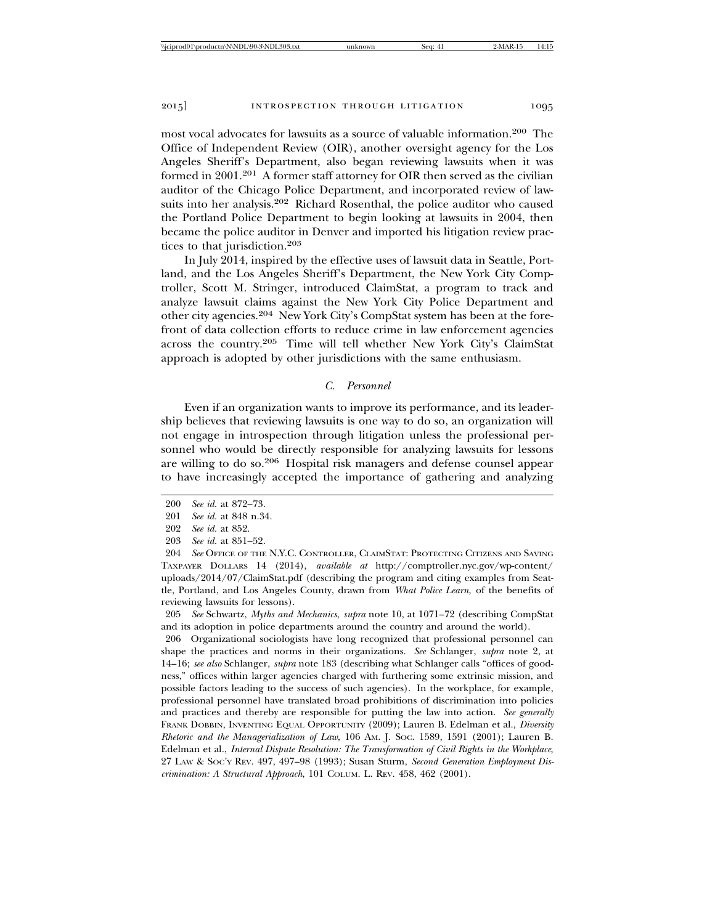most vocal advocates for lawsuits as a source of valuable information.200 The Office of Independent Review (OIR), another oversight agency for the Los Angeles Sheriff's Department, also began reviewing lawsuits when it was formed in 2001.201 A former staff attorney for OIR then served as the civilian auditor of the Chicago Police Department, and incorporated review of lawsuits into her analysis.202 Richard Rosenthal, the police auditor who caused the Portland Police Department to begin looking at lawsuits in 2004, then became the police auditor in Denver and imported his litigation review practices to that jurisdiction.<sup>203</sup>

In July 2014, inspired by the effective uses of lawsuit data in Seattle, Portland, and the Los Angeles Sheriff's Department, the New York City Comptroller, Scott M. Stringer, introduced ClaimStat, a program to track and analyze lawsuit claims against the New York City Police Department and other city agencies.204 New York City's CompStat system has been at the forefront of data collection efforts to reduce crime in law enforcement agencies across the country.205 Time will tell whether New York City's ClaimStat approach is adopted by other jurisdictions with the same enthusiasm.

## *C. Personnel*

Even if an organization wants to improve its performance, and its leadership believes that reviewing lawsuits is one way to do so, an organization will not engage in introspection through litigation unless the professional personnel who would be directly responsible for analyzing lawsuits for lessons are willing to do so.206 Hospital risk managers and defense counsel appear to have increasingly accepted the importance of gathering and analyzing

205 *See* Schwartz, *Myths and Mechanics*, *supra* note 10, at 1071–72 (describing CompStat and its adoption in police departments around the country and around the world).

206 Organizational sociologists have long recognized that professional personnel can shape the practices and norms in their organizations. *See* Schlanger, *supra* note 2, at 14–16; *see also* Schlanger, *supra* note 183 (describing what Schlanger calls "offices of goodness," offices within larger agencies charged with furthering some extrinsic mission, and possible factors leading to the success of such agencies). In the workplace, for example, professional personnel have translated broad prohibitions of discrimination into policies and practices and thereby are responsible for putting the law into action. *See generally* FRANK DOBBIN, INVENTING EQUAL OPPORTUNITY (2009); Lauren B. Edelman et al., *Diversity Rhetoric and the Managerialization of Law*, 106 AM. J. SOC. 1589, 1591 (2001); Lauren B. Edelman et al., *Internal Dispute Resolution: The Transformation of Civil Rights in the Workplace*, 27 LAW & SOC'Y REV. 497, 497–98 (1993); Susan Sturm, *Second Generation Employment Discrimination: A Structural Approach*, 101 COLUM. L. REV. 458, 462 (2001).

<sup>200</sup> *See id.* at 872–73.

<sup>201</sup> *See id.* at 848 n.34.

<sup>202</sup> *See id.* at 852.

<sup>203</sup> *See id.* at 851–52.

<sup>204</sup> *See* OFFICE OF THE N.Y.C. CONTROLLER, CLAIMSTAT: PROTECTING CITIZENS AND SAVING TAXPAYER DOLLARS 14 (2014), *available at* http://comptroller.nyc.gov/wp-content/ uploads/2014/07/ClaimStat.pdf (describing the program and citing examples from Seattle, Portland, and Los Angeles County, drawn from *What Police Learn*, of the benefits of reviewing lawsuits for lessons).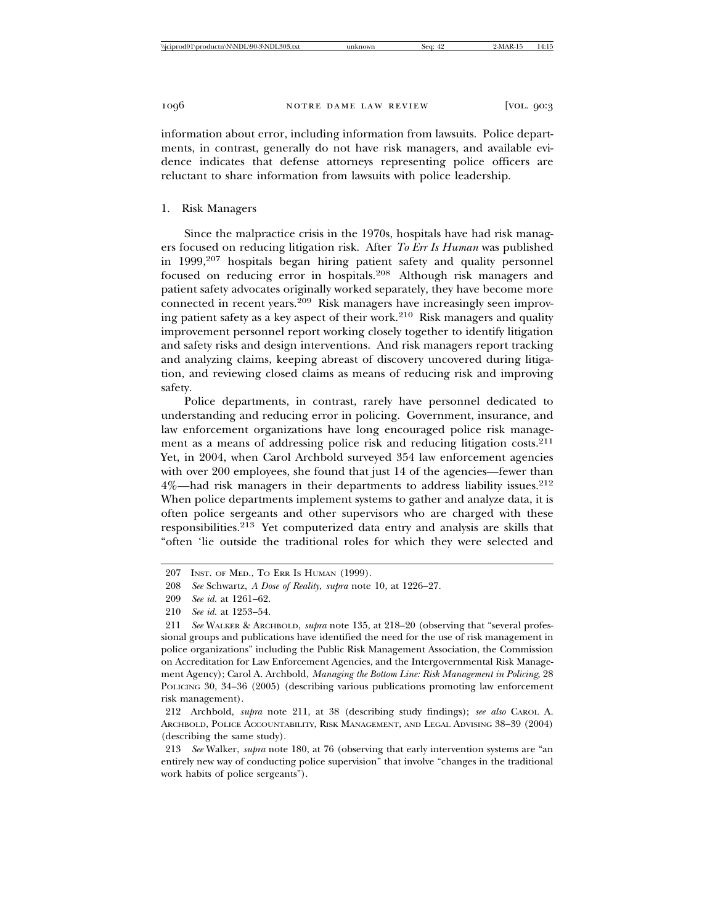information about error, including information from lawsuits. Police departments, in contrast, generally do not have risk managers, and available evidence indicates that defense attorneys representing police officers are reluctant to share information from lawsuits with police leadership.

## 1. Risk Managers

Since the malpractice crisis in the 1970s, hospitals have had risk managers focused on reducing litigation risk. After *To Err Is Human* was published in 1999,207 hospitals began hiring patient safety and quality personnel focused on reducing error in hospitals.208 Although risk managers and patient safety advocates originally worked separately, they have become more connected in recent years.209 Risk managers have increasingly seen improving patient safety as a key aspect of their work.210 Risk managers and quality improvement personnel report working closely together to identify litigation and safety risks and design interventions. And risk managers report tracking and analyzing claims, keeping abreast of discovery uncovered during litigation, and reviewing closed claims as means of reducing risk and improving safety.

Police departments, in contrast, rarely have personnel dedicated to understanding and reducing error in policing. Government, insurance, and law enforcement organizations have long encouraged police risk management as a means of addressing police risk and reducing litigation costs.<sup>211</sup> Yet, in 2004, when Carol Archbold surveyed 354 law enforcement agencies with over 200 employees, she found that just 14 of the agencies—fewer than 4%—had risk managers in their departments to address liability issues.<sup>212</sup> When police departments implement systems to gather and analyze data, it is often police sergeants and other supervisors who are charged with these responsibilities.213 Yet computerized data entry and analysis are skills that "often 'lie outside the traditional roles for which they were selected and

<sup>207</sup> INST. OF MED., TO ERR IS HUMAN (1999).

<sup>208</sup> *See* Schwartz, *A Dose of Reality*, *supra* note 10, at 1226–27.

<sup>209</sup> *See id.* at 1261–62.

<sup>210</sup> *See id.* at 1253–54.

<sup>211</sup> *See* WALKER & ARCHBOLD, *supra* note 135, at 218–20 (observing that "several professional groups and publications have identified the need for the use of risk management in police organizations" including the Public Risk Management Association, the Commission on Accreditation for Law Enforcement Agencies, and the Intergovernmental Risk Management Agency); Carol A. Archbold, *Managing the Bottom Line: Risk Management in Policing*, 28 POLICING 30, 34–36 (2005) (describing various publications promoting law enforcement risk management).

<sup>212</sup> Archbold, *supra* note 211, at 38 (describing study findings); *see also* CAROL A. ARCHBOLD, POLICE ACCOUNTABILITY, RISK MANAGEMENT, AND LEGAL ADVISING 38–39 (2004) (describing the same study).

<sup>213</sup> *See* Walker, *supra* note 180, at 76 (observing that early intervention systems are "an entirely new way of conducting police supervision" that involve "changes in the traditional work habits of police sergeants").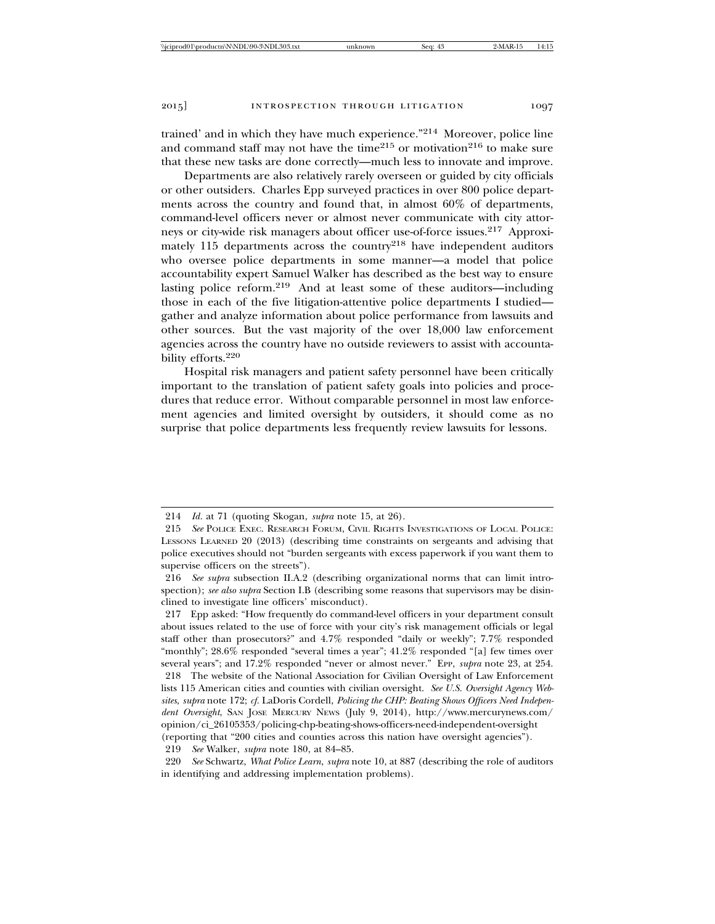trained' and in which they have much experience."214 Moreover, police line and command staff may not have the time<sup>215</sup> or motivation<sup>216</sup> to make sure that these new tasks are done correctly—much less to innovate and improve.

Departments are also relatively rarely overseen or guided by city officials or other outsiders. Charles Epp surveyed practices in over 800 police departments across the country and found that, in almost 60% of departments, command-level officers never or almost never communicate with city attorneys or city-wide risk managers about officer use-of-force issues.217 Approximately  $115$  departments across the country<sup>218</sup> have independent auditors who oversee police departments in some manner—a model that police accountability expert Samuel Walker has described as the best way to ensure lasting police reform.219 And at least some of these auditors—including those in each of the five litigation-attentive police departments I studied gather and analyze information about police performance from lawsuits and other sources. But the vast majority of the over 18,000 law enforcement agencies across the country have no outside reviewers to assist with accountability efforts.<sup>220</sup>

Hospital risk managers and patient safety personnel have been critically important to the translation of patient safety goals into policies and procedures that reduce error. Without comparable personnel in most law enforcement agencies and limited oversight by outsiders, it should come as no surprise that police departments less frequently review lawsuits for lessons.

217 Epp asked: "How frequently do command-level officers in your department consult about issues related to the use of force with your city's risk management officials or legal staff other than prosecutors?" and 4.7% responded "daily or weekly"; 7.7% responded "monthly"; 28.6% responded "several times a year"; 41.2% responded "[a] few times over several years"; and 17.2% responded "never or almost never." EPP, *supra* note 23, at 254.

219 *See* Walker, *supra* note 180, at 84–85.

<sup>214</sup> *Id.* at 71 (quoting Skogan, *supra* note 15, at 26).

<sup>215</sup> *See* POLICE EXEC. RESEARCH FORUM, CIVIL RIGHTS INVESTIGATIONS OF LOCAL POLICE: LESSONS LEARNED 20 (2013) (describing time constraints on sergeants and advising that police executives should not "burden sergeants with excess paperwork if you want them to supervise officers on the streets").

<sup>216</sup> *See supra* subsection II.A.2 (describing organizational norms that can limit introspection); *see also supra* Section I.B (describing some reasons that supervisors may be disinclined to investigate line officers' misconduct).

<sup>218</sup> The website of the National Association for Civilian Oversight of Law Enforcement lists 115 American cities and counties with civilian oversight. *See U.S. Oversight Agency Websites*, *supra* note 172; *cf.* LaDoris Cordell, *Policing the CHP: Beating Shows Officers Need Independent Oversight*, SAN JOSE MERCURY NEWS (July 9, 2014), http://www.mercurynews.com/ opinion/ci\_26105353/policing-chp-beating-shows-officers-need-independent-oversight (reporting that "200 cities and counties across this nation have oversight agencies").

<sup>220</sup> *See* Schwartz, *What Police Learn*, *supra* note 10, at 887 (describing the role of auditors in identifying and addressing implementation problems).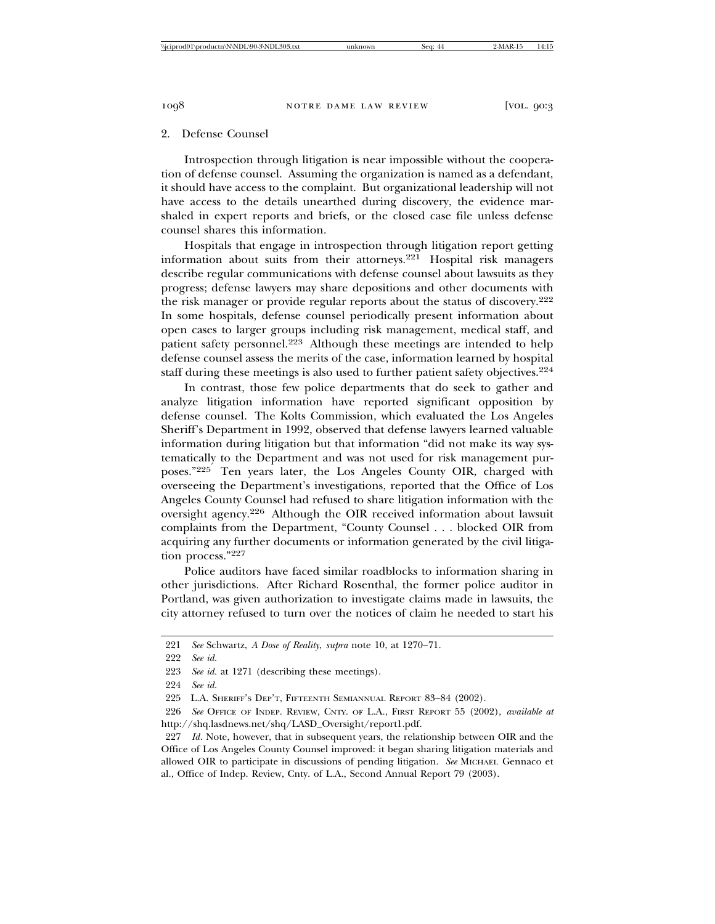### 2. Defense Counsel

Introspection through litigation is near impossible without the cooperation of defense counsel. Assuming the organization is named as a defendant, it should have access to the complaint. But organizational leadership will not have access to the details unearthed during discovery, the evidence marshaled in expert reports and briefs, or the closed case file unless defense counsel shares this information.

Hospitals that engage in introspection through litigation report getting information about suits from their attorneys.221 Hospital risk managers describe regular communications with defense counsel about lawsuits as they progress; defense lawyers may share depositions and other documents with the risk manager or provide regular reports about the status of discovery.<sup>222</sup> In some hospitals, defense counsel periodically present information about open cases to larger groups including risk management, medical staff, and patient safety personnel.<sup>223</sup> Although these meetings are intended to help defense counsel assess the merits of the case, information learned by hospital staff during these meetings is also used to further patient safety objectives.<sup>224</sup>

In contrast, those few police departments that do seek to gather and analyze litigation information have reported significant opposition by defense counsel. The Kolts Commission, which evaluated the Los Angeles Sheriff's Department in 1992, observed that defense lawyers learned valuable information during litigation but that information "did not make its way systematically to the Department and was not used for risk management purposes."225 Ten years later, the Los Angeles County OIR, charged with overseeing the Department's investigations, reported that the Office of Los Angeles County Counsel had refused to share litigation information with the oversight agency.226 Although the OIR received information about lawsuit complaints from the Department, "County Counsel . . . blocked OIR from acquiring any further documents or information generated by the civil litigation process."<sup>227</sup>

Police auditors have faced similar roadblocks to information sharing in other jurisdictions. After Richard Rosenthal, the former police auditor in Portland, was given authorization to investigate claims made in lawsuits, the city attorney refused to turn over the notices of claim he needed to start his

<sup>221</sup> *See* Schwartz, *A Dose of Reality*, *supra* note 10, at 1270–71.

<sup>222</sup> *See id.*

<sup>223</sup> *See id.* at 1271 (describing these meetings).

<sup>224</sup> *See id.*

<sup>225</sup> L.A. SHERIFF'S DEP'T, FIFTEENTH SEMIANNUAL REPORT 83–84 (2002).

<sup>226</sup> *See* OFFICE OF INDEP. REVIEW, CNTY. OF L.A., FIRST REPORT 55 (2002), *available at* http://shq.lasdnews.net/shq/LASD\_Oversight/report1.pdf.

<sup>227</sup> *Id.* Note, however, that in subsequent years, the relationship between OIR and the Office of Los Angeles County Counsel improved: it began sharing litigation materials and allowed OIR to participate in discussions of pending litigation. *See* MICHAEL Gennaco et al., Office of Indep. Review, Cnty. of L.A., Second Annual Report 79 (2003).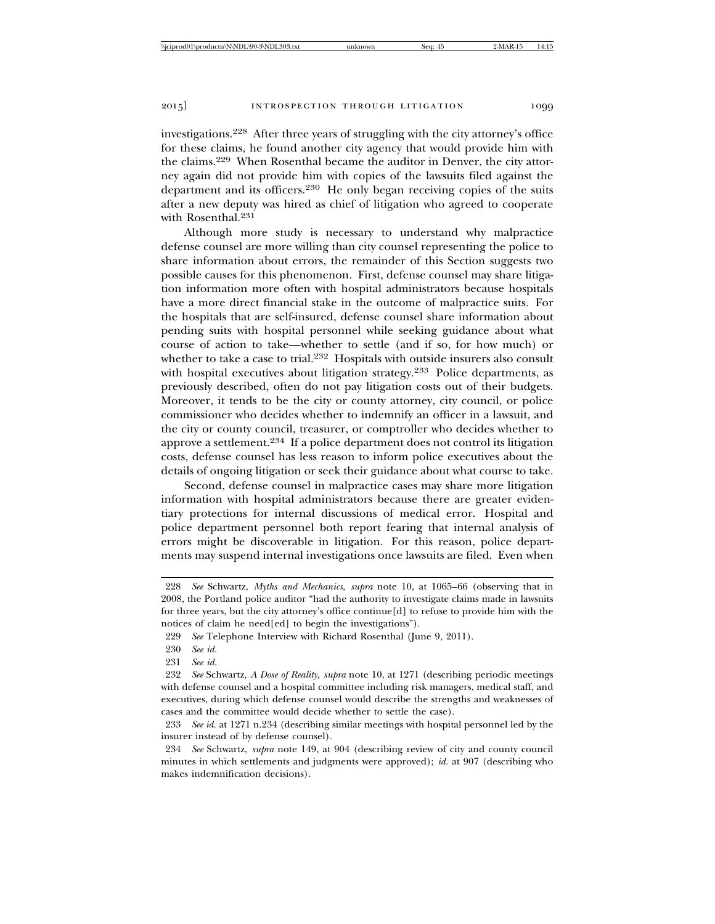investigations.228 After three years of struggling with the city attorney's office for these claims, he found another city agency that would provide him with the claims.229 When Rosenthal became the auditor in Denver, the city attorney again did not provide him with copies of the lawsuits filed against the department and its officers.<sup>230</sup> He only began receiving copies of the suits after a new deputy was hired as chief of litigation who agreed to cooperate with Rosenthal.<sup>231</sup>

Although more study is necessary to understand why malpractice defense counsel are more willing than city counsel representing the police to share information about errors, the remainder of this Section suggests two possible causes for this phenomenon. First, defense counsel may share litigation information more often with hospital administrators because hospitals have a more direct financial stake in the outcome of malpractice suits. For the hospitals that are self-insured, defense counsel share information about pending suits with hospital personnel while seeking guidance about what course of action to take—whether to settle (and if so, for how much) or whether to take a case to trial.<sup>232</sup> Hospitals with outside insurers also consult with hospital executives about litigation strategy.<sup>233</sup> Police departments, as previously described, often do not pay litigation costs out of their budgets. Moreover, it tends to be the city or county attorney, city council, or police commissioner who decides whether to indemnify an officer in a lawsuit, and the city or county council, treasurer, or comptroller who decides whether to approve a settlement.234 If a police department does not control its litigation costs, defense counsel has less reason to inform police executives about the details of ongoing litigation or seek their guidance about what course to take.

Second, defense counsel in malpractice cases may share more litigation information with hospital administrators because there are greater evidentiary protections for internal discussions of medical error. Hospital and police department personnel both report fearing that internal analysis of errors might be discoverable in litigation. For this reason, police departments may suspend internal investigations once lawsuits are filed. Even when

<sup>228</sup> *See* Schwartz, *Myths and Mechanics*, *supra* note 10, at 1065–66 (observing that in 2008, the Portland police auditor "had the authority to investigate claims made in lawsuits for three years, but the city attorney's office continue[d] to refuse to provide him with the notices of claim he need[ed] to begin the investigations").

<sup>229</sup> *See* Telephone Interview with Richard Rosenthal (June 9, 2011).

<sup>230</sup> *See id.*

<sup>231</sup> *See id.*

<sup>232</sup> *See* Schwartz, *A Dose of Reality*, *supra* note 10, at 1271 (describing periodic meetings with defense counsel and a hospital committee including risk managers, medical staff, and executives, during which defense counsel would describe the strengths and weaknesses of cases and the committee would decide whether to settle the case).

<sup>233</sup> *See id.* at 1271 n.234 (describing similar meetings with hospital personnel led by the insurer instead of by defense counsel).

<sup>234</sup> *See* Schwartz, *supra* note 149, at 904 (describing review of city and county council minutes in which settlements and judgments were approved); *id.* at 907 (describing who makes indemnification decisions).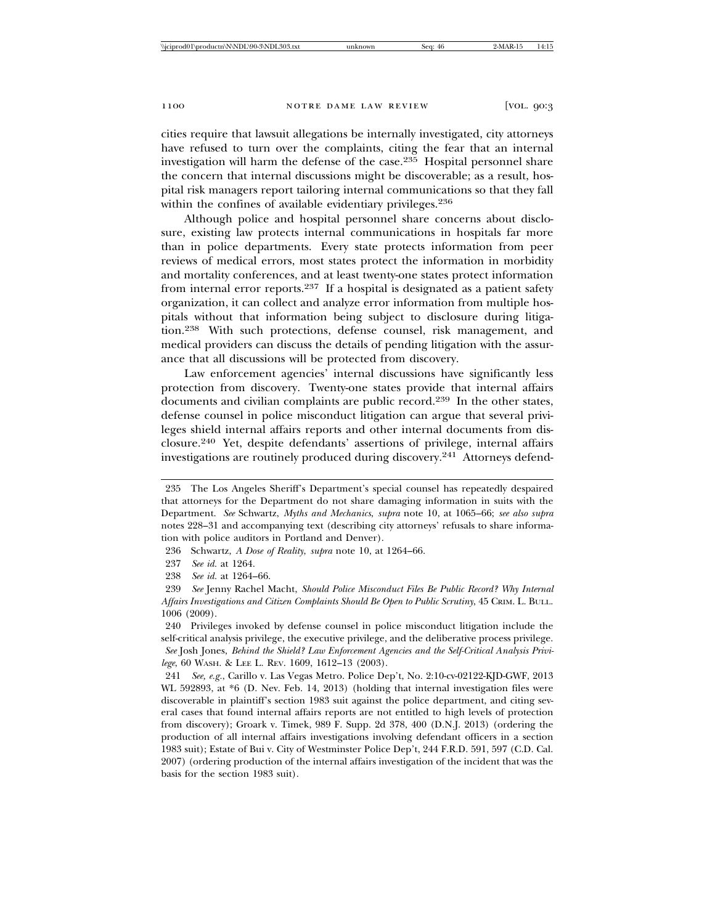cities require that lawsuit allegations be internally investigated, city attorneys have refused to turn over the complaints, citing the fear that an internal investigation will harm the defense of the case.235 Hospital personnel share the concern that internal discussions might be discoverable; as a result, hospital risk managers report tailoring internal communications so that they fall within the confines of available evidentiary privileges.<sup>236</sup>

Although police and hospital personnel share concerns about disclosure, existing law protects internal communications in hospitals far more than in police departments. Every state protects information from peer reviews of medical errors, most states protect the information in morbidity and mortality conferences, and at least twenty-one states protect information from internal error reports.237 If a hospital is designated as a patient safety organization, it can collect and analyze error information from multiple hospitals without that information being subject to disclosure during litigation.238 With such protections, defense counsel, risk management, and medical providers can discuss the details of pending litigation with the assurance that all discussions will be protected from discovery.

Law enforcement agencies' internal discussions have significantly less protection from discovery. Twenty-one states provide that internal affairs documents and civilian complaints are public record.239 In the other states, defense counsel in police misconduct litigation can argue that several privileges shield internal affairs reports and other internal documents from disclosure.240 Yet, despite defendants' assertions of privilege, internal affairs investigations are routinely produced during discovery.241 Attorneys defend-

<sup>235</sup> The Los Angeles Sheriff's Department's special counsel has repeatedly despaired that attorneys for the Department do not share damaging information in suits with the Department. *See* Schwartz, *Myths and Mechanics*, *supra* note 10, at 1065–66; *see also supra* notes 228–31 and accompanying text (describing city attorneys' refusals to share information with police auditors in Portland and Denver).

<sup>236</sup> Schwartz, *A Dose of Reality*, *supra* note 10, at 1264–66.

<sup>237</sup> *See id.* at 1264.

<sup>238</sup> *See id.* at 1264–66.

<sup>239</sup> *See* Jenny Rachel Macht, *Should Police Misconduct Files Be Public Record? Why Internal Affairs Investigations and Citizen Complaints Should Be Open to Public Scrutiny*, 45 CRIM. L. BULL. 1006 (2009).

<sup>240</sup> Privileges invoked by defense counsel in police misconduct litigation include the self-critical analysis privilege, the executive privilege, and the deliberative process privilege.  *See* Josh Jones, *Behind the Shield? Law Enforcement Agencies and the Self-Critical Analysis Privi-*

*lege*, 60 WASH. & LEE L. REV. 1609, 1612–13 (2003).

<sup>241</sup> *See, e.g.*, Carillo v. Las Vegas Metro. Police Dep't, No. 2:10-cv-02122-KJD-GWF, 2013 WL 592893, at \*6 (D. Nev. Feb. 14, 2013) (holding that internal investigation files were discoverable in plaintiff's section 1983 suit against the police department, and citing several cases that found internal affairs reports are not entitled to high levels of protection from discovery); Groark v. Timek, 989 F. Supp. 2d 378, 400 (D.N.J. 2013) (ordering the production of all internal affairs investigations involving defendant officers in a section 1983 suit); Estate of Bui v. City of Westminster Police Dep't, 244 F.R.D. 591, 597 (C.D. Cal. 2007) (ordering production of the internal affairs investigation of the incident that was the basis for the section 1983 suit).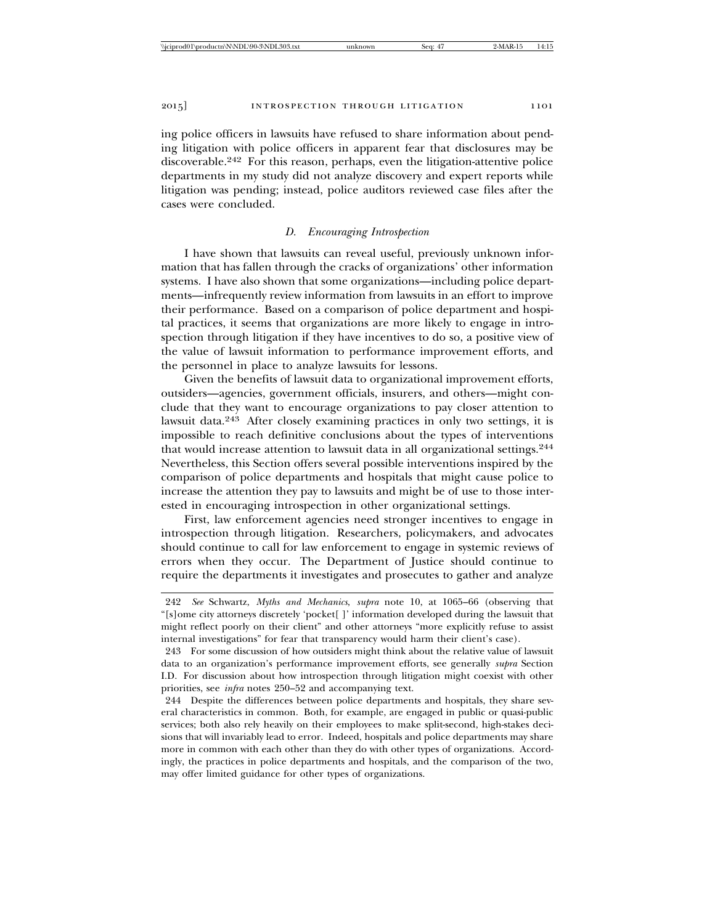ing police officers in lawsuits have refused to share information about pending litigation with police officers in apparent fear that disclosures may be discoverable.242 For this reason, perhaps, even the litigation-attentive police departments in my study did not analyze discovery and expert reports while litigation was pending; instead, police auditors reviewed case files after the cases were concluded.

## *D. Encouraging Introspection*

I have shown that lawsuits can reveal useful, previously unknown information that has fallen through the cracks of organizations' other information systems. I have also shown that some organizations—including police departments—infrequently review information from lawsuits in an effort to improve their performance. Based on a comparison of police department and hospital practices, it seems that organizations are more likely to engage in introspection through litigation if they have incentives to do so, a positive view of the value of lawsuit information to performance improvement efforts, and the personnel in place to analyze lawsuits for lessons.

Given the benefits of lawsuit data to organizational improvement efforts, outsiders—agencies, government officials, insurers, and others—might conclude that they want to encourage organizations to pay closer attention to lawsuit data.243 After closely examining practices in only two settings, it is impossible to reach definitive conclusions about the types of interventions that would increase attention to lawsuit data in all organizational settings.<sup>244</sup> Nevertheless, this Section offers several possible interventions inspired by the comparison of police departments and hospitals that might cause police to increase the attention they pay to lawsuits and might be of use to those interested in encouraging introspection in other organizational settings.

First, law enforcement agencies need stronger incentives to engage in introspection through litigation. Researchers, policymakers, and advocates should continue to call for law enforcement to engage in systemic reviews of errors when they occur. The Department of Justice should continue to require the departments it investigates and prosecutes to gather and analyze

<sup>242</sup> *See* Schwartz, *Myths and Mechanics*, *supra* note 10, at 1065–66 (observing that "[s]ome city attorneys discretely 'pocket[ ]' information developed during the lawsuit that might reflect poorly on their client" and other attorneys "more explicitly refuse to assist internal investigations" for fear that transparency would harm their client's case).

<sup>243</sup> For some discussion of how outsiders might think about the relative value of lawsuit data to an organization's performance improvement efforts, see generally *supra* Section I.D. For discussion about how introspection through litigation might coexist with other priorities, see *infra* notes 250–52 and accompanying text.

<sup>244</sup> Despite the differences between police departments and hospitals, they share several characteristics in common. Both, for example, are engaged in public or quasi-public services; both also rely heavily on their employees to make split-second, high-stakes decisions that will invariably lead to error. Indeed, hospitals and police departments may share more in common with each other than they do with other types of organizations. Accordingly, the practices in police departments and hospitals, and the comparison of the two, may offer limited guidance for other types of organizations.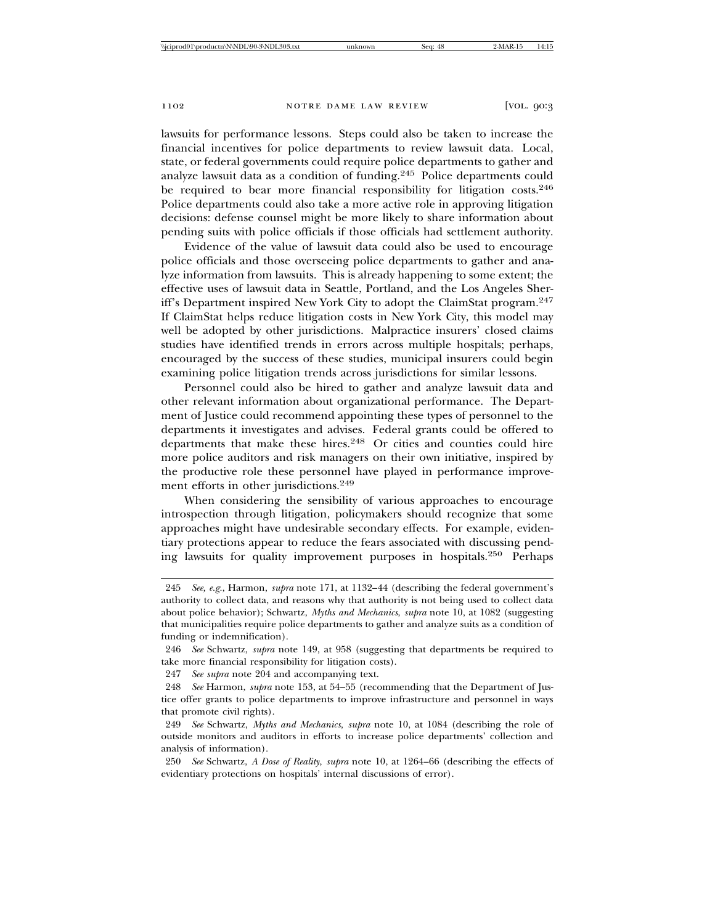lawsuits for performance lessons. Steps could also be taken to increase the financial incentives for police departments to review lawsuit data. Local, state, or federal governments could require police departments to gather and analyze lawsuit data as a condition of funding.245 Police departments could be required to bear more financial responsibility for litigation costs.<sup>246</sup> Police departments could also take a more active role in approving litigation decisions: defense counsel might be more likely to share information about pending suits with police officials if those officials had settlement authority.

Evidence of the value of lawsuit data could also be used to encourage police officials and those overseeing police departments to gather and analyze information from lawsuits. This is already happening to some extent; the effective uses of lawsuit data in Seattle, Portland, and the Los Angeles Sheriff's Department inspired New York City to adopt the ClaimStat program.<sup>247</sup> If ClaimStat helps reduce litigation costs in New York City, this model may well be adopted by other jurisdictions. Malpractice insurers' closed claims studies have identified trends in errors across multiple hospitals; perhaps, encouraged by the success of these studies, municipal insurers could begin examining police litigation trends across jurisdictions for similar lessons.

Personnel could also be hired to gather and analyze lawsuit data and other relevant information about organizational performance. The Department of Justice could recommend appointing these types of personnel to the departments it investigates and advises. Federal grants could be offered to departments that make these hires.248 Or cities and counties could hire more police auditors and risk managers on their own initiative, inspired by the productive role these personnel have played in performance improvement efforts in other jurisdictions.<sup>249</sup>

When considering the sensibility of various approaches to encourage introspection through litigation, policymakers should recognize that some approaches might have undesirable secondary effects. For example, evidentiary protections appear to reduce the fears associated with discussing pending lawsuits for quality improvement purposes in hospitals.250 Perhaps

247 *See supra* note 204 and accompanying text.

<sup>245</sup> *See, e.g.*, Harmon, *supra* note 171, at 1132–44 (describing the federal government's authority to collect data, and reasons why that authority is not being used to collect data about police behavior); Schwartz, *Myths and Mechanics*, *supra* note 10, at 1082 (suggesting that municipalities require police departments to gather and analyze suits as a condition of funding or indemnification).

<sup>246</sup> *See* Schwartz, *supra* note 149, at 958 (suggesting that departments be required to take more financial responsibility for litigation costs).

<sup>248</sup> *See* Harmon, *supra* note 153, at 54–55 (recommending that the Department of Justice offer grants to police departments to improve infrastructure and personnel in ways that promote civil rights).

<sup>249</sup> *See* Schwartz, *Myths and Mechanics*, *supra* note 10, at 1084 (describing the role of outside monitors and auditors in efforts to increase police departments' collection and analysis of information).

<sup>250</sup> *See* Schwartz, *A Dose of Reality*, *supra* note 10, at 1264–66 (describing the effects of evidentiary protections on hospitals' internal discussions of error).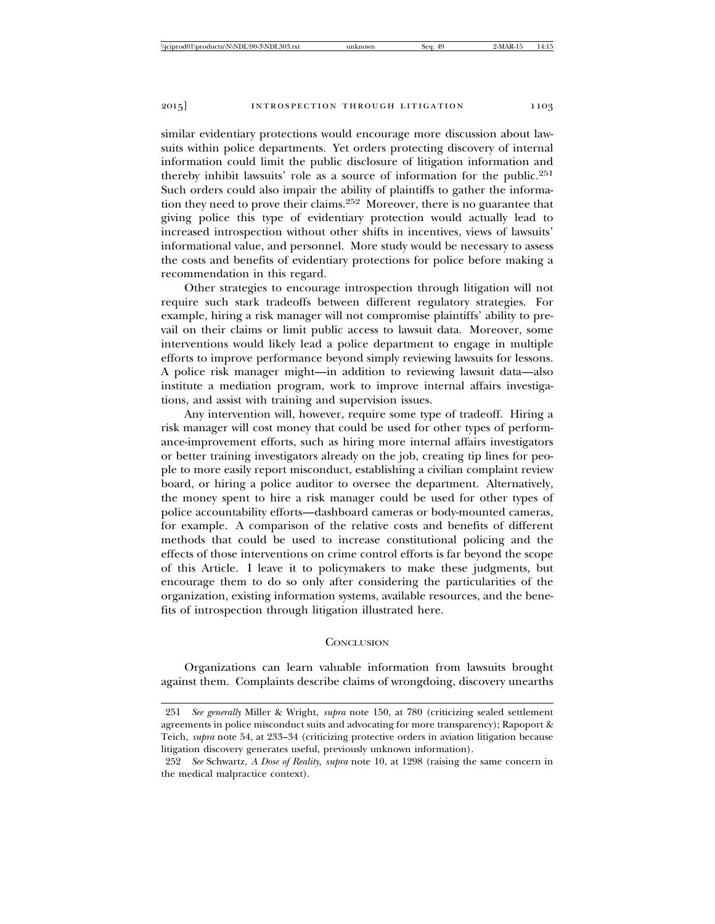similar evidentiary protections would encourage more discussion about lawsuits within police departments. Yet orders protecting discovery of internal information could limit the public disclosure of litigation information and thereby inhibit lawsuits' role as a source of information for the public.<sup>251</sup> Such orders could also impair the ability of plaintiffs to gather the information they need to prove their claims.<sup>252</sup> Moreover, there is no guarantee that giving police this type of evidentiary protection would actually lead to increased introspection without other shifts in incentives, views of lawsuits' informational value, and personnel. More study would be necessary to assess the costs and benefits of evidentiary protections for police before making a recommendation in this regard.

Other strategies to encourage introspection through litigation will not require such stark tradeoffs between different regulatory strategies. For example, hiring a risk manager will not compromise plaintiffs' ability to prevail on their claims or limit public access to lawsuit data. Moreover, some interventions would likely lead a police department to engage in multiple efforts to improve performance beyond simply reviewing lawsuits for lessons. A police risk manager might—in addition to reviewing lawsuit data—also institute a mediation program, work to improve internal affairs investigations, and assist with training and supervision issues.

Any intervention will, however, require some type of tradeoff. Hiring a risk manager will cost money that could be used for other types of performance-improvement efforts, such as hiring more internal affairs investigators or better training investigators already on the job, creating tip lines for people to more easily report misconduct, establishing a civilian complaint review board, or hiring a police auditor to oversee the department. Alternatively, the money spent to hire a risk manager could be used for other types of police accountability efforts—dashboard cameras or body-mounted cameras, for example. A comparison of the relative costs and benefits of different methods that could be used to increase constitutional policing and the effects of those interventions on crime control efforts is far beyond the scope of this Article. I leave it to policymakers to make these judgments, but encourage them to do so only after considering the particularities of the organization, existing information systems, available resources, and the benefits of introspection through litigation illustrated here.

#### **CONCLUSION**

Organizations can learn valuable information from lawsuits brought against them. Complaints describe claims of wrongdoing, discovery unearths

<sup>251</sup> *See generally* Miller & Wright, *supra* note 150, at 780 (criticizing sealed settlement agreements in police misconduct suits and advocating for more transparency); Rapoport & Teich, *supra* note 54, at 233–34 (criticizing protective orders in aviation litigation because litigation discovery generates useful, previously unknown information).

<sup>252</sup> *See* Schwartz, *A Dose of Reality*, *supra* note 10, at 1298 (raising the same concern in the medical malpractice context).